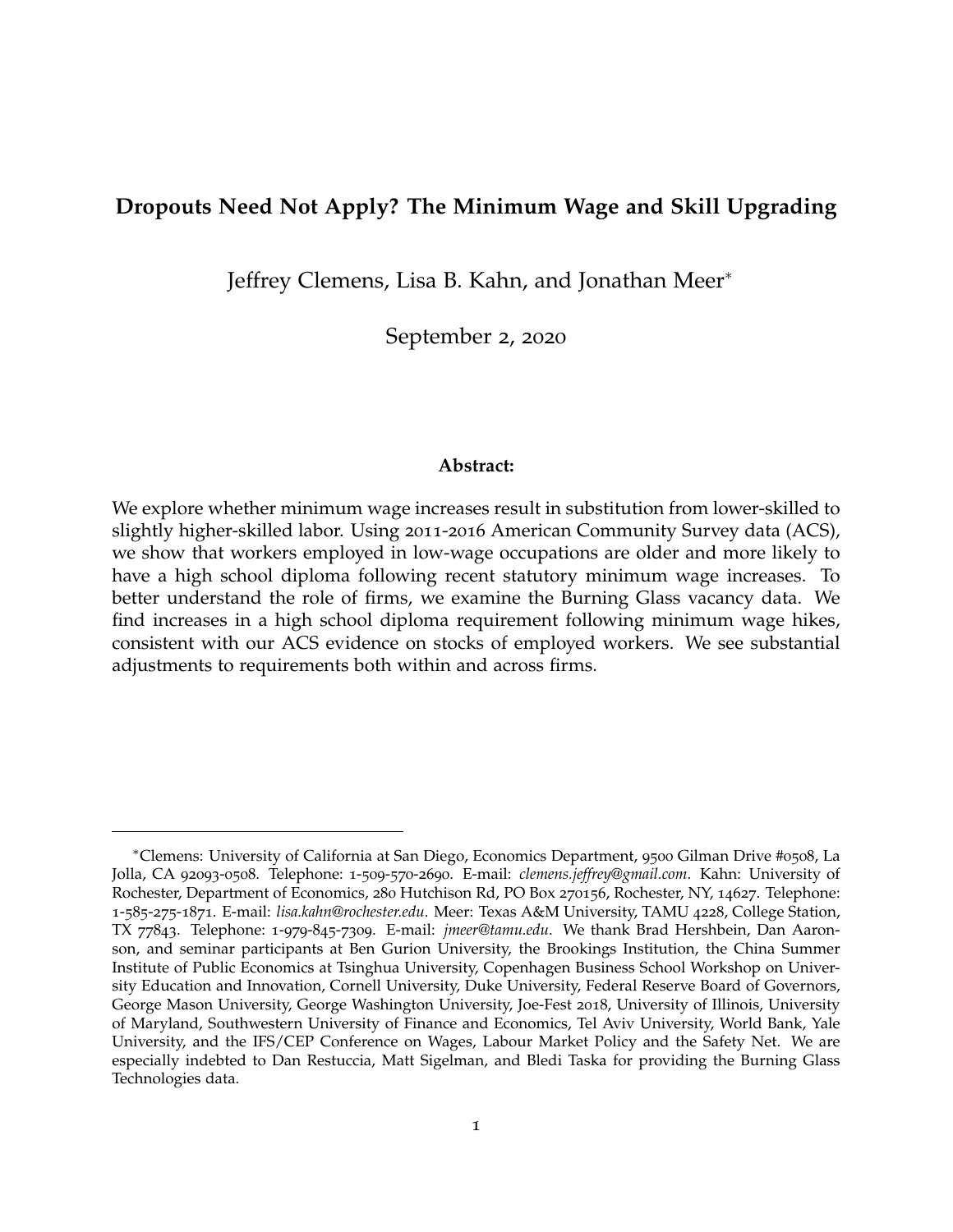# <span id="page-0-0"></span>**Dropouts Need Not Apply? The Minimum Wage and Skill Upgrading**

Jeffrey Clemens, Lisa B. Kahn, and Jonathan Meer<sup>∗</sup>

September 2, 2020

#### **Abstract:**

We explore whether minimum wage increases result in substitution from lower-skilled to slightly higher-skilled labor. Using 2011-2016 American Community Survey data (ACS), we show that workers employed in low-wage occupations are older and more likely to have a high school diploma following recent statutory minimum wage increases. To better understand the role of firms, we examine the Burning Glass vacancy data. We find increases in a high school diploma requirement following minimum wage hikes, consistent with our ACS evidence on stocks of employed workers. We see substantial adjustments to requirements both within and across firms.

<sup>∗</sup>Clemens: University of California at San Diego, Economics Department, 9500 Gilman Drive #0508, La Jolla, CA 92093-0508. Telephone: 1-509-570-2690. E-mail: *clemens.jeffrey@gmail.com*. Kahn: University of Rochester, Department of Economics, 280 Hutchison Rd, PO Box 270156, Rochester, NY, 14627. Telephone: 1-585-275-1871. E-mail: *lisa.kahn@rochester.edu*. Meer: Texas A&M University, TAMU 4228, College Station, TX 77843. Telephone: 1-979-845-7309. E-mail: *jmeer@tamu.edu*. We thank Brad Hershbein, Dan Aaronson, and seminar participants at Ben Gurion University, the Brookings Institution, the China Summer Institute of Public Economics at Tsinghua University, Copenhagen Business School Workshop on University Education and Innovation, Cornell University, Duke University, Federal Reserve Board of Governors, George Mason University, George Washington University, Joe-Fest 2018, University of Illinois, University of Maryland, Southwestern University of Finance and Economics, Tel Aviv University, World Bank, Yale University, and the IFS/CEP Conference on Wages, Labour Market Policy and the Safety Net. We are especially indebted to Dan Restuccia, Matt Sigelman, and Bledi Taska for providing the Burning Glass Technologies data.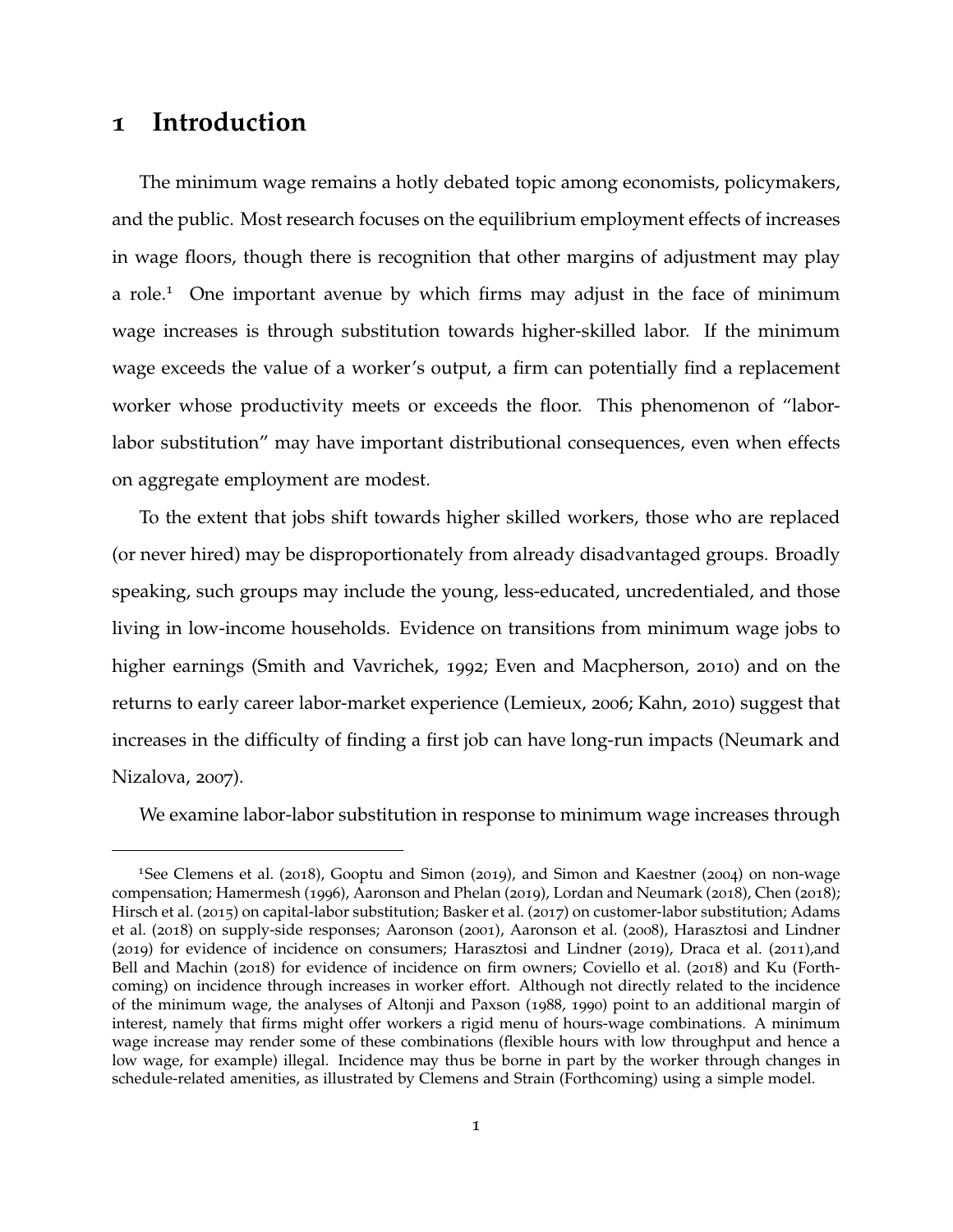# **1 Introduction**

The minimum wage remains a hotly debated topic among economists, policymakers, and the public. Most research focuses on the equilibrium employment effects of increases in wage floors, though there is recognition that other margins of adjustment may play a role.<sup>[1](#page-0-0)</sup> One important avenue by which firms may adjust in the face of minimum wage increases is through substitution towards higher-skilled labor. If the minimum wage exceeds the value of a worker's output, a firm can potentially find a replacement worker whose productivity meets or exceeds the floor. This phenomenon of "laborlabor substitution" may have important distributional consequences, even when effects on aggregate employment are modest.

To the extent that jobs shift towards higher skilled workers, those who are replaced (or never hired) may be disproportionately from already disadvantaged groups. Broadly speaking, such groups may include the young, less-educated, uncredentialed, and those living in low-income households. Evidence on transitions from minimum wage jobs to higher earnings [\(Smith and Vavrichek,](#page-42-0) [1992](#page-42-0); [Even and Macpherson,](#page-40-0) [2010](#page-40-0)) and on the returns to early career labor-market experience [\(Lemieux,](#page-41-0) [2006](#page-41-0); [Kahn,](#page-41-1) [2010](#page-41-1)) suggest that increases in the difficulty of finding a first job can have long-run impacts [\(Neumark and](#page-41-2) [Nizalova,](#page-41-2) [2007](#page-41-2)).

We examine labor-labor substitution in response to minimum wage increases through

<sup>1</sup>See [Clemens et al.](#page-39-0) ([2018](#page-39-0)), [Gooptu and Simon](#page-40-1) ([2019](#page-40-1)), and [Simon and Kaestner](#page-41-3) ([2004](#page-41-3)) on non-wage compensation; [Hamermesh](#page-40-2) ([1996](#page-40-2)), [Aaronson and Phelan](#page-38-0) ([2019](#page-38-0)), [Lordan and Neumark](#page-41-4) ([2018](#page-41-4)), [Chen](#page-39-1) ([2018](#page-39-1)); [Hirsch et al.](#page-40-3) ([2015](#page-40-3)) on capital-labor substitution; [Basker et al.](#page-38-1) ([2017](#page-38-1)) on customer-labor substitution; [Adams](#page-38-2) [et al.](#page-38-2) ([2018](#page-38-2)) on supply-side responses; [Aaronson](#page-38-3) ([2001](#page-38-3)), [Aaronson et al.](#page-38-4) ([2008](#page-38-4)), [Harasztosi and Lindner](#page-40-4) ([2019](#page-40-4)) for evidence of incidence on consumers; [Harasztosi and Lindner](#page-40-4) ([2019](#page-40-4)), [Draca et al.](#page-39-2) ([2011](#page-39-2)),and [Bell and Machin](#page-38-5) ([2018](#page-38-5)) for evidence of incidence on firm owners; [Coviello et al.](#page-39-3) ([2018](#page-39-3)) and [Ku](#page-41-5) [\(Forth](#page-41-5)[coming\)](#page-41-5) on incidence through increases in worker effort. Although not directly related to the incidence of the minimum wage, the analyses of [Altonji and Paxson](#page-38-6) ([1988](#page-38-6), [1990](#page-38-7)) point to an additional margin of interest, namely that firms might offer workers a rigid menu of hours-wage combinations. A minimum wage increase may render some of these combinations (flexible hours with low throughput and hence a low wage, for example) illegal. Incidence may thus be borne in part by the worker through changes in schedule-related amenities, as illustrated by [Clemens and Strain](#page-39-4) [\(Forthcoming\)](#page-39-4) using a simple model.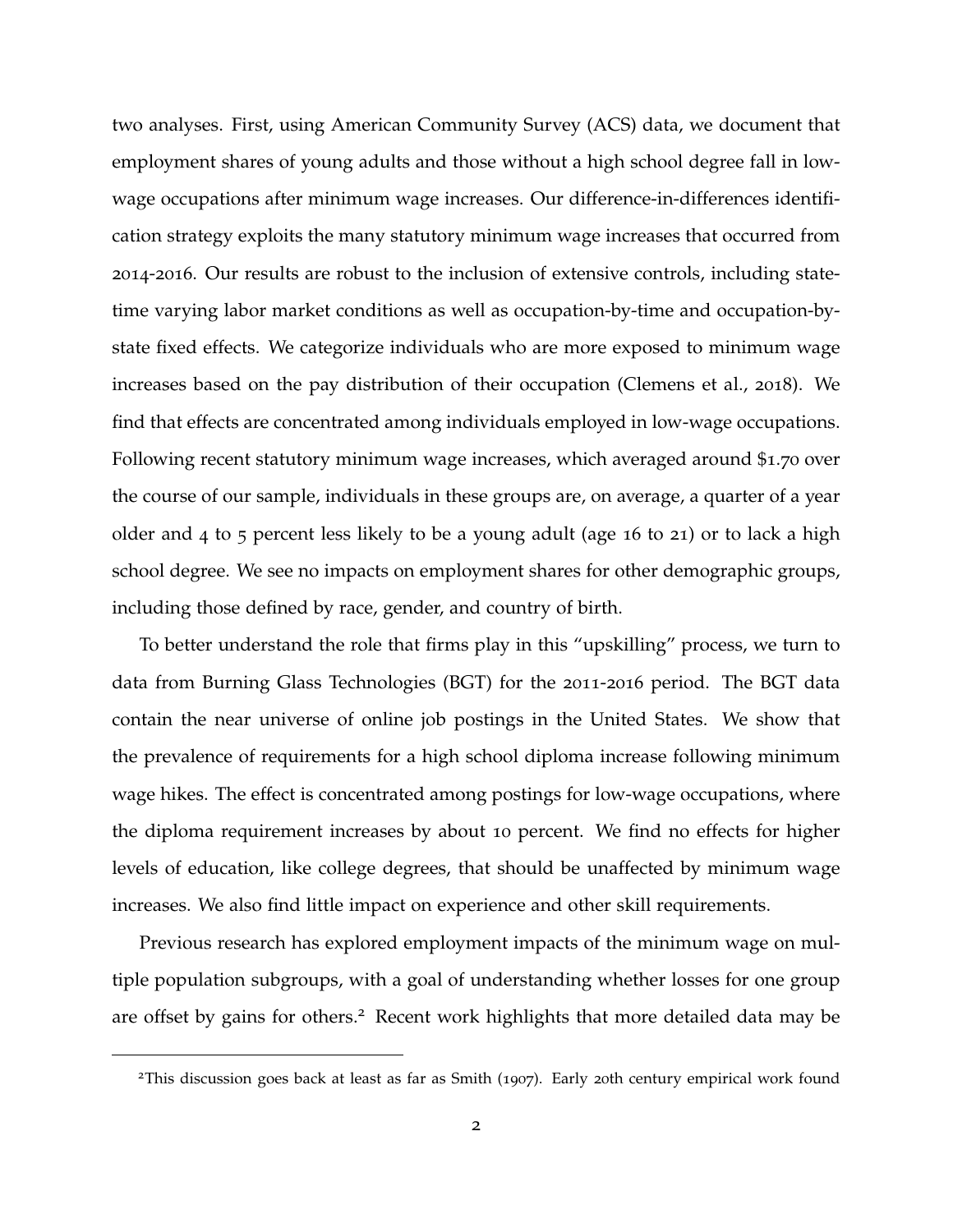two analyses. First, using American Community Survey (ACS) data, we document that employment shares of young adults and those without a high school degree fall in lowwage occupations after minimum wage increases. Our difference-in-differences identification strategy exploits the many statutory minimum wage increases that occurred from 2014-2016. Our results are robust to the inclusion of extensive controls, including statetime varying labor market conditions as well as occupation-by-time and occupation-bystate fixed effects. We categorize individuals who are more exposed to minimum wage increases based on the pay distribution of their occupation [\(Clemens et al.,](#page-39-0) [2018](#page-39-0)). We find that effects are concentrated among individuals employed in low-wage occupations. Following recent statutory minimum wage increases, which averaged around \$1.70 over the course of our sample, individuals in these groups are, on average, a quarter of a year older and 4 to 5 percent less likely to be a young adult (age 16 to 21) or to lack a high school degree. We see no impacts on employment shares for other demographic groups, including those defined by race, gender, and country of birth.

To better understand the role that firms play in this "upskilling" process, we turn to data from Burning Glass Technologies (BGT) for the 2011-2016 period. The BGT data contain the near universe of online job postings in the United States. We show that the prevalence of requirements for a high school diploma increase following minimum wage hikes. The effect is concentrated among postings for low-wage occupations, where the diploma requirement increases by about 10 percent. We find no effects for higher levels of education, like college degrees, that should be unaffected by minimum wage increases. We also find little impact on experience and other skill requirements.

Previous research has explored employment impacts of the minimum wage on multiple population subgroups, with a goal of understanding whether losses for one group are offset by gains for others.<sup>[2](#page-0-0)</sup> Recent work highlights that more detailed data may be

<sup>2</sup>This discussion goes back at least as far as [Smith](#page-42-1) ([1907](#page-42-1)). Early 20th century empirical work found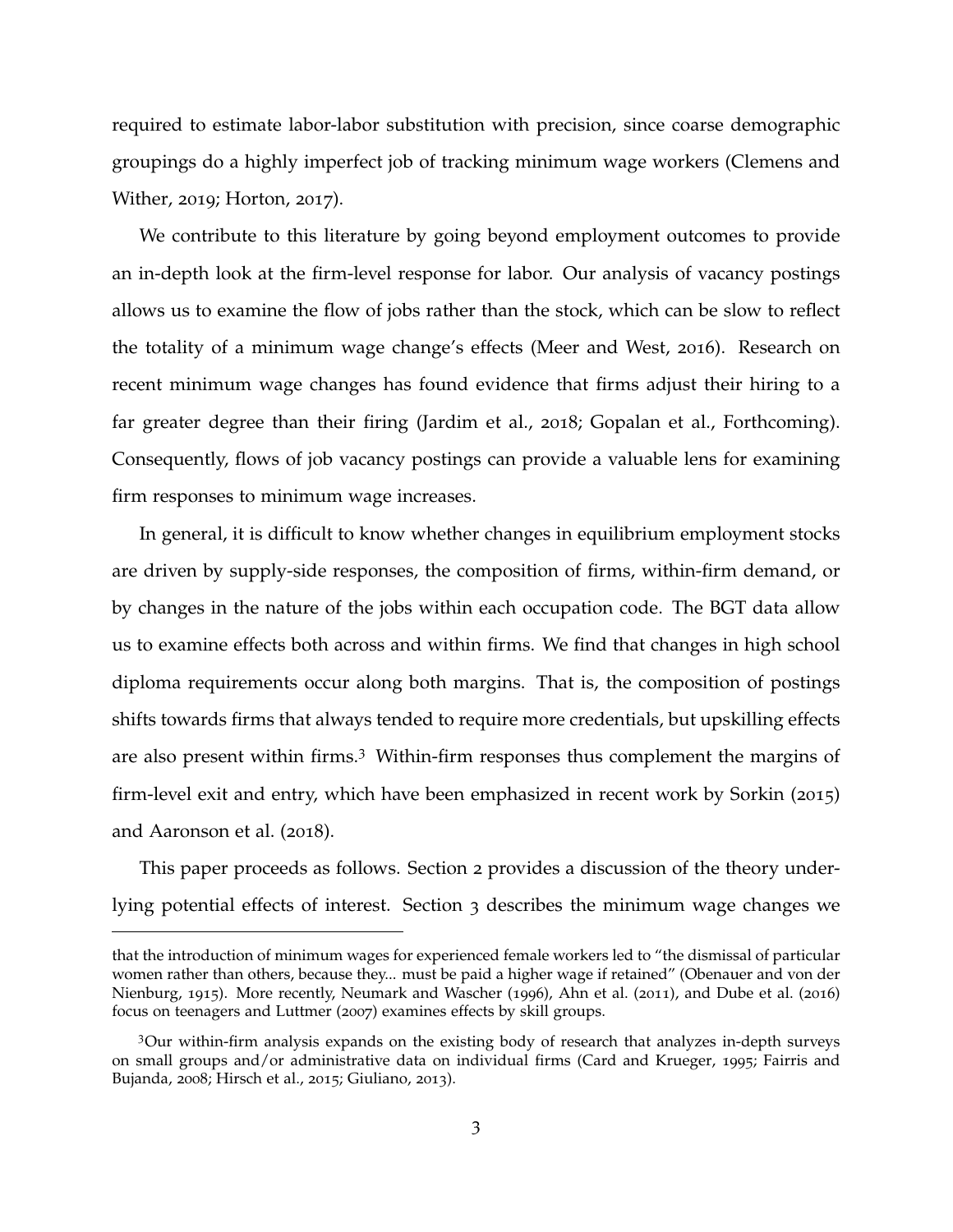required to estimate labor-labor substitution with precision, since coarse demographic groupings do a highly imperfect job of tracking minimum wage workers [\(Clemens and](#page-39-5) [Wither,](#page-39-5) [2019](#page-39-5); [Horton,](#page-40-5) [2017](#page-40-5)).

We contribute to this literature by going beyond employment outcomes to provide an in-depth look at the firm-level response for labor. Our analysis of vacancy postings allows us to examine the flow of jobs rather than the stock, which can be slow to reflect the totality of a minimum wage change's effects [\(Meer and West,](#page-41-6) [2016](#page-41-6)). Research on recent minimum wage changes has found evidence that firms adjust their hiring to a far greater degree than their firing [\(Jardim et al.,](#page-41-7) [2018](#page-41-7); [Gopalan et al., Forthcoming\)](#page-40-6). Consequently, flows of job vacancy postings can provide a valuable lens for examining firm responses to minimum wage increases.

In general, it is difficult to know whether changes in equilibrium employment stocks are driven by supply-side responses, the composition of firms, within-firm demand, or by changes in the nature of the jobs within each occupation code. The BGT data allow us to examine effects both across and within firms. We find that changes in high school diploma requirements occur along both margins. That is, the composition of postings shifts towards firms that always tended to require more credentials, but upskilling effects are also present within firms.[3](#page-0-0) Within-firm responses thus complement the margins of firm-level exit and entry, which have been emphasized in recent work by [Sorkin](#page-42-2) ([2015](#page-42-2)) and [Aaronson et al.](#page-38-8) ([2018](#page-38-8)).

This paper proceeds as follows. Section 2 provides a discussion of the theory underlying potential effects of interest. Section 3 describes the minimum wage changes we

that the introduction of minimum wages for experienced female workers led to "the dismissal of particular women rather than others, because they... must be paid a higher wage if retained" [\(Obenauer and von der](#page-41-8) [Nienburg,](#page-41-8) [1915](#page-41-8)). More recently, [Neumark and Wascher](#page-41-9) ([1996](#page-41-9)), [Ahn et al.](#page-38-9) ([2011](#page-38-9)), and [Dube et al.](#page-40-7) ([2016](#page-40-7)) focus on teenagers and [Luttmer](#page-41-10) ([2007](#page-41-10)) examines effects by skill groups.

<sup>3</sup>Our within-firm analysis expands on the existing body of research that analyzes in-depth surveys on small groups and/or administrative data on individual firms [\(Card and Krueger,](#page-38-10) [1995](#page-38-10); [Fairris and](#page-40-8) [Bujanda,](#page-40-8) [2008](#page-40-8); [Hirsch et al.,](#page-40-3) [2015](#page-40-3); [Giuliano,](#page-40-9) [2013](#page-40-9)).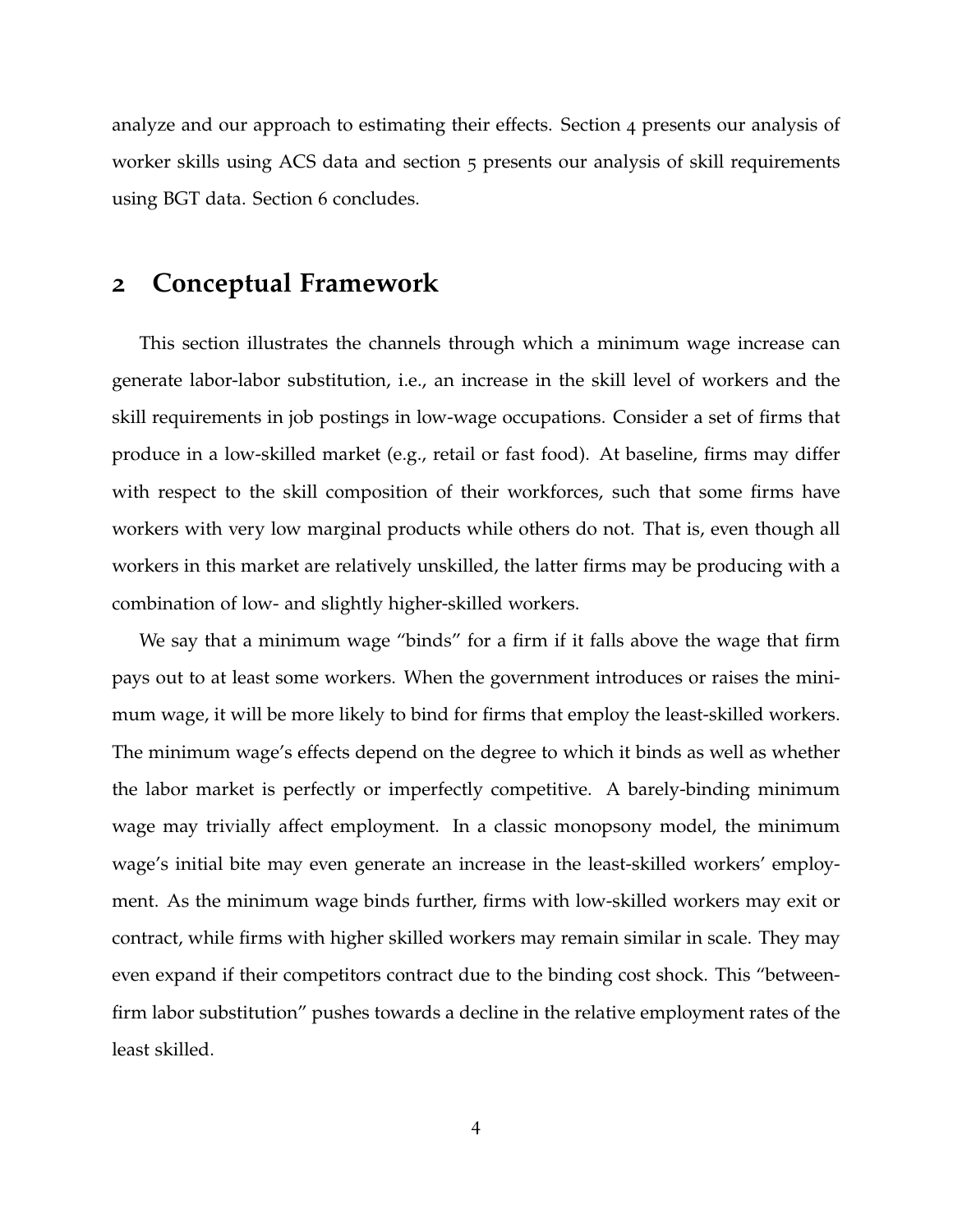analyze and our approach to estimating their effects. Section 4 presents our analysis of worker skills using ACS data and section 5 presents our analysis of skill requirements using BGT data. Section 6 concludes.

# <span id="page-4-0"></span>**2 Conceptual Framework**

This section illustrates the channels through which a minimum wage increase can generate labor-labor substitution, i.e., an increase in the skill level of workers and the skill requirements in job postings in low-wage occupations. Consider a set of firms that produce in a low-skilled market (e.g., retail or fast food). At baseline, firms may differ with respect to the skill composition of their workforces, such that some firms have workers with very low marginal products while others do not. That is, even though all workers in this market are relatively unskilled, the latter firms may be producing with a combination of low- and slightly higher-skilled workers.

We say that a minimum wage "binds" for a firm if it falls above the wage that firm pays out to at least some workers. When the government introduces or raises the minimum wage, it will be more likely to bind for firms that employ the least-skilled workers. The minimum wage's effects depend on the degree to which it binds as well as whether the labor market is perfectly or imperfectly competitive. A barely-binding minimum wage may trivially affect employment. In a classic monopsony model, the minimum wage's initial bite may even generate an increase in the least-skilled workers' employment. As the minimum wage binds further, firms with low-skilled workers may exit or contract, while firms with higher skilled workers may remain similar in scale. They may even expand if their competitors contract due to the binding cost shock. This "betweenfirm labor substitution" pushes towards a decline in the relative employment rates of the least skilled.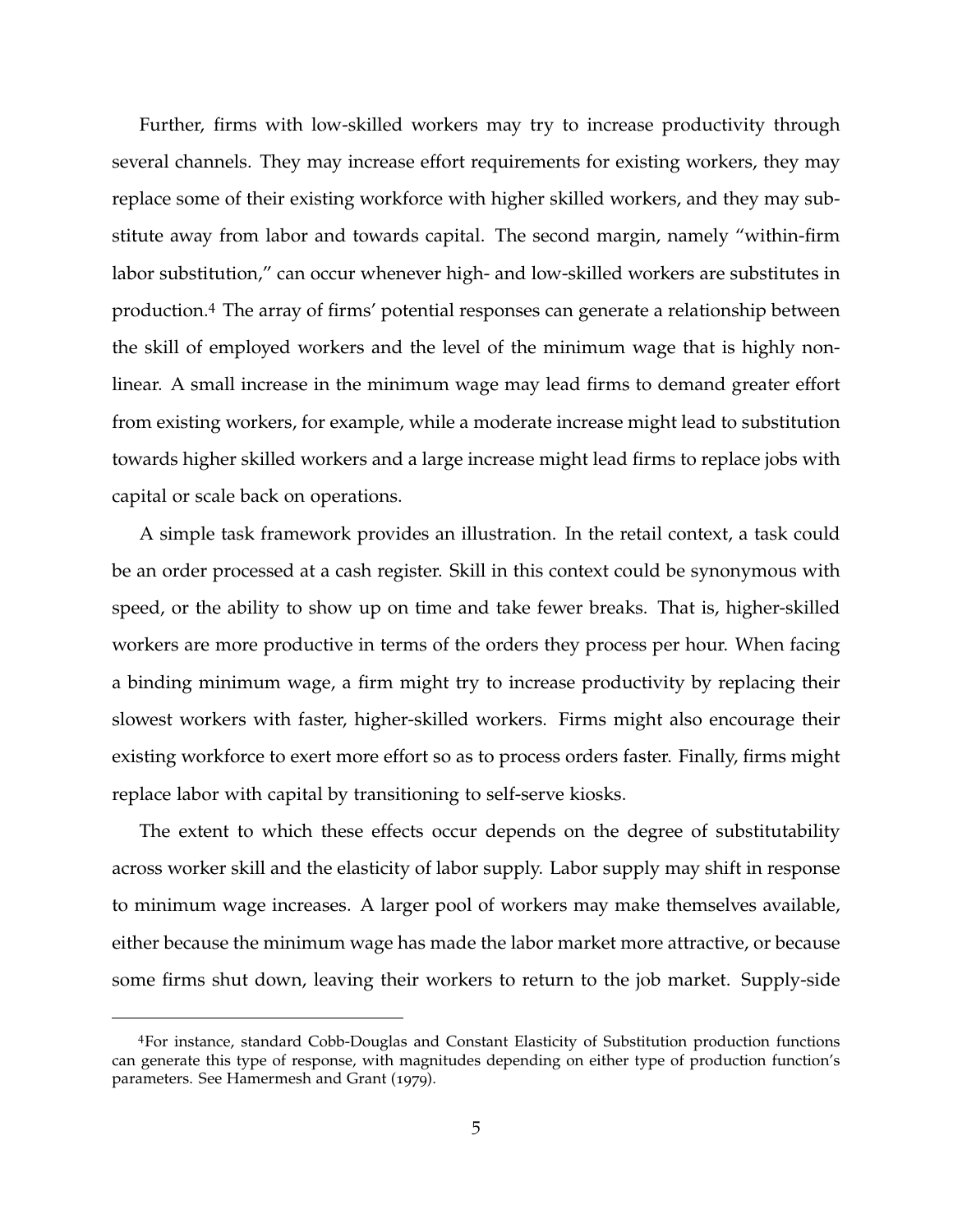Further, firms with low-skilled workers may try to increase productivity through several channels. They may increase effort requirements for existing workers, they may replace some of their existing workforce with higher skilled workers, and they may substitute away from labor and towards capital. The second margin, namely "within-firm labor substitution," can occur whenever high- and low-skilled workers are substitutes in production.[4](#page-0-0) The array of firms' potential responses can generate a relationship between the skill of employed workers and the level of the minimum wage that is highly nonlinear. A small increase in the minimum wage may lead firms to demand greater effort from existing workers, for example, while a moderate increase might lead to substitution towards higher skilled workers and a large increase might lead firms to replace jobs with capital or scale back on operations.

A simple task framework provides an illustration. In the retail context, a task could be an order processed at a cash register. Skill in this context could be synonymous with speed, or the ability to show up on time and take fewer breaks. That is, higher-skilled workers are more productive in terms of the orders they process per hour. When facing a binding minimum wage, a firm might try to increase productivity by replacing their slowest workers with faster, higher-skilled workers. Firms might also encourage their existing workforce to exert more effort so as to process orders faster. Finally, firms might replace labor with capital by transitioning to self-serve kiosks.

The extent to which these effects occur depends on the degree of substitutability across worker skill and the elasticity of labor supply. Labor supply may shift in response to minimum wage increases. A larger pool of workers may make themselves available, either because the minimum wage has made the labor market more attractive, or because some firms shut down, leaving their workers to return to the job market. Supply-side

<sup>4</sup>For instance, standard Cobb-Douglas and Constant Elasticity of Substitution production functions can generate this type of response, with magnitudes depending on either type of production function's parameters. See [Hamermesh and Grant](#page-40-10) ([1979](#page-40-10)).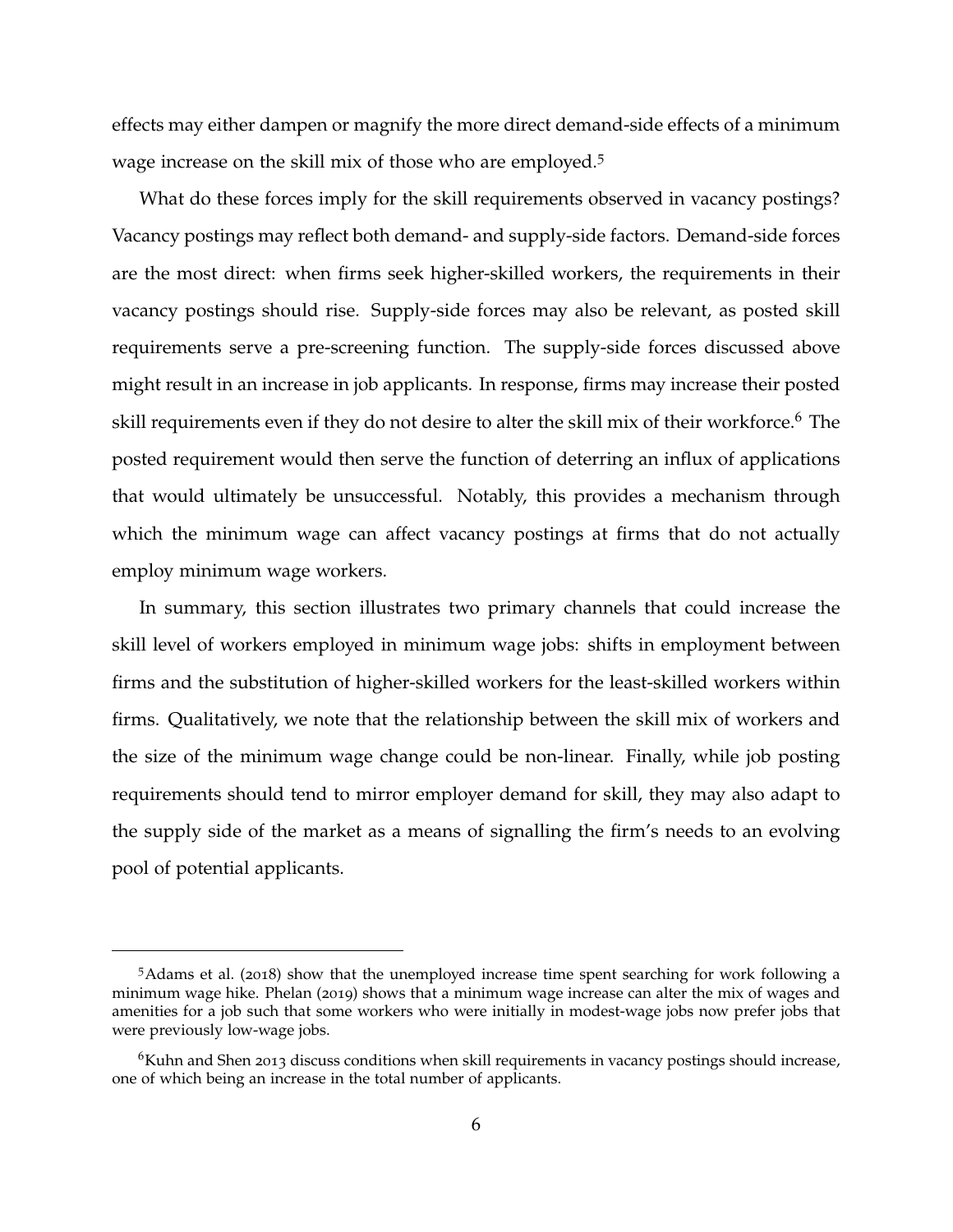effects may either dampen or magnify the more direct demand-side effects of a minimum wage increase on the skill mix of those who are employed.[5](#page-0-0)

What do these forces imply for the skill requirements observed in vacancy postings? Vacancy postings may reflect both demand- and supply-side factors. Demand-side forces are the most direct: when firms seek higher-skilled workers, the requirements in their vacancy postings should rise. Supply-side forces may also be relevant, as posted skill requirements serve a pre-screening function. The supply-side forces discussed above might result in an increase in job applicants. In response, firms may increase their posted skill requirements even if they do not desire to alter the skill mix of their workforce.<sup>[6](#page-0-0)</sup> The posted requirement would then serve the function of deterring an influx of applications that would ultimately be unsuccessful. Notably, this provides a mechanism through which the minimum wage can affect vacancy postings at firms that do not actually employ minimum wage workers.

In summary, this section illustrates two primary channels that could increase the skill level of workers employed in minimum wage jobs: shifts in employment between firms and the substitution of higher-skilled workers for the least-skilled workers within firms. Qualitatively, we note that the relationship between the skill mix of workers and the size of the minimum wage change could be non-linear. Finally, while job posting requirements should tend to mirror employer demand for skill, they may also adapt to the supply side of the market as a means of signalling the firm's needs to an evolving pool of potential applicants.

<sup>5</sup>[Adams et al.](#page-38-2) ([2018](#page-38-2)) show that the unemployed increase time spent searching for work following a minimum wage hike. [Phelan](#page-41-11) ([2019](#page-41-11)) shows that a minimum wage increase can alter the mix of wages and amenities for a job such that some workers who were initially in modest-wage jobs now prefer jobs that were previously low-wage jobs.

<sup>&</sup>lt;sup>6</sup>Kuhn and Shen 2013 discuss conditions when skill requirements in vacancy postings should increase, one of which being an increase in the total number of applicants.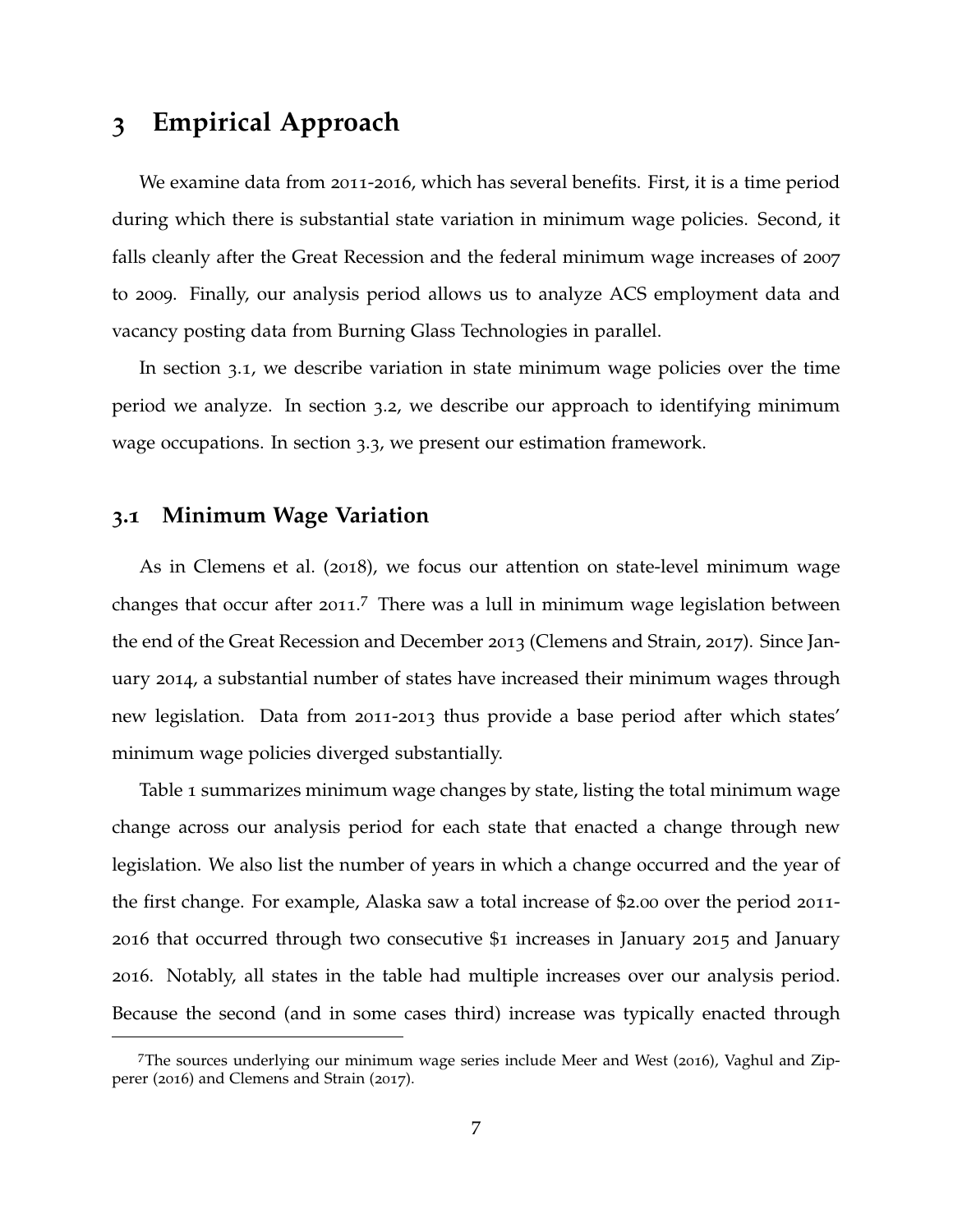# **3 Empirical Approach**

We examine data from 2011-2016, which has several benefits. First, it is a time period during which there is substantial state variation in minimum wage policies. Second, it falls cleanly after the Great Recession and the federal minimum wage increases of 2007 to 2009. Finally, our analysis period allows us to analyze ACS employment data and vacancy posting data from Burning Glass Technologies in parallel.

In section [3](#page-7-0).1, we describe variation in state minimum wage policies over the time period we analyze. In section [3](#page-8-0).2, we describe our approach to identifying minimum wage occupations. In section [3](#page-10-0).3, we present our estimation framework.

# <span id="page-7-0"></span>**3.1 Minimum Wage Variation**

As in [Clemens et al.](#page-39-0) ([2018](#page-39-0)), we focus our attention on state-level minimum wage changes that occur after 2011.<sup>[7](#page-0-0)</sup> There was a lull in minimum wage legislation between the end of the Great Recession and December 2013 [\(Clemens and Strain,](#page-39-6) [2017](#page-39-6)). Since January 2014, a substantial number of states have increased their minimum wages through new legislation. Data from 2011-2013 thus provide a base period after which states' minimum wage policies diverged substantially.

Table [1](#page-50-0) summarizes minimum wage changes by state, listing the total minimum wage change across our analysis period for each state that enacted a change through new legislation. We also list the number of years in which a change occurred and the year of the first change. For example, Alaska saw a total increase of \$2.00 over the period 2011- 2016 that occurred through two consecutive \$1 increases in January 2015 and January 2016. Notably, all states in the table had multiple increases over our analysis period. Because the second (and in some cases third) increase was typically enacted through

<sup>7</sup>The sources underlying our minimum wage series include [Meer and West](#page-41-6) ([2016](#page-41-6)), [Vaghul and Zip](#page-42-3)[perer](#page-42-3) ([2016](#page-42-3)) and [Clemens and Strain](#page-39-6) ([2017](#page-39-6)).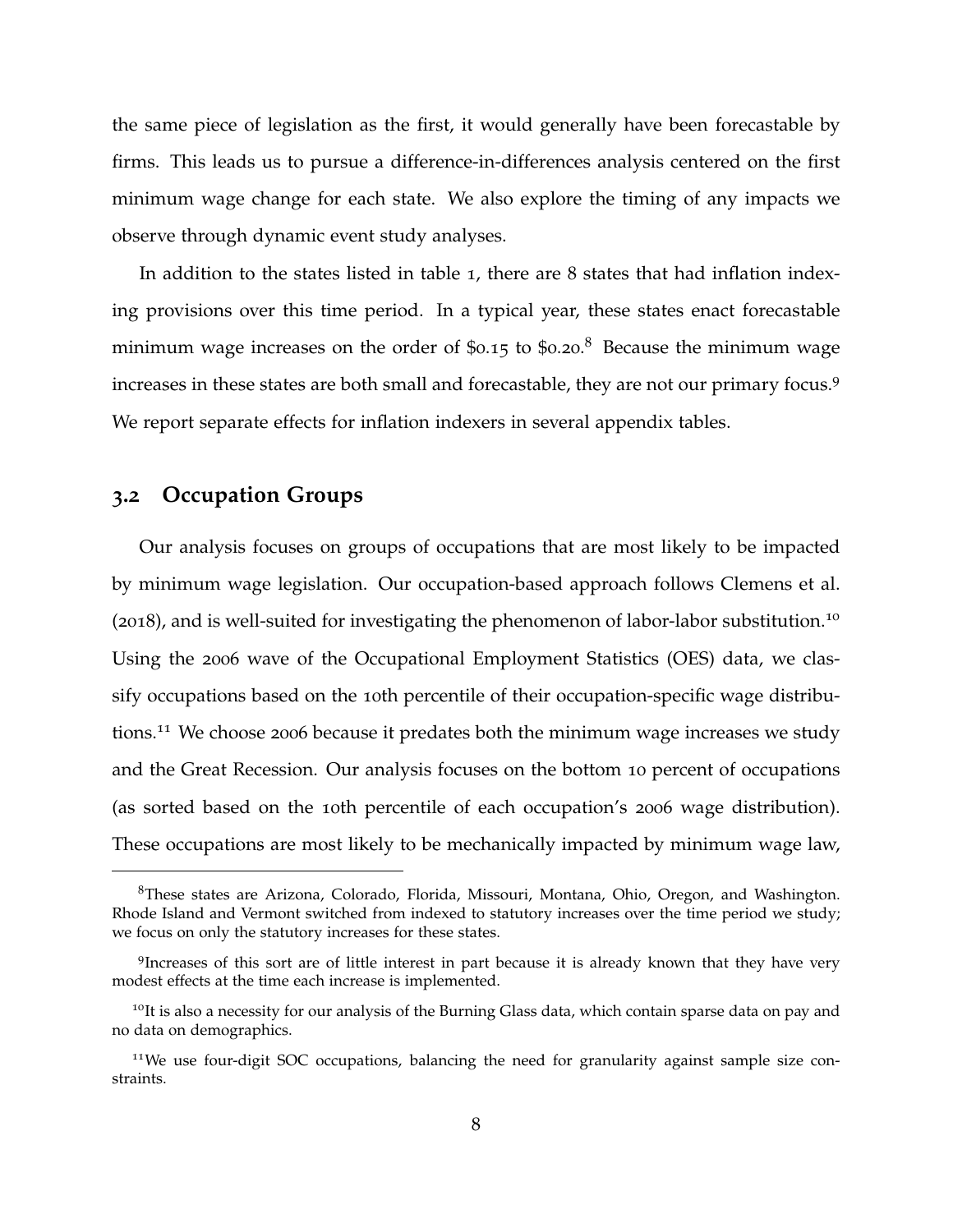the same piece of legislation as the first, it would generally have been forecastable by firms. This leads us to pursue a difference-in-differences analysis centered on the first minimum wage change for each state. We also explore the timing of any impacts we observe through dynamic event study analyses.

In addition to the states listed in table [1](#page-50-0), there are 8 states that had inflation indexing provisions over this time period. In a typical year, these states enact forecastable minimum wage increases on the order of \$0.15 to \$0.20.<sup>[8](#page-0-0)</sup> Because the minimum wage increases in these states are both small and forecastable, they are not our primary focus.[9](#page-0-0) We report separate effects for inflation indexers in several appendix tables.

### <span id="page-8-0"></span>**3.2 Occupation Groups**

Our analysis focuses on groups of occupations that are most likely to be impacted by minimum wage legislation. Our occupation-based approach follows [Clemens et al.](#page-39-0) ([2018](#page-39-0)), and is well-suited for investigating the phenomenon of labor-labor substitution.[10](#page-0-0) Using the 2006 wave of the Occupational Employment Statistics (OES) data, we classify occupations based on the 10th percentile of their occupation-specific wage distributions.[11](#page-0-0) We choose 2006 because it predates both the minimum wage increases we study and the Great Recession. Our analysis focuses on the bottom 10 percent of occupations (as sorted based on the 10th percentile of each occupation's 2006 wage distribution). These occupations are most likely to be mechanically impacted by minimum wage law,

<sup>8</sup>These states are Arizona, Colorado, Florida, Missouri, Montana, Ohio, Oregon, and Washington. Rhode Island and Vermont switched from indexed to statutory increases over the time period we study; we focus on only the statutory increases for these states.

<sup>&</sup>lt;sup>9</sup>Increases of this sort are of little interest in part because it is already known that they have very modest effects at the time each increase is implemented.

 $10$ It is also a necessity for our analysis of the Burning Glass data, which contain sparse data on pay and no data on demographics.

<sup>&</sup>lt;sup>11</sup>We use four-digit SOC occupations, balancing the need for granularity against sample size constraints.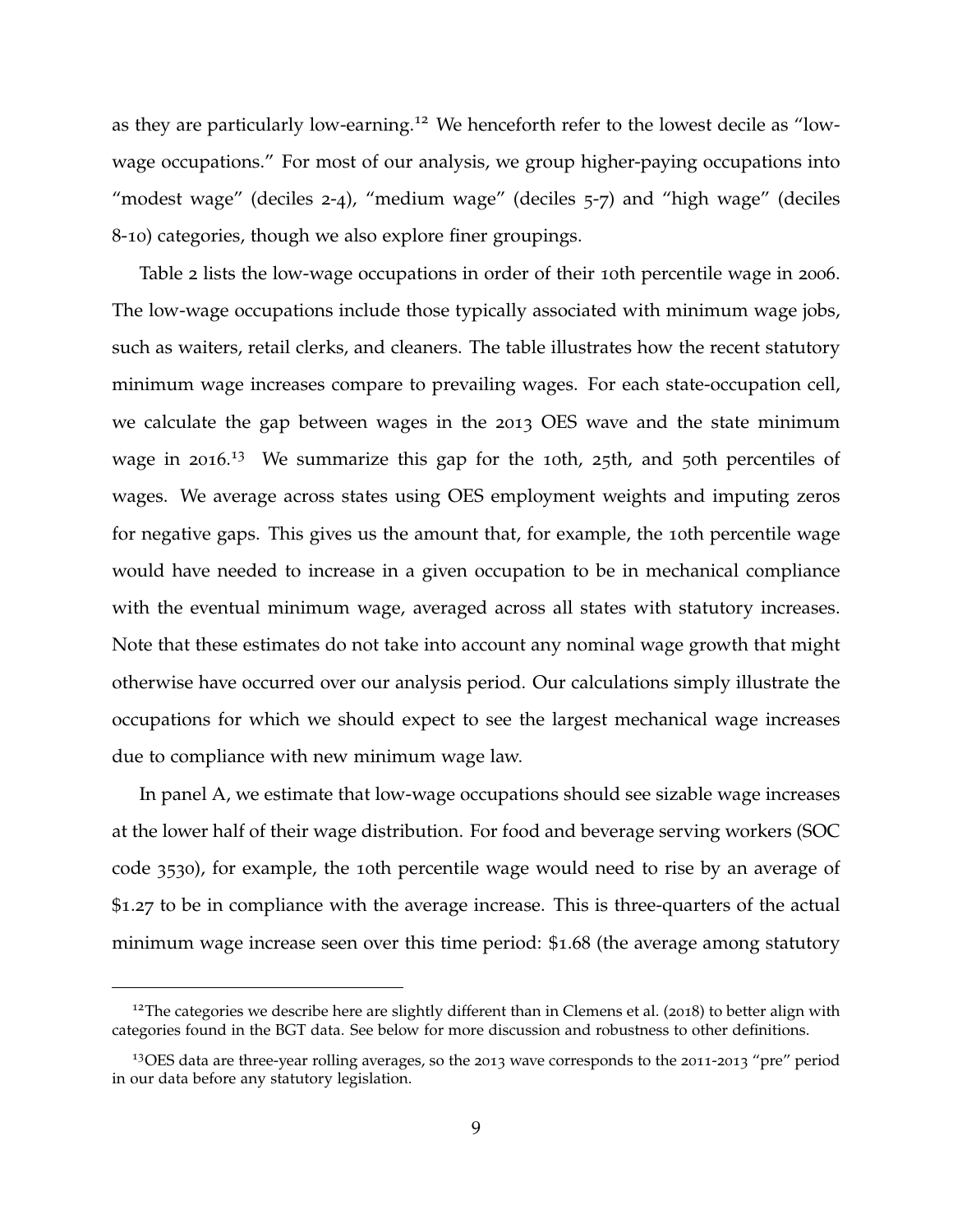as they are particularly low-earning.<sup>[12](#page-0-0)</sup> We henceforth refer to the lowest decile as "lowwage occupations." For most of our analysis, we group higher-paying occupations into "modest wage" (deciles 2-4), "medium wage" (deciles  $5-7$ ) and "high wage" (deciles 8-10) categories, though we also explore finer groupings.

Table [2](#page-51-0) lists the low-wage occupations in order of their 10th percentile wage in 2006. The low-wage occupations include those typically associated with minimum wage jobs, such as waiters, retail clerks, and cleaners. The table illustrates how the recent statutory minimum wage increases compare to prevailing wages. For each state-occupation cell, we calculate the gap between wages in the 2013 OES wave and the state minimum wage in 2016.<sup>[13](#page-0-0)</sup> We summarize this gap for the 10th, 25th, and 50th percentiles of wages. We average across states using OES employment weights and imputing zeros for negative gaps. This gives us the amount that, for example, the 10th percentile wage would have needed to increase in a given occupation to be in mechanical compliance with the eventual minimum wage, averaged across all states with statutory increases. Note that these estimates do not take into account any nominal wage growth that might otherwise have occurred over our analysis period. Our calculations simply illustrate the occupations for which we should expect to see the largest mechanical wage increases due to compliance with new minimum wage law.

In panel A, we estimate that low-wage occupations should see sizable wage increases at the lower half of their wage distribution. For food and beverage serving workers (SOC code 3530), for example, the 10th percentile wage would need to rise by an average of \$1.27 to be in compliance with the average increase. This is three-quarters of the actual minimum wage increase seen over this time period: \$1.68 (the average among statutory

<sup>&</sup>lt;sup>12</sup>The categories we describe here are slightly different than in [Clemens et al.](#page-39-0) ([2018](#page-39-0)) to better align with categories found in the BGT data. See below for more discussion and robustness to other definitions.

<sup>13</sup>OES data are three-year rolling averages, so the 2013 wave corresponds to the 2011-2013 "pre" period in our data before any statutory legislation.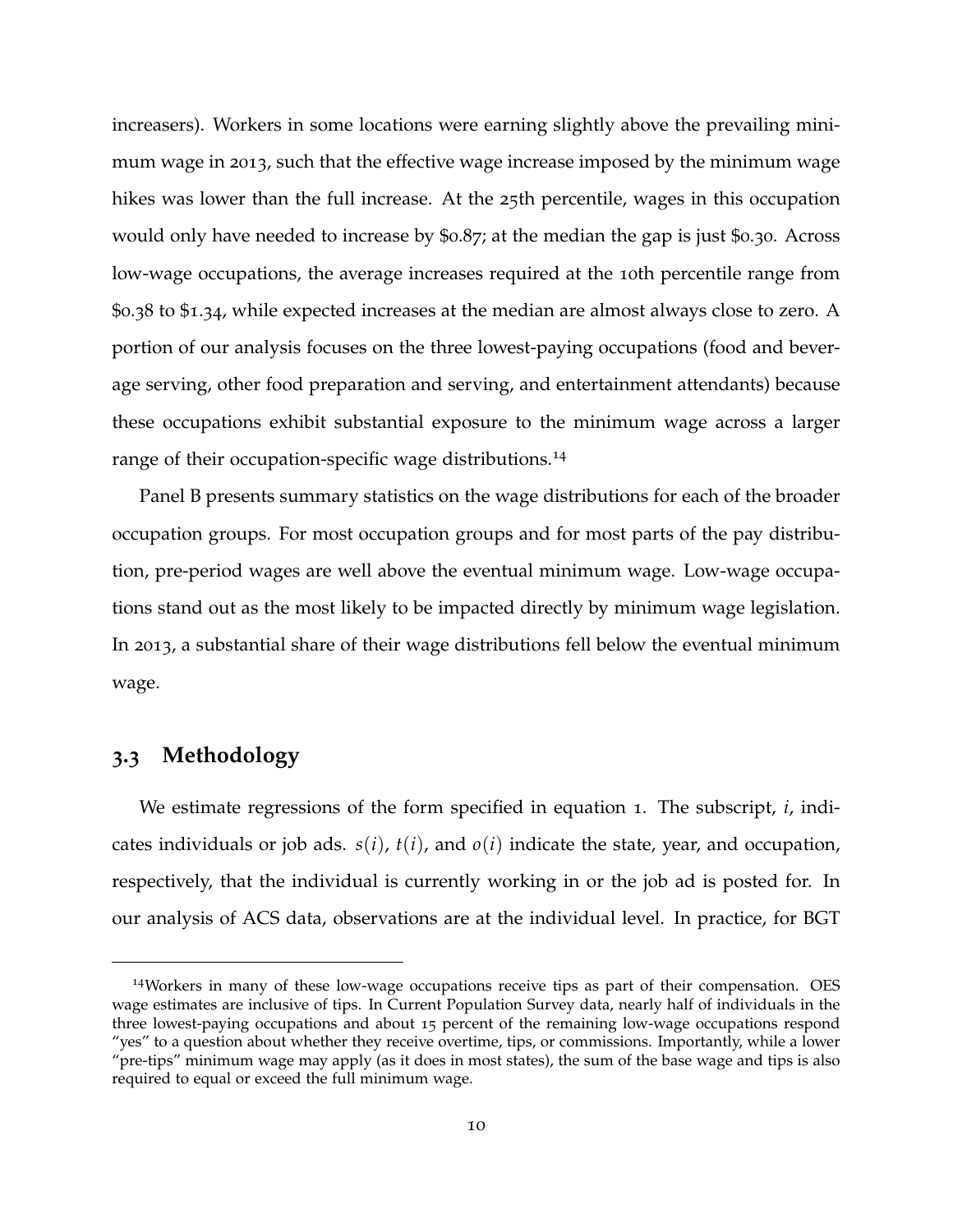increasers). Workers in some locations were earning slightly above the prevailing minimum wage in 2013, such that the effective wage increase imposed by the minimum wage hikes was lower than the full increase. At the 25th percentile, wages in this occupation would only have needed to increase by \$0.87; at the median the gap is just \$0.30. Across low-wage occupations, the average increases required at the 10th percentile range from \$0.38 to \$1.34, while expected increases at the median are almost always close to zero. A portion of our analysis focuses on the three lowest-paying occupations (food and beverage serving, other food preparation and serving, and entertainment attendants) because these occupations exhibit substantial exposure to the minimum wage across a larger range of their occupation-specific wage distributions.<sup>[14](#page-0-0)</sup>

Panel B presents summary statistics on the wage distributions for each of the broader occupation groups. For most occupation groups and for most parts of the pay distribution, pre-period wages are well above the eventual minimum wage. Low-wage occupations stand out as the most likely to be impacted directly by minimum wage legislation. In 2013, a substantial share of their wage distributions fell below the eventual minimum wage.

# <span id="page-10-0"></span>**3.3 Methodology**

We estimate regressions of the form specified in equation [1](#page-11-0). The subscript, *i*, indicates individuals or job ads.  $s(i)$ ,  $t(i)$ , and  $o(i)$  indicate the state, year, and occupation, respectively, that the individual is currently working in or the job ad is posted for. In our analysis of ACS data, observations are at the individual level. In practice, for BGT

<sup>14</sup>Workers in many of these low-wage occupations receive tips as part of their compensation. OES wage estimates are inclusive of tips. In Current Population Survey data, nearly half of individuals in the three lowest-paying occupations and about 15 percent of the remaining low-wage occupations respond "yes" to a question about whether they receive overtime, tips, or commissions. Importantly, while a lower "pre-tips" minimum wage may apply (as it does in most states), the sum of the base wage and tips is also required to equal or exceed the full minimum wage.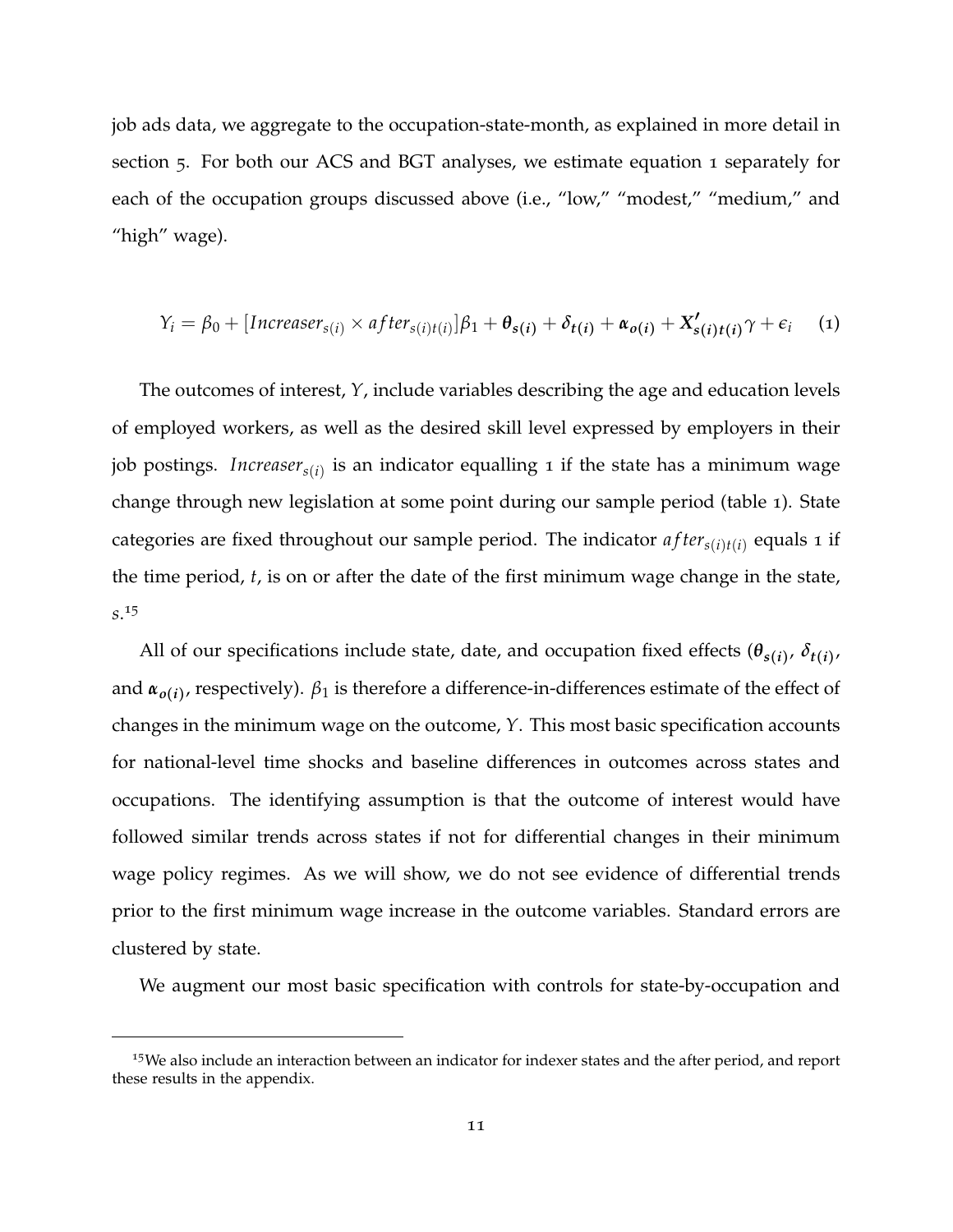job ads data, we aggregate to the occupation-state-month, as explained in more detail in section [5](#page-21-0). For both our ACS and BGT analyses, we estimate equation [1](#page-11-0) separately for each of the occupation groups discussed above (i.e., "low," "modest," "medium," and "high" wage).

<span id="page-11-0"></span>
$$
Y_i = \beta_0 + [Increasing_{s(i)} \times after_{s(i)t(i)}] \beta_1 + \theta_{s(i)} + \delta_{t(i)} + \alpha_{o(i)} + X'_{s(i)t(i)} \gamma + \epsilon_i \quad (1)
$$

The outcomes of interest, *Y*, include variables describing the age and education levels of employed workers, as well as the desired skill level expressed by employers in their job postings. *Increasers*(*i*) is an indicator equalling 1 if the state has a minimum wage change through new legislation at some point during our sample period (table [1](#page-50-0)). State categories are fixed throughout our sample period. The indicator  $after_{s(i)t(i)}$  equals 1 if the time period, *t*, is on or after the date of the first minimum wage change in the state, *s*. [15](#page-0-0)

All of our specifications include state, date, and occupation fixed effects  $(\theta_{s(i)}, \delta_{t(i)})$ and  $\pmb{\alpha}_{o(i)}$ , respectively).  $\beta_1$  is therefore a difference-in-differences estimate of the effect of changes in the minimum wage on the outcome, *Y*. This most basic specification accounts for national-level time shocks and baseline differences in outcomes across states and occupations. The identifying assumption is that the outcome of interest would have followed similar trends across states if not for differential changes in their minimum wage policy regimes. As we will show, we do not see evidence of differential trends prior to the first minimum wage increase in the outcome variables. Standard errors are clustered by state.

We augment our most basic specification with controls for state-by-occupation and

<sup>&</sup>lt;sup>15</sup>We also include an interaction between an indicator for indexer states and the after period, and report these results in the appendix.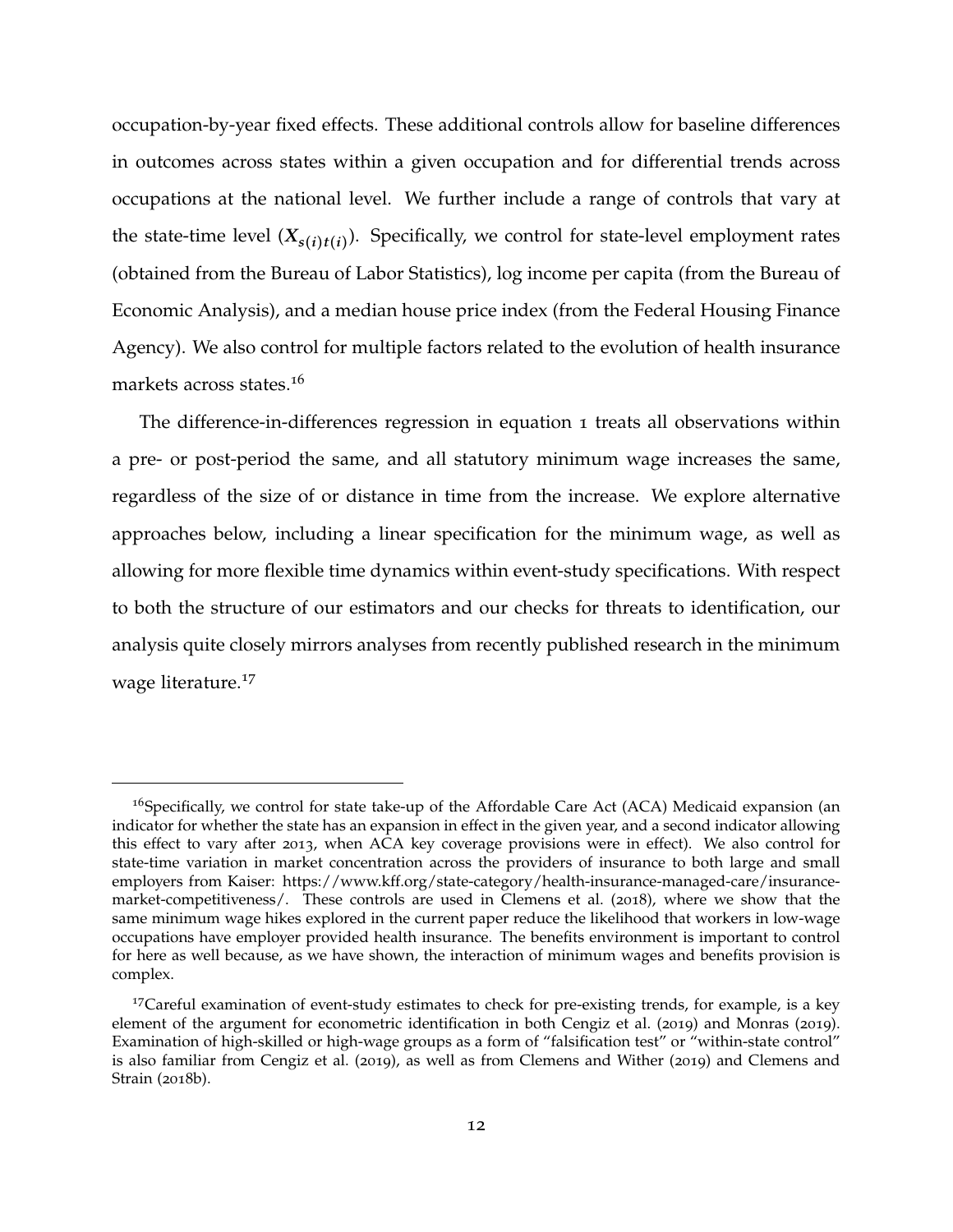occupation-by-year fixed effects. These additional controls allow for baseline differences in outcomes across states within a given occupation and for differential trends across occupations at the national level. We further include a range of controls that vary at the state-time level  $(X_{s(i)t(i)})$ . Specifically, we control for state-level employment rates (obtained from the Bureau of Labor Statistics), log income per capita (from the Bureau of Economic Analysis), and a median house price index (from the Federal Housing Finance Agency). We also control for multiple factors related to the evolution of health insurance markets across states.[16](#page-0-0)

The difference-in-differences regression in equation [1](#page-11-0) treats all observations within a pre- or post-period the same, and all statutory minimum wage increases the same, regardless of the size of or distance in time from the increase. We explore alternative approaches below, including a linear specification for the minimum wage, as well as allowing for more flexible time dynamics within event-study specifications. With respect to both the structure of our estimators and our checks for threats to identification, our analysis quite closely mirrors analyses from recently published research in the minimum wage literature.[17](#page-0-0)

<sup>&</sup>lt;sup>16</sup>Specifically, we control for state take-up of the Affordable Care Act (ACA) Medicaid expansion (an indicator for whether the state has an expansion in effect in the given year, and a second indicator allowing this effect to vary after 2013, when ACA key coverage provisions were in effect). We also control for state-time variation in market concentration across the providers of insurance to both large and small employers from Kaiser: https://www.kff.org/state-category/health-insurance-managed-care/insurancemarket-competitiveness/. These controls are used in [Clemens et al.](#page-39-0) ([2018](#page-39-0)), where we show that the same minimum wage hikes explored in the current paper reduce the likelihood that workers in low-wage occupations have employer provided health insurance. The benefits environment is important to control for here as well because, as we have shown, the interaction of minimum wages and benefits provision is complex.

<sup>&</sup>lt;sup>17</sup>Careful examination of event-study estimates to check for pre-existing trends, for example, is a key element of the argument for econometric identification in both [Cengiz et al.](#page-39-7) ([2019](#page-39-7)) and [Monras](#page-41-12) ([2019](#page-41-12)). Examination of high-skilled or high-wage groups as a form of "falsification test" or "within-state control" is also familiar from [Cengiz et al.](#page-39-7) ([2019](#page-39-7)), as well as from [Clemens and Wither](#page-39-5) ([2019](#page-39-5)) and [Clemens and](#page-39-8) [Strain](#page-39-8) ([2018](#page-39-8)b).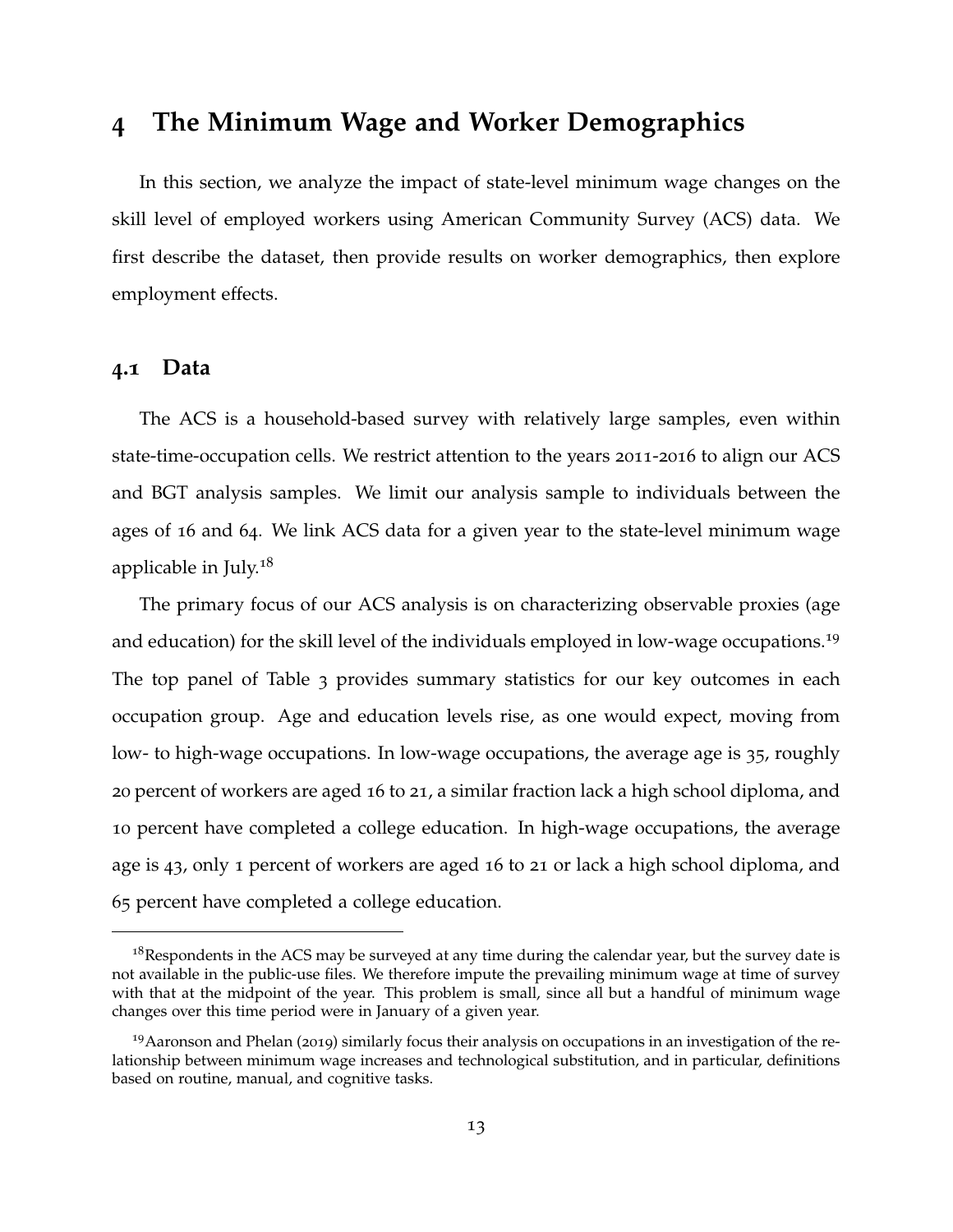# **4 The Minimum Wage and Worker Demographics**

In this section, we analyze the impact of state-level minimum wage changes on the skill level of employed workers using American Community Survey (ACS) data. We first describe the dataset, then provide results on worker demographics, then explore employment effects.

#### **4.1 Data**

The ACS is a household-based survey with relatively large samples, even within state-time-occupation cells. We restrict attention to the years 2011-2016 to align our ACS and BGT analysis samples. We limit our analysis sample to individuals between the ages of 16 and 64. We link ACS data for a given year to the state-level minimum wage applicable in July.[18](#page-0-0)

The primary focus of our ACS analysis is on characterizing observable proxies (age and education) for the skill level of the individuals employed in low-wage occupations.<sup>[19](#page-0-0)</sup> The top panel of Table [3](#page-52-0) provides summary statistics for our key outcomes in each occupation group. Age and education levels rise, as one would expect, moving from low- to high-wage occupations. In low-wage occupations, the average age is 35, roughly 20 percent of workers are aged 16 to 21, a similar fraction lack a high school diploma, and 10 percent have completed a college education. In high-wage occupations, the average age is 43, only 1 percent of workers are aged 16 to 21 or lack a high school diploma, and 65 percent have completed a college education.

<sup>&</sup>lt;sup>18</sup>Respondents in the ACS may be surveyed at any time during the calendar year, but the survey date is not available in the public-use files. We therefore impute the prevailing minimum wage at time of survey with that at the midpoint of the year. This problem is small, since all but a handful of minimum wage changes over this time period were in January of a given year.

<sup>&</sup>lt;sup>19</sup>[Aaronson and Phelan](#page-38-0) ([2019](#page-38-0)) similarly focus their analysis on occupations in an investigation of the relationship between minimum wage increases and technological substitution, and in particular, definitions based on routine, manual, and cognitive tasks.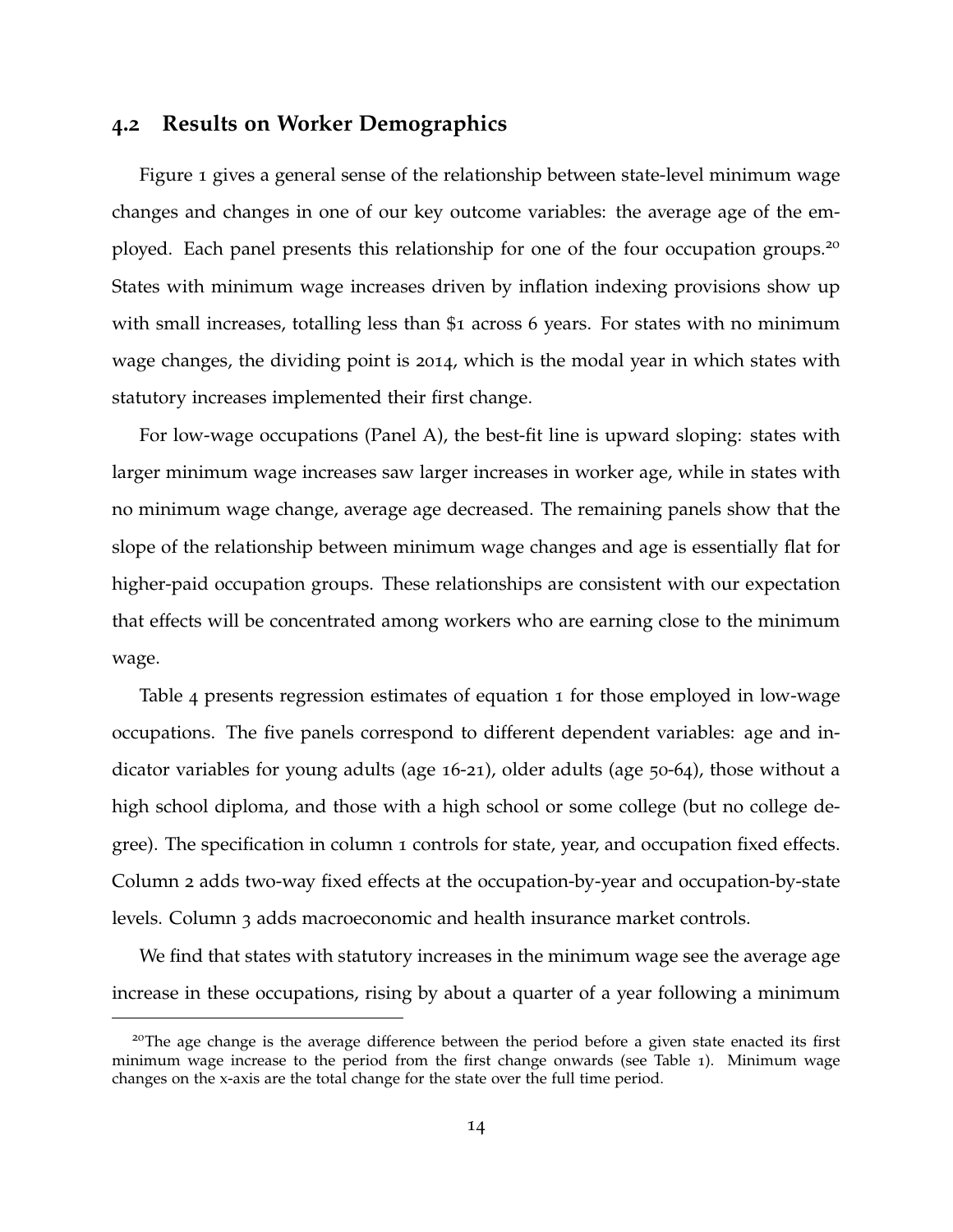### <span id="page-14-0"></span>**4.2 Results on Worker Demographics**

Figure [1](#page-43-0) gives a general sense of the relationship between state-level minimum wage changes and changes in one of our key outcome variables: the average age of the em-ployed. Each panel presents this relationship for one of the four occupation groups.<sup>[20](#page-0-0)</sup> States with minimum wage increases driven by inflation indexing provisions show up with small increases, totalling less than \$1 across 6 years. For states with no minimum wage changes, the dividing point is 2014, which is the modal year in which states with statutory increases implemented their first change.

For low-wage occupations (Panel A), the best-fit line is upward sloping: states with larger minimum wage increases saw larger increases in worker age, while in states with no minimum wage change, average age decreased. The remaining panels show that the slope of the relationship between minimum wage changes and age is essentially flat for higher-paid occupation groups. These relationships are consistent with our expectation that effects will be concentrated among workers who are earning close to the minimum wage.

Table [4](#page-53-0) presents regression estimates of equation [1](#page-11-0) for those employed in low-wage occupations. The five panels correspond to different dependent variables: age and indicator variables for young adults (age 16-21), older adults (age 50-64), those without a high school diploma, and those with a high school or some college (but no college degree). The specification in column 1 controls for state, year, and occupation fixed effects. Column 2 adds two-way fixed effects at the occupation-by-year and occupation-by-state levels. Column 3 adds macroeconomic and health insurance market controls.

We find that states with statutory increases in the minimum wage see the average age increase in these occupations, rising by about a quarter of a year following a minimum

<sup>&</sup>lt;sup>20</sup>The age change is the average difference between the period before a given state enacted its first minimum wage increase to the period from the first change onwards (see Table [1](#page-50-0)). Minimum wage changes on the x-axis are the total change for the state over the full time period.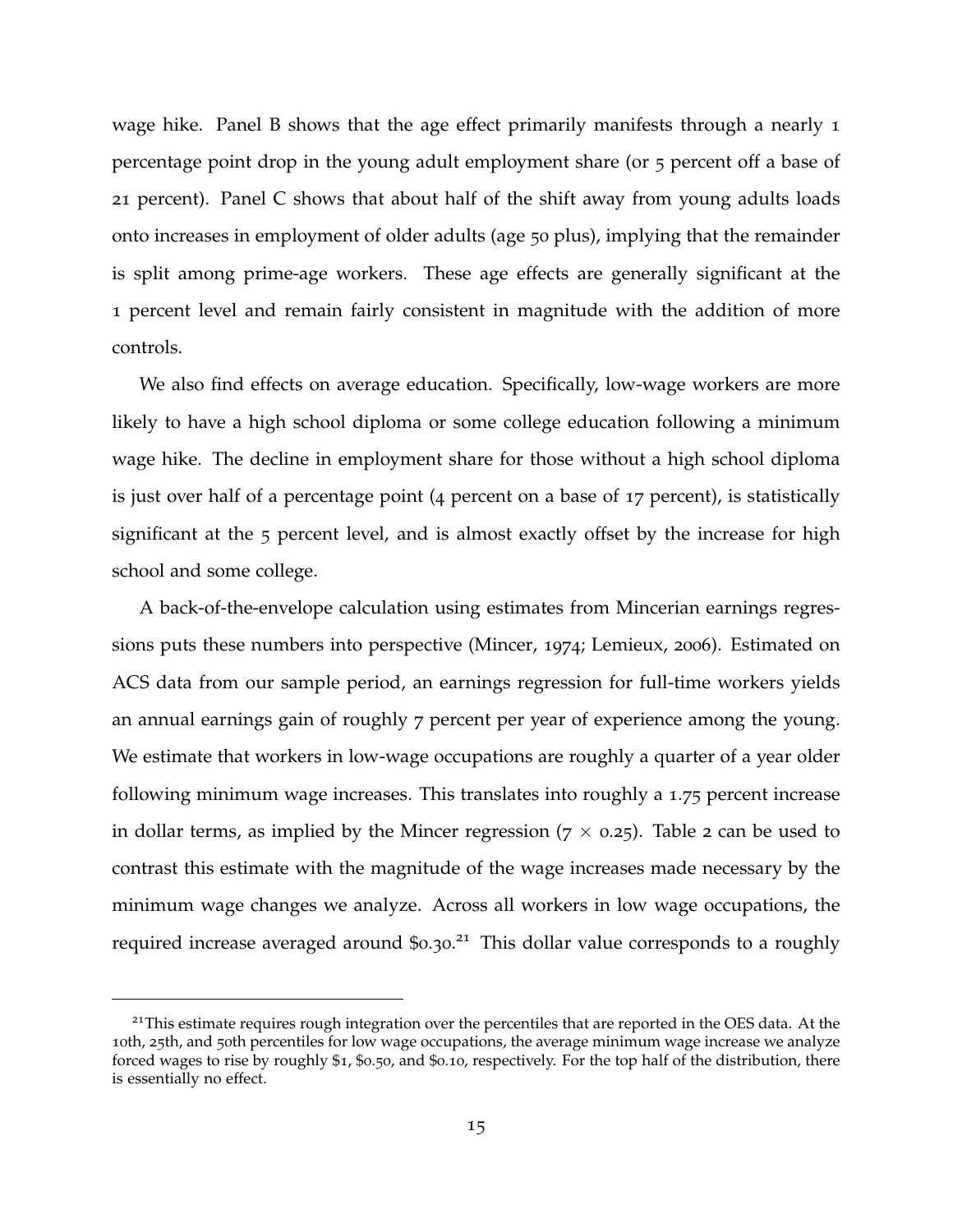wage hike. Panel B shows that the age effect primarily manifests through a nearly 1 percentage point drop in the young adult employment share (or 5 percent off a base of 21 percent). Panel C shows that about half of the shift away from young adults loads onto increases in employment of older adults (age 50 plus), implying that the remainder is split among prime-age workers. These age effects are generally significant at the 1 percent level and remain fairly consistent in magnitude with the addition of more controls.

We also find effects on average education. Specifically, low-wage workers are more likely to have a high school diploma or some college education following a minimum wage hike. The decline in employment share for those without a high school diploma is just over half of a percentage point (4 percent on a base of 17 percent), is statistically significant at the 5 percent level, and is almost exactly offset by the increase for high school and some college.

A back-of-the-envelope calculation using estimates from Mincerian earnings regressions puts these numbers into perspective [\(Mincer,](#page-41-13) [1974](#page-41-13); [Lemieux,](#page-41-0) [2006](#page-41-0)). Estimated on ACS data from our sample period, an earnings regression for full-time workers yields an annual earnings gain of roughly 7 percent per year of experience among the young. We estimate that workers in low-wage occupations are roughly a quarter of a year older following minimum wage increases. This translates into roughly a 1.75 percent increase in dollar terms, as implied by the Mincer regression ( $7 \times 0.25$ ). Table 2 can be used to contrast this estimate with the magnitude of the wage increases made necessary by the minimum wage changes we analyze. Across all workers in low wage occupations, the required increase averaged around \$0.30.<sup>[21](#page-0-0)</sup> This dollar value corresponds to a roughly

<sup>&</sup>lt;sup>21</sup>This estimate requires rough integration over the percentiles that are reported in the OES data. At the 10th, 25th, and 50th percentiles for low wage occupations, the average minimum wage increase we analyze forced wages to rise by roughly \$1, \$0.50, and \$0.10, respectively. For the top half of the distribution, there is essentially no effect.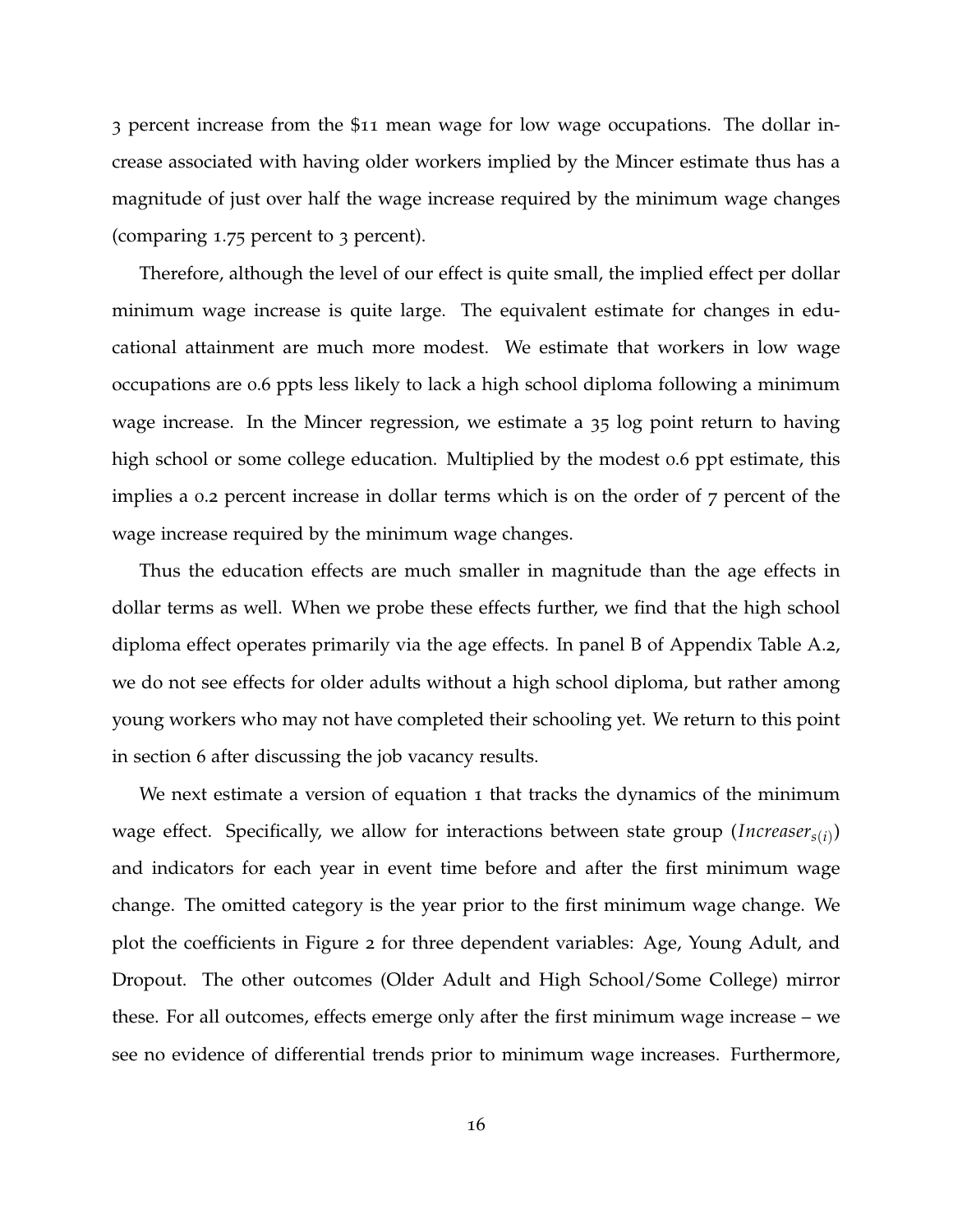3 percent increase from the \$11 mean wage for low wage occupations. The dollar increase associated with having older workers implied by the Mincer estimate thus has a magnitude of just over half the wage increase required by the minimum wage changes (comparing 1.75 percent to 3 percent).

Therefore, although the level of our effect is quite small, the implied effect per dollar minimum wage increase is quite large. The equivalent estimate for changes in educational attainment are much more modest. We estimate that workers in low wage occupations are 0.6 ppts less likely to lack a high school diploma following a minimum wage increase. In the Mincer regression, we estimate a 35 log point return to having high school or some college education. Multiplied by the modest 0.6 ppt estimate, this implies a 0.2 percent increase in dollar terms which is on the order of 7 percent of the wage increase required by the minimum wage changes.

Thus the education effects are much smaller in magnitude than the age effects in dollar terms as well. When we probe these effects further, we find that the high school diploma effect operates primarily via the age effects. In panel B of Appendix Table [A.](#page-60-0)2, we do not see effects for older adults without a high school diploma, but rather among young workers who may not have completed their schooling yet. We return to this point in section [6](#page-32-0) after discussing the job vacancy results.

We next estimate a version of equation [1](#page-11-0) that tracks the dynamics of the minimum wage effect. Specifically, we allow for interactions between state group (*Increasers*(*i*) ) and indicators for each year in event time before and after the first minimum wage change. The omitted category is the year prior to the first minimum wage change. We plot the coefficients in Figure [2](#page-44-0) for three dependent variables: Age, Young Adult, and Dropout. The other outcomes (Older Adult and High School/Some College) mirror these. For all outcomes, effects emerge only after the first minimum wage increase – we see no evidence of differential trends prior to minimum wage increases. Furthermore,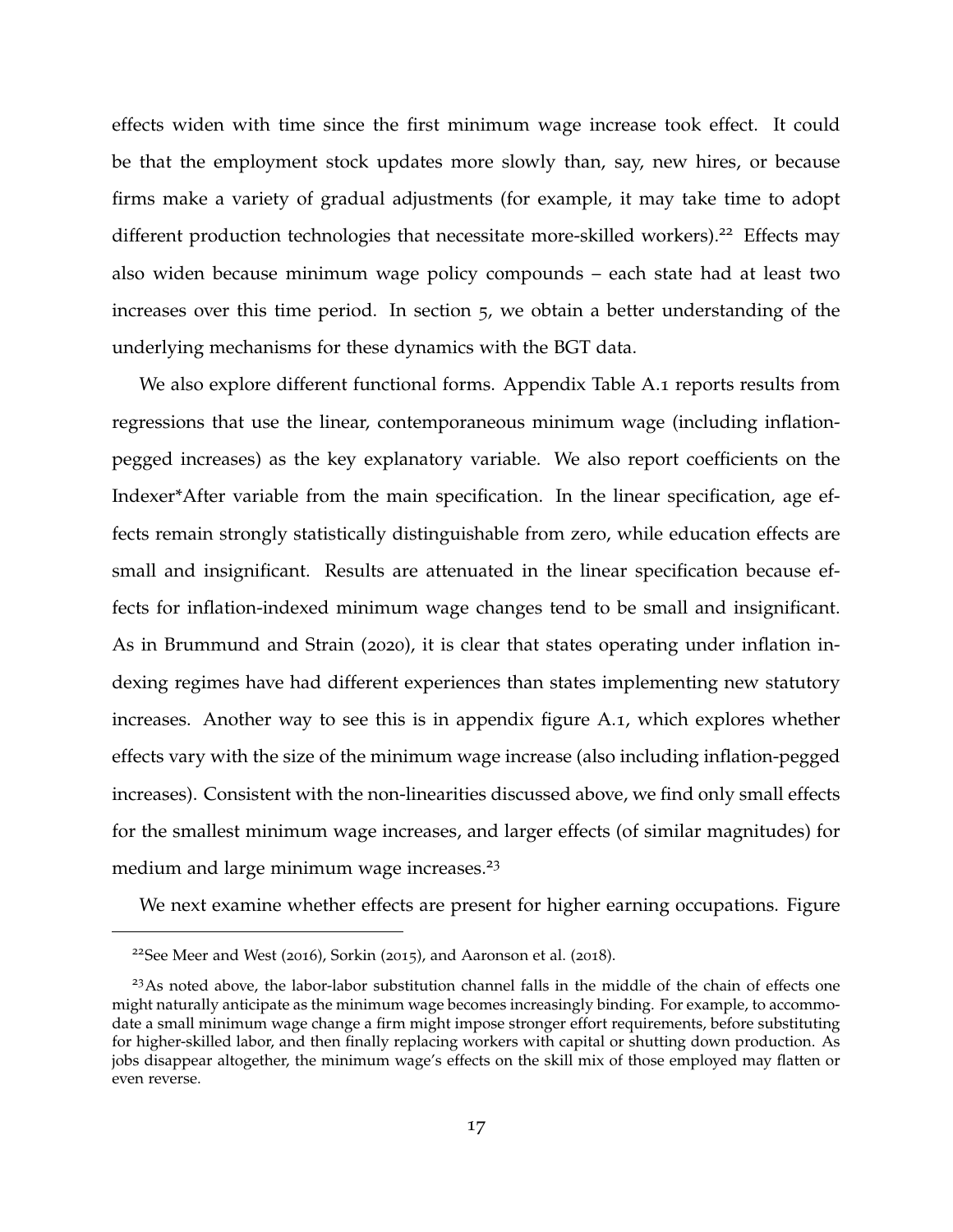effects widen with time since the first minimum wage increase took effect. It could be that the employment stock updates more slowly than, say, new hires, or because firms make a variety of gradual adjustments (for example, it may take time to adopt different production technologies that necessitate more-skilled workers).<sup>[22](#page-0-0)</sup> Effects may also widen because minimum wage policy compounds – each state had at least two increases over this time period. In section [5](#page-21-0), we obtain a better understanding of the underlying mechanisms for these dynamics with the BGT data.

We also explore different functional forms. Appendix Table [A.](#page-59-0)1 reports results from regressions that use the linear, contemporaneous minimum wage (including inflationpegged increases) as the key explanatory variable. We also report coefficients on the Indexer\*After variable from the main specification. In the linear specification, age effects remain strongly statistically distinguishable from zero, while education effects are small and insignificant. Results are attenuated in the linear specification because effects for inflation-indexed minimum wage changes tend to be small and insignificant. As in [Brummund and Strain](#page-38-11) ([2020](#page-38-11)), it is clear that states operating under inflation indexing regimes have had different experiences than states implementing new statutory increases. Another way to see this is in appendix figure [A.](#page-58-0)1, which explores whether effects vary with the size of the minimum wage increase (also including inflation-pegged increases). Consistent with the non-linearities discussed above, we find only small effects for the smallest minimum wage increases, and larger effects (of similar magnitudes) for medium and large minimum wage increases.<sup>[23](#page-0-0)</sup>

We next examine whether effects are present for higher earning occupations. Figure

<sup>&</sup>lt;sup>22</sup>See [Meer and West](#page-41-6) ([2016](#page-41-6)), [Sorkin](#page-42-2) ([2015](#page-42-2)), and [Aaronson et al.](#page-38-8) ([2018](#page-38-8)).

<sup>&</sup>lt;sup>23</sup>As noted above, the labor-labor substitution channel falls in the middle of the chain of effects one might naturally anticipate as the minimum wage becomes increasingly binding. For example, to accommodate a small minimum wage change a firm might impose stronger effort requirements, before substituting for higher-skilled labor, and then finally replacing workers with capital or shutting down production. As jobs disappear altogether, the minimum wage's effects on the skill mix of those employed may flatten or even reverse.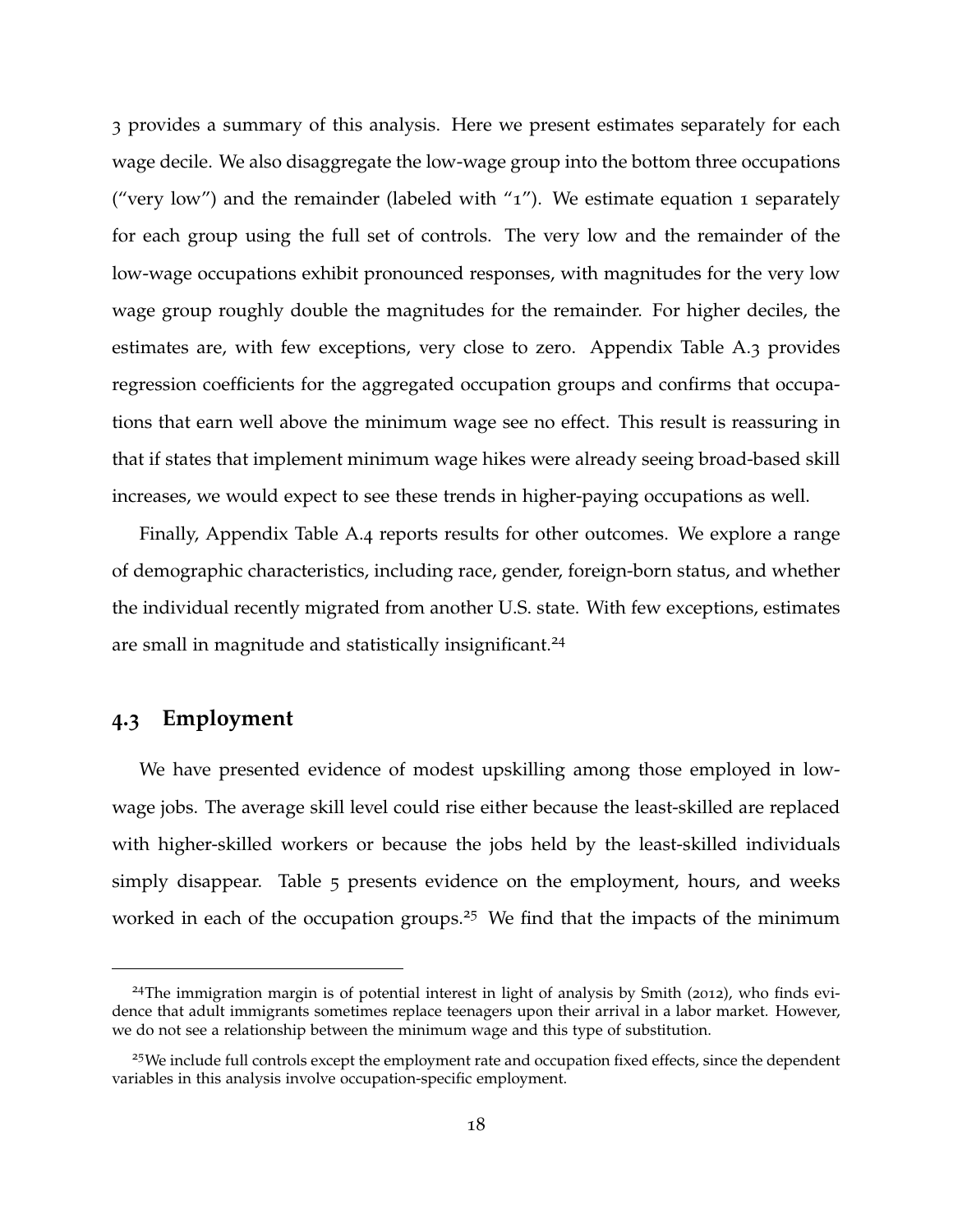[3](#page-45-0) provides a summary of this analysis. Here we present estimates separately for each wage decile. We also disaggregate the low-wage group into the bottom three occupations ("very low") and the remainder (labeled with " $1$ "). We estimate equation 1 separately for each group using the full set of controls. The very low and the remainder of the low-wage occupations exhibit pronounced responses, with magnitudes for the very low wage group roughly double the magnitudes for the remainder. For higher deciles, the estimates are, with few exceptions, very close to zero. Appendix Table [A.](#page-61-0)3 provides regression coefficients for the aggregated occupation groups and confirms that occupations that earn well above the minimum wage see no effect. This result is reassuring in that if states that implement minimum wage hikes were already seeing broad-based skill increases, we would expect to see these trends in higher-paying occupations as well.

Finally, Appendix Table [A.](#page-62-0)4 reports results for other outcomes. We explore a range of demographic characteristics, including race, gender, foreign-born status, and whether the individual recently migrated from another U.S. state. With few exceptions, estimates are small in magnitude and statistically insignificant.<sup>[24](#page-0-0)</sup>

## **4.3 Employment**

We have presented evidence of modest upskilling among those employed in lowwage jobs. The average skill level could rise either because the least-skilled are replaced with higher-skilled workers or because the jobs held by the least-skilled individuals simply disappear. Table [5](#page-54-0) presents evidence on the employment, hours, and weeks worked in each of the occupation groups.<sup>[25](#page-0-0)</sup> We find that the impacts of the minimum

<sup>&</sup>lt;sup>24</sup>The immigration margin is of potential interest in light of analysis by [Smith](#page-42-4) ([2012](#page-42-4)), who finds evidence that adult immigrants sometimes replace teenagers upon their arrival in a labor market. However, we do not see a relationship between the minimum wage and this type of substitution.

<sup>&</sup>lt;sup>25</sup>We include full controls except the employment rate and occupation fixed effects, since the dependent variables in this analysis involve occupation-specific employment.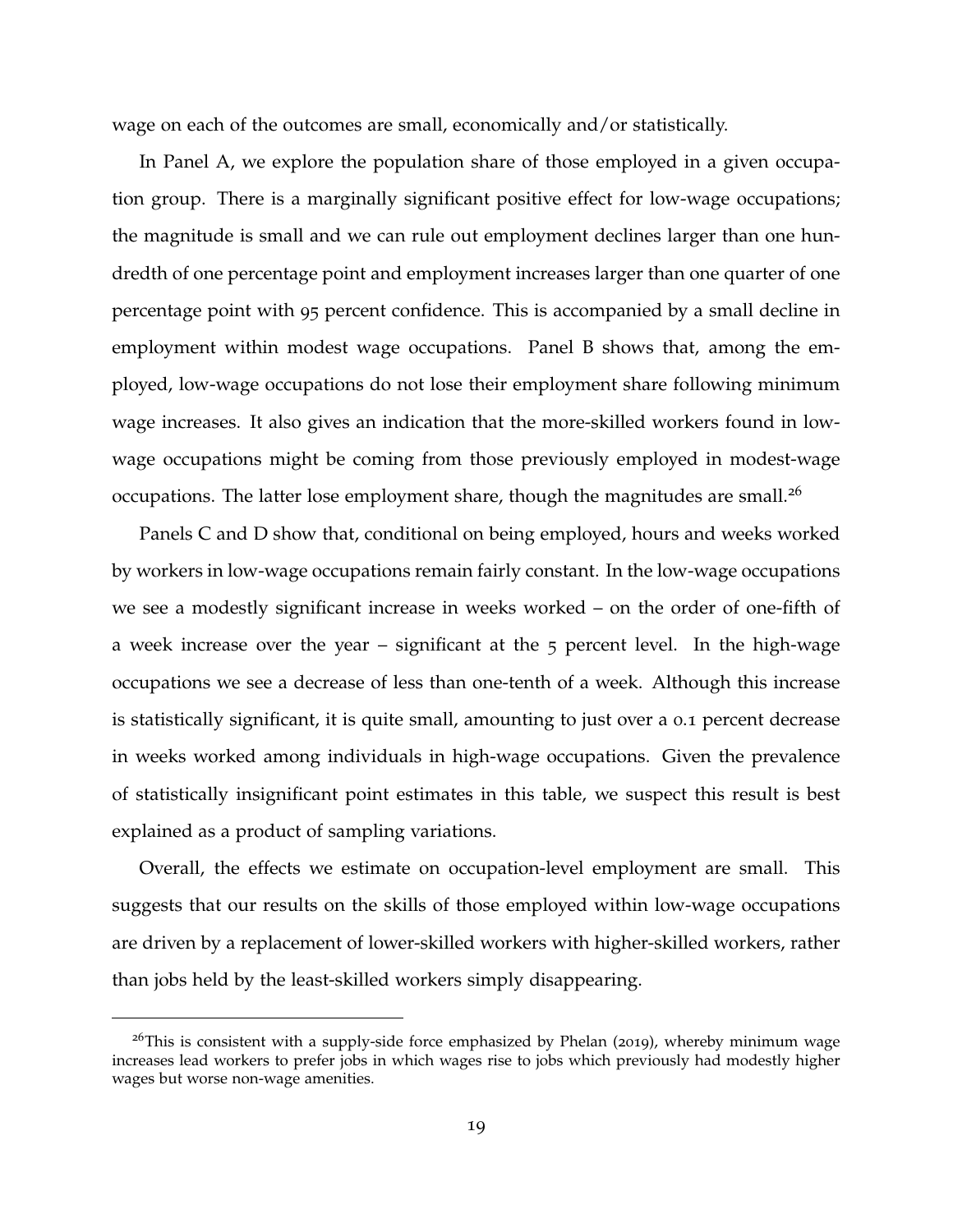wage on each of the outcomes are small, economically and/or statistically.

In Panel A, we explore the population share of those employed in a given occupation group. There is a marginally significant positive effect for low-wage occupations; the magnitude is small and we can rule out employment declines larger than one hundredth of one percentage point and employment increases larger than one quarter of one percentage point with 95 percent confidence. This is accompanied by a small decline in employment within modest wage occupations. Panel B shows that, among the employed, low-wage occupations do not lose their employment share following minimum wage increases. It also gives an indication that the more-skilled workers found in lowwage occupations might be coming from those previously employed in modest-wage occupations. The latter lose employment share, though the magnitudes are small.<sup>[26](#page-0-0)</sup>

Panels C and D show that, conditional on being employed, hours and weeks worked by workers in low-wage occupations remain fairly constant. In the low-wage occupations we see a modestly significant increase in weeks worked – on the order of one-fifth of a week increase over the year  $-$  significant at the  $5$  percent level. In the high-wage occupations we see a decrease of less than one-tenth of a week. Although this increase is statistically significant, it is quite small, amounting to just over a 0.1 percent decrease in weeks worked among individuals in high-wage occupations. Given the prevalence of statistically insignificant point estimates in this table, we suspect this result is best explained as a product of sampling variations.

Overall, the effects we estimate on occupation-level employment are small. This suggests that our results on the skills of those employed within low-wage occupations are driven by a replacement of lower-skilled workers with higher-skilled workers, rather than jobs held by the least-skilled workers simply disappearing.

<sup>&</sup>lt;sup>26</sup>This is consistent with a supply-side force emphasized by [Phelan](#page-41-11) ([2019](#page-41-11)), whereby minimum wage increases lead workers to prefer jobs in which wages rise to jobs which previously had modestly higher wages but worse non-wage amenities.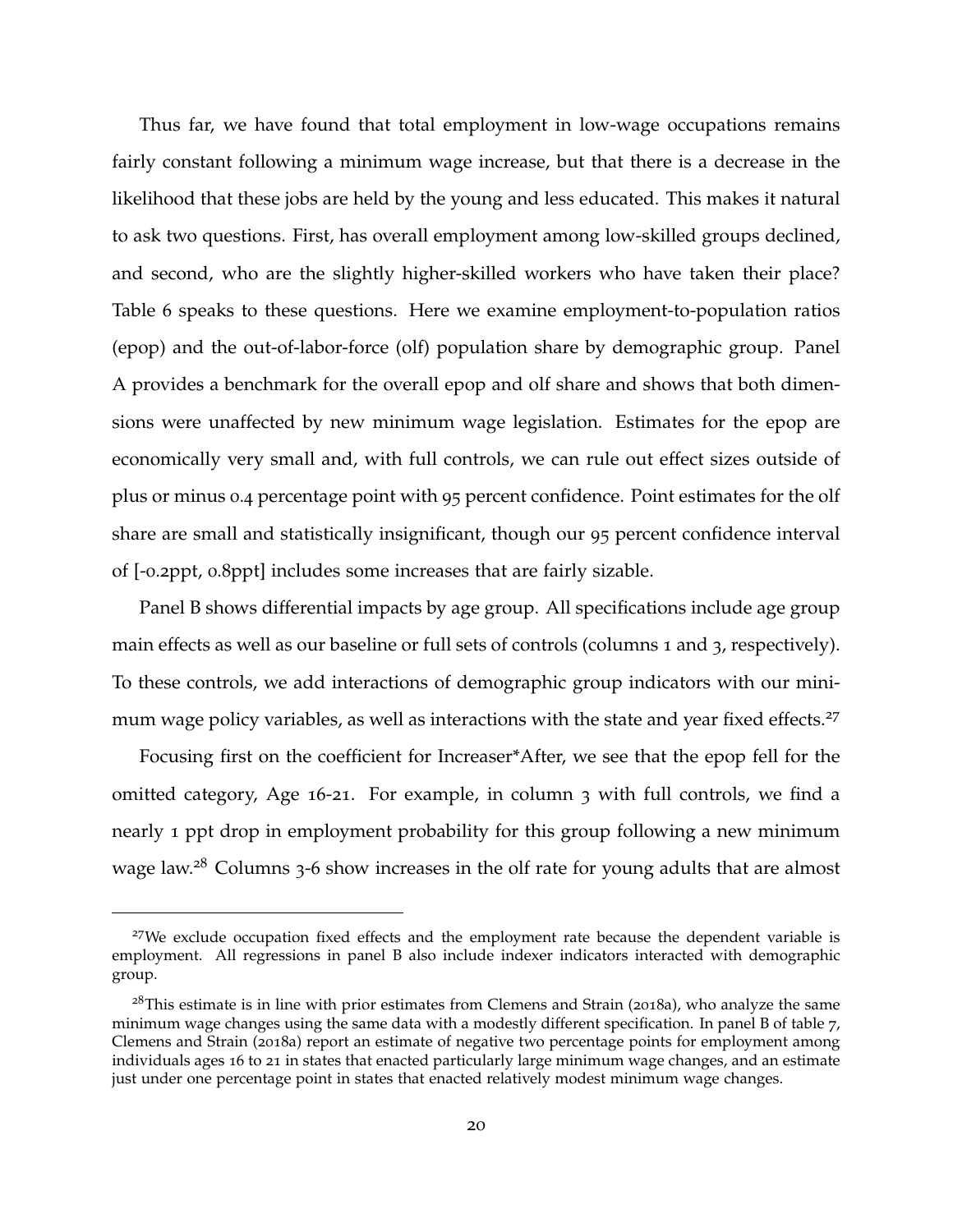Thus far, we have found that total employment in low-wage occupations remains fairly constant following a minimum wage increase, but that there is a decrease in the likelihood that these jobs are held by the young and less educated. This makes it natural to ask two questions. First, has overall employment among low-skilled groups declined, and second, who are the slightly higher-skilled workers who have taken their place? Table [6](#page-55-0) speaks to these questions. Here we examine employment-to-population ratios (epop) and the out-of-labor-force (olf) population share by demographic group. Panel A provides a benchmark for the overall epop and olf share and shows that both dimensions were unaffected by new minimum wage legislation. Estimates for the epop are economically very small and, with full controls, we can rule out effect sizes outside of plus or minus 0.4 percentage point with 95 percent confidence. Point estimates for the olf share are small and statistically insignificant, though our 95 percent confidence interval of [-0.2ppt, 0.8ppt] includes some increases that are fairly sizable.

Panel B shows differential impacts by age group. All specifications include age group main effects as well as our baseline or full sets of controls (columns 1 and 3, respectively). To these controls, we add interactions of demographic group indicators with our mini-mum wage policy variables, as well as interactions with the state and year fixed effects.<sup>[27](#page-0-0)</sup>

Focusing first on the coefficient for Increaser\*After, we see that the epop fell for the omitted category, Age 16-21. For example, in column 3 with full controls, we find a nearly 1 ppt drop in employment probability for this group following a new minimum wage law.<sup>[28](#page-0-0)</sup> Columns 3-6 show increases in the olf rate for young adults that are almost

 $27$ We exclude occupation fixed effects and the employment rate because the dependent variable is employment. All regressions in panel B also include indexer indicators interacted with demographic group.

 $28$ This estimate is in line with prior estimates from [Clemens and Strain](#page-39-9) ([2018](#page-39-9)a), who analyze the same minimum wage changes using the same data with a modestly different specification. In panel B of table 7, [Clemens and Strain](#page-39-9) ([2018](#page-39-9)a) report an estimate of negative two percentage points for employment among individuals ages 16 to 21 in states that enacted particularly large minimum wage changes, and an estimate just under one percentage point in states that enacted relatively modest minimum wage changes.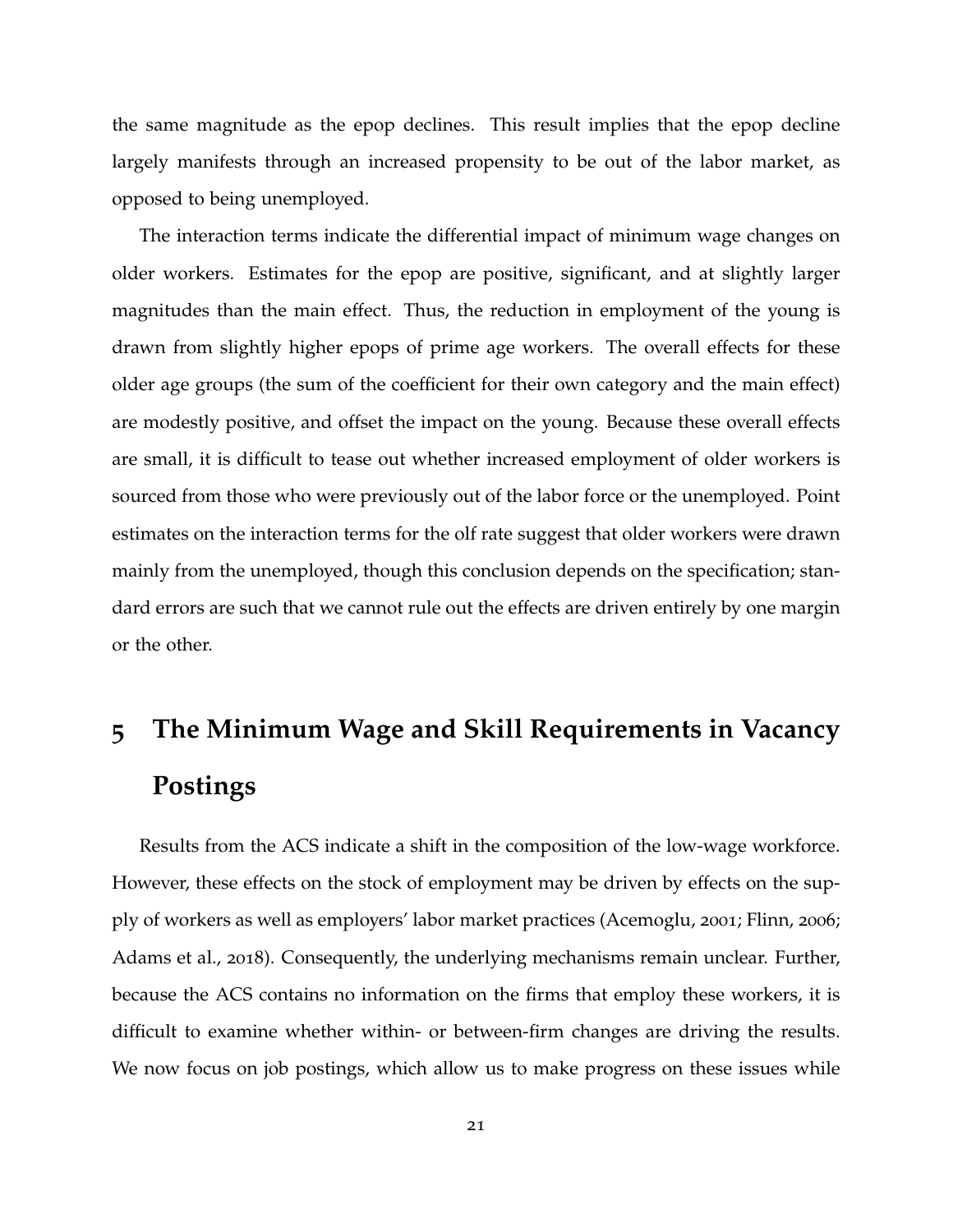the same magnitude as the epop declines. This result implies that the epop decline largely manifests through an increased propensity to be out of the labor market, as opposed to being unemployed.

The interaction terms indicate the differential impact of minimum wage changes on older workers. Estimates for the epop are positive, significant, and at slightly larger magnitudes than the main effect. Thus, the reduction in employment of the young is drawn from slightly higher epops of prime age workers. The overall effects for these older age groups (the sum of the coefficient for their own category and the main effect) are modestly positive, and offset the impact on the young. Because these overall effects are small, it is difficult to tease out whether increased employment of older workers is sourced from those who were previously out of the labor force or the unemployed. Point estimates on the interaction terms for the olf rate suggest that older workers were drawn mainly from the unemployed, though this conclusion depends on the specification; standard errors are such that we cannot rule out the effects are driven entirely by one margin or the other.

# <span id="page-21-0"></span>**5 The Minimum Wage and Skill Requirements in Vacancy Postings**

Results from the ACS indicate a shift in the composition of the low-wage workforce. However, these effects on the stock of employment may be driven by effects on the supply of workers as well as employers' labor market practices [\(Acemoglu,](#page-38-12) [2001](#page-38-12); [Flinn,](#page-40-11) [2006](#page-40-11); [Adams et al.,](#page-38-2) [2018](#page-38-2)). Consequently, the underlying mechanisms remain unclear. Further, because the ACS contains no information on the firms that employ these workers, it is difficult to examine whether within- or between-firm changes are driving the results. We now focus on job postings, which allow us to make progress on these issues while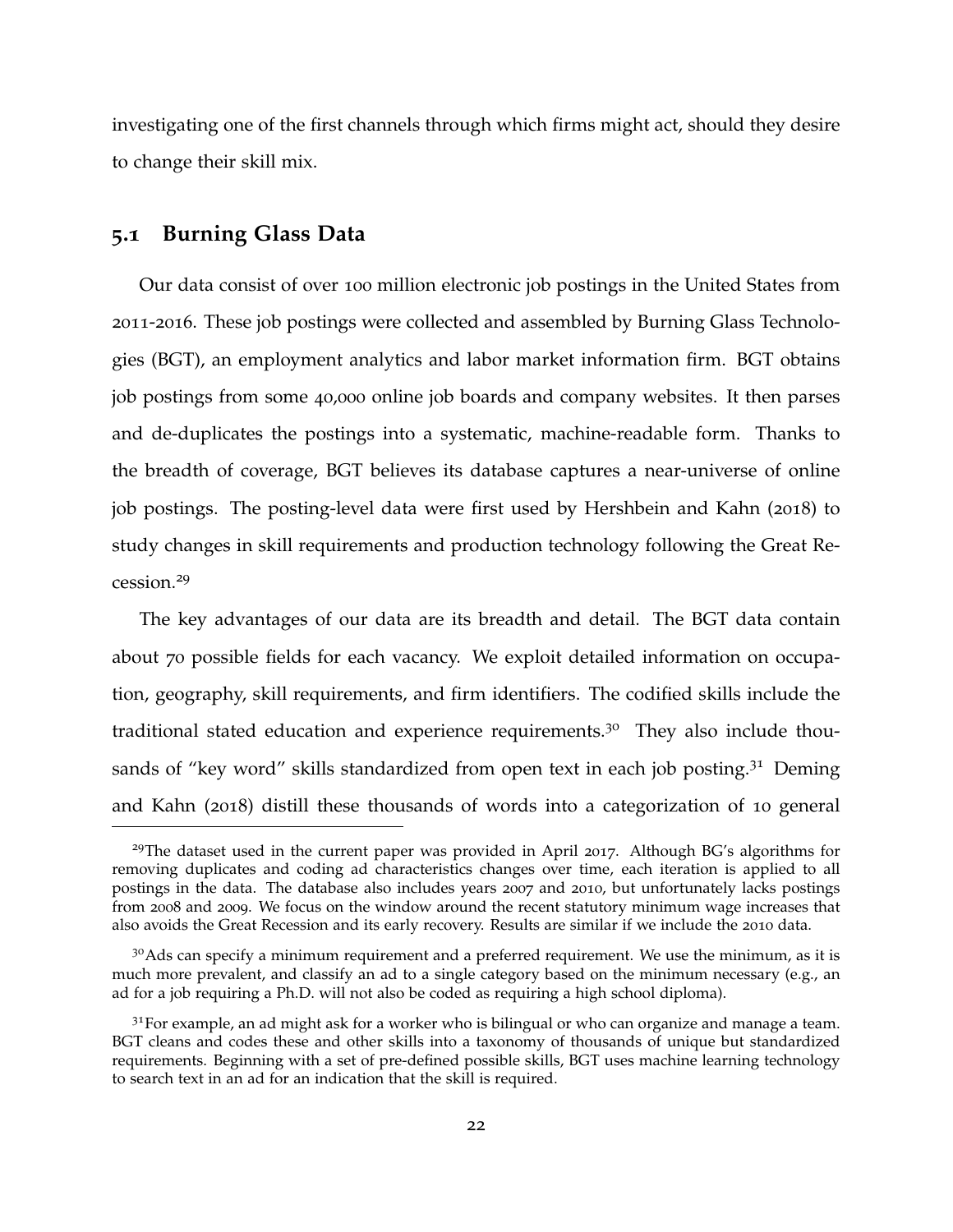investigating one of the first channels through which firms might act, should they desire to change their skill mix.

### **5.1 Burning Glass Data**

Our data consist of over 100 million electronic job postings in the United States from 2011-2016. These job postings were collected and assembled by Burning Glass Technologies (BGT), an employment analytics and labor market information firm. BGT obtains job postings from some 40,000 online job boards and company websites. It then parses and de-duplicates the postings into a systematic, machine-readable form. Thanks to the breadth of coverage, BGT believes its database captures a near-universe of online job postings. The posting-level data were first used by [Hershbein and Kahn](#page-40-12) ([2018](#page-40-12)) to study changes in skill requirements and production technology following the Great Recession.[29](#page-0-0)

The key advantages of our data are its breadth and detail. The BGT data contain about 70 possible fields for each vacancy. We exploit detailed information on occupation, geography, skill requirements, and firm identifiers. The codified skills include the traditional stated education and experience requirements.<sup>[30](#page-0-0)</sup> They also include thou-sands of "key word" skills standardized from open text in each job posting.<sup>[31](#page-0-0)</sup> [Deming](#page-39-10) [and Kahn](#page-39-10) ([2018](#page-39-10)) distill these thousands of words into a categorization of 10 general

<sup>&</sup>lt;sup>29</sup>The dataset used in the current paper was provided in April 2017. Although BG's algorithms for removing duplicates and coding ad characteristics changes over time, each iteration is applied to all postings in the data. The database also includes years 2007 and 2010, but unfortunately lacks postings from 2008 and 2009. We focus on the window around the recent statutory minimum wage increases that also avoids the Great Recession and its early recovery. Results are similar if we include the 2010 data.

 $30A$ ds can specify a minimum requirement and a preferred requirement. We use the minimum, as it is much more prevalent, and classify an ad to a single category based on the minimum necessary (e.g., an ad for a job requiring a Ph.D. will not also be coded as requiring a high school diploma).

 $3<sup>1</sup>$  For example, an ad might ask for a worker who is bilingual or who can organize and manage a team. BGT cleans and codes these and other skills into a taxonomy of thousands of unique but standardized requirements. Beginning with a set of pre-defined possible skills, BGT uses machine learning technology to search text in an ad for an indication that the skill is required.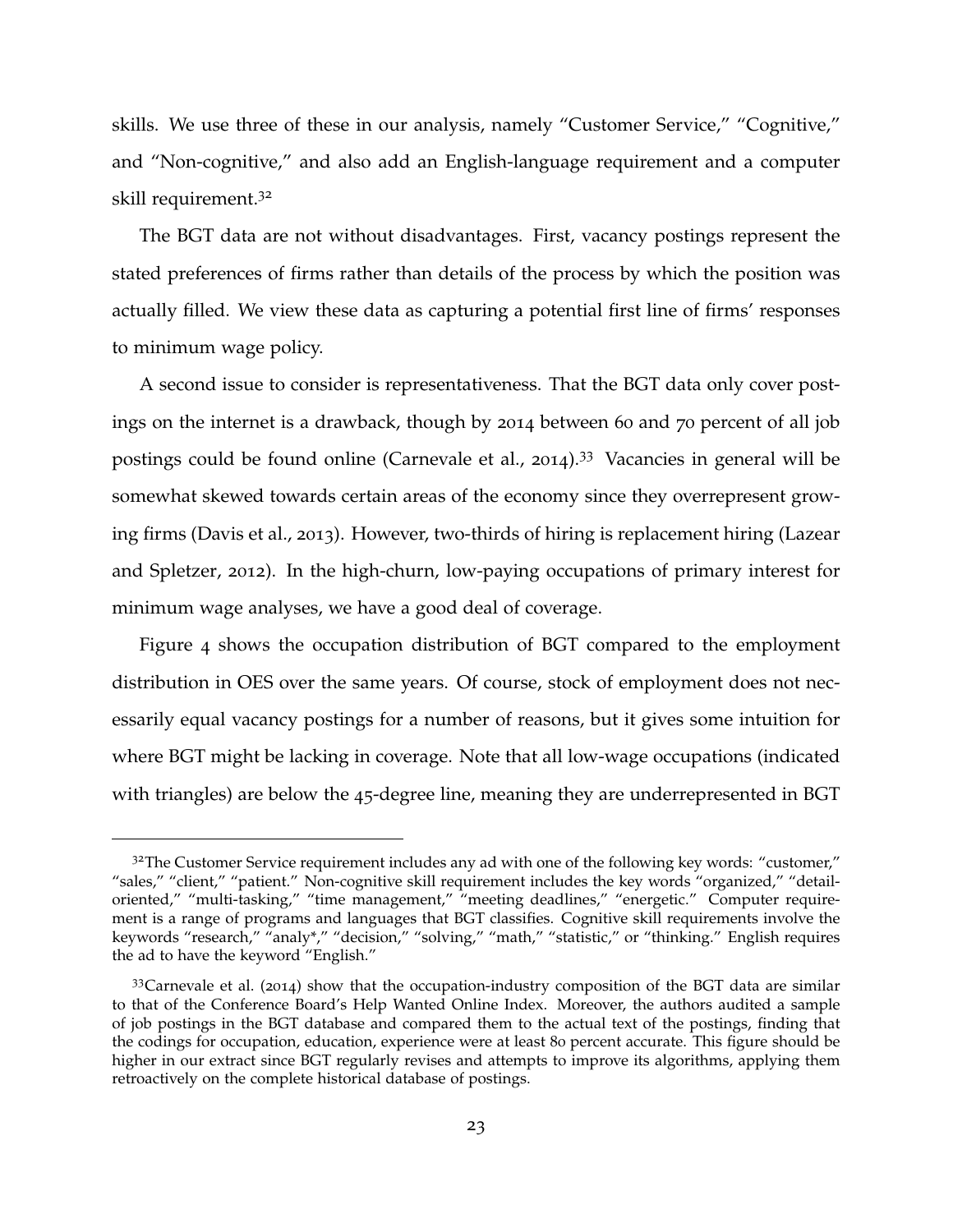skills. We use three of these in our analysis, namely "Customer Service," "Cognitive," and "Non-cognitive," and also add an English-language requirement and a computer skill requirement.[32](#page-0-0)

The BGT data are not without disadvantages. First, vacancy postings represent the stated preferences of firms rather than details of the process by which the position was actually filled. We view these data as capturing a potential first line of firms' responses to minimum wage policy.

A second issue to consider is representativeness. That the BGT data only cover postings on the internet is a drawback, though by 2014 between 60 and 70 percent of all job postings could be found online [\(Carnevale et al.,](#page-38-13) [2014](#page-38-13)).<sup>[33](#page-0-0)</sup> Vacancies in general will be somewhat skewed towards certain areas of the economy since they overrepresent growing firms [\(Davis et al.,](#page-39-11) [2013](#page-39-11)). However, two-thirds of hiring is replacement hiring [\(Lazear](#page-41-14) [and Spletzer,](#page-41-14) [2012](#page-41-14)). In the high-churn, low-paying occupations of primary interest for minimum wage analyses, we have a good deal of coverage.

Figure [4](#page-46-0) shows the occupation distribution of BGT compared to the employment distribution in OES over the same years. Of course, stock of employment does not necessarily equal vacancy postings for a number of reasons, but it gives some intuition for where BGT might be lacking in coverage. Note that all low-wage occupations (indicated with triangles) are below the 45-degree line, meaning they are underrepresented in BGT

 $3<sup>2</sup>$ The Customer Service requirement includes any ad with one of the following key words: "customer," "sales," "client," "patient." Non-cognitive skill requirement includes the key words "organized," "detailoriented," "multi-tasking," "time management," "meeting deadlines," "energetic." Computer requirement is a range of programs and languages that BGT classifies. Cognitive skill requirements involve the keywords "research," "analy\*," "decision," "solving," "math," "statistic," or "thinking." English requires the ad to have the keyword "English."

 $33$ [Carnevale et al.](#page-38-13) ([2014](#page-38-13)) show that the occupation-industry composition of the BGT data are similar to that of the Conference Board's Help Wanted Online Index. Moreover, the authors audited a sample of job postings in the BGT database and compared them to the actual text of the postings, finding that the codings for occupation, education, experience were at least 80 percent accurate. This figure should be higher in our extract since BGT regularly revises and attempts to improve its algorithms, applying them retroactively on the complete historical database of postings.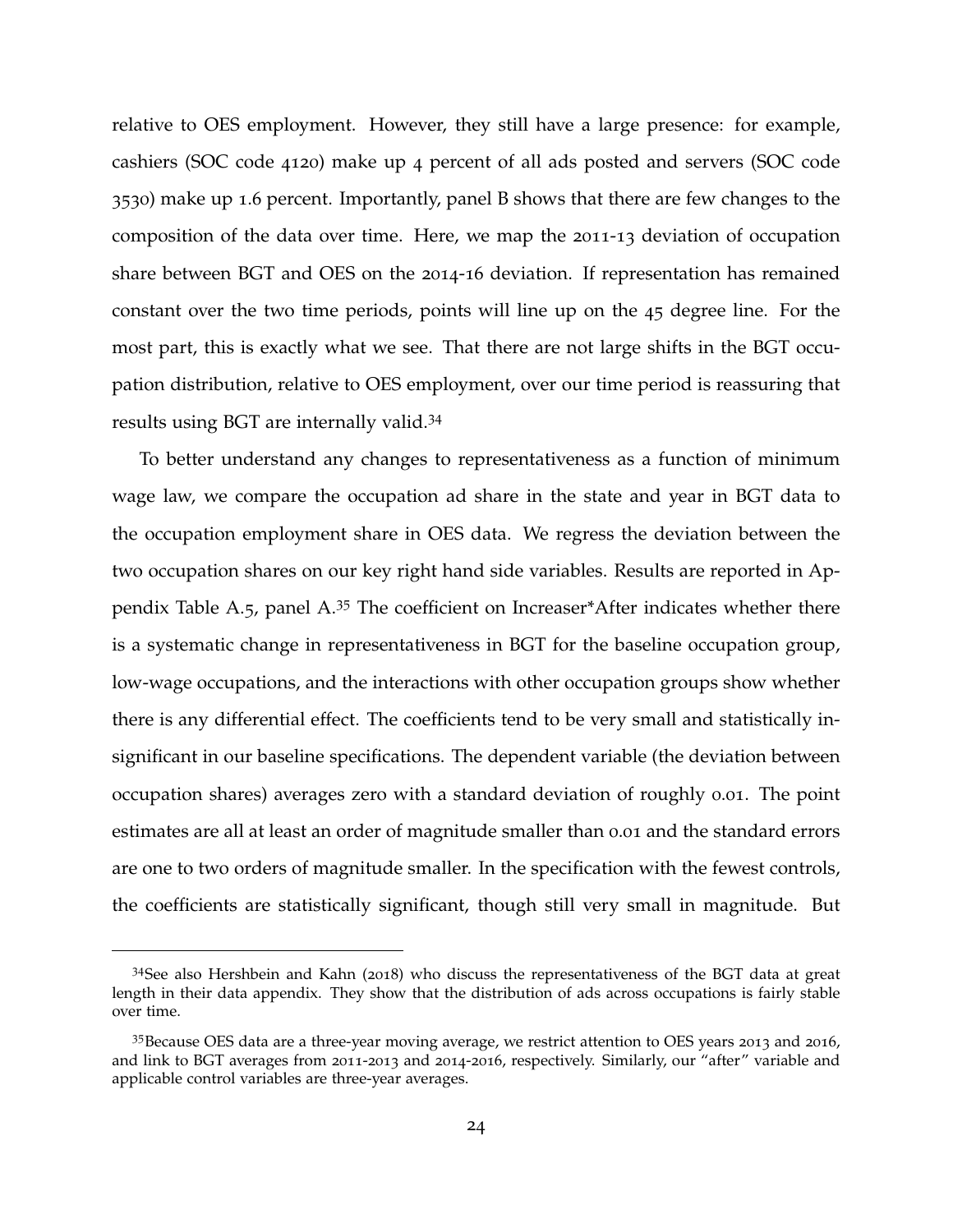relative to OES employment. However, they still have a large presence: for example, cashiers (SOC code 4120) make up 4 percent of all ads posted and servers (SOC code 3530) make up 1.6 percent. Importantly, panel B shows that there are few changes to the composition of the data over time. Here, we map the 2011-13 deviation of occupation share between BGT and OES on the 2014-16 deviation. If representation has remained constant over the two time periods, points will line up on the 45 degree line. For the most part, this is exactly what we see. That there are not large shifts in the BGT occupation distribution, relative to OES employment, over our time period is reassuring that results using BGT are internally valid.[34](#page-0-0)

To better understand any changes to representativeness as a function of minimum wage law, we compare the occupation ad share in the state and year in BGT data to the occupation employment share in OES data. We regress the deviation between the two occupation shares on our key right hand side variables. Results are reported in Appendix Table [A.](#page-63-0)5, panel A.[35](#page-0-0) The coefficient on Increaser\*After indicates whether there is a systematic change in representativeness in BGT for the baseline occupation group, low-wage occupations, and the interactions with other occupation groups show whether there is any differential effect. The coefficients tend to be very small and statistically insignificant in our baseline specifications. The dependent variable (the deviation between occupation shares) averages zero with a standard deviation of roughly 0.01. The point estimates are all at least an order of magnitude smaller than 0.01 and the standard errors are one to two orders of magnitude smaller. In the specification with the fewest controls, the coefficients are statistically significant, though still very small in magnitude. But

<sup>34</sup>See also [Hershbein and Kahn](#page-40-12) ([2018](#page-40-12)) who discuss the representativeness of the BGT data at great length in their data appendix. They show that the distribution of ads across occupations is fairly stable over time.

<sup>35</sup>Because OES data are a three-year moving average, we restrict attention to OES years 2013 and 2016, and link to BGT averages from 2011-2013 and 2014-2016, respectively. Similarly, our "after" variable and applicable control variables are three-year averages.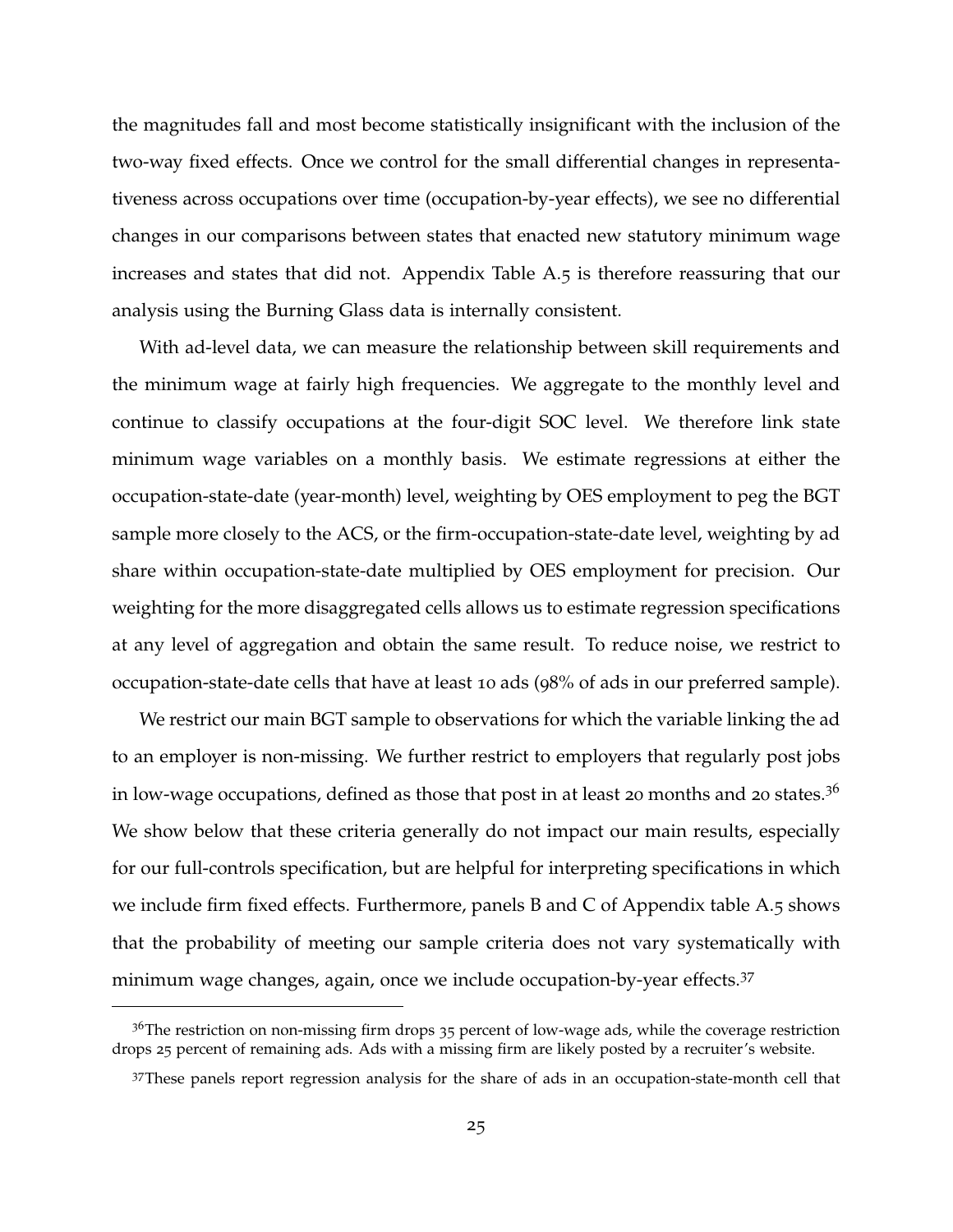the magnitudes fall and most become statistically insignificant with the inclusion of the two-way fixed effects. Once we control for the small differential changes in representativeness across occupations over time (occupation-by-year effects), we see no differential changes in our comparisons between states that enacted new statutory minimum wage increases and states that did not. Appendix Table [A.](#page-63-0)5 is therefore reassuring that our analysis using the Burning Glass data is internally consistent.

With ad-level data, we can measure the relationship between skill requirements and the minimum wage at fairly high frequencies. We aggregate to the monthly level and continue to classify occupations at the four-digit SOC level. We therefore link state minimum wage variables on a monthly basis. We estimate regressions at either the occupation-state-date (year-month) level, weighting by OES employment to peg the BGT sample more closely to the ACS, or the firm-occupation-state-date level, weighting by ad share within occupation-state-date multiplied by OES employment for precision. Our weighting for the more disaggregated cells allows us to estimate regression specifications at any level of aggregation and obtain the same result. To reduce noise, we restrict to occupation-state-date cells that have at least 10 ads (98% of ads in our preferred sample).

We restrict our main BGT sample to observations for which the variable linking the ad to an employer is non-missing. We further restrict to employers that regularly post jobs in low-wage occupations, defined as those that post in at least 20 months and 20 states.<sup>[36](#page-0-0)</sup> We show below that these criteria generally do not impact our main results, especially for our full-controls specification, but are helpful for interpreting specifications in which we include firm fixed effects. Furthermore, panels B and C of Appendix table [A.](#page-63-0)5 shows that the probability of meeting our sample criteria does not vary systematically with minimum wage changes, again, once we include occupation-by-year effects.<sup>[37](#page-0-0)</sup>

 $36$ The restriction on non-missing firm drops  $35$  percent of low-wage ads, while the coverage restriction drops 25 percent of remaining ads. Ads with a missing firm are likely posted by a recruiter's website.

<sup>37</sup>These panels report regression analysis for the share of ads in an occupation-state-month cell that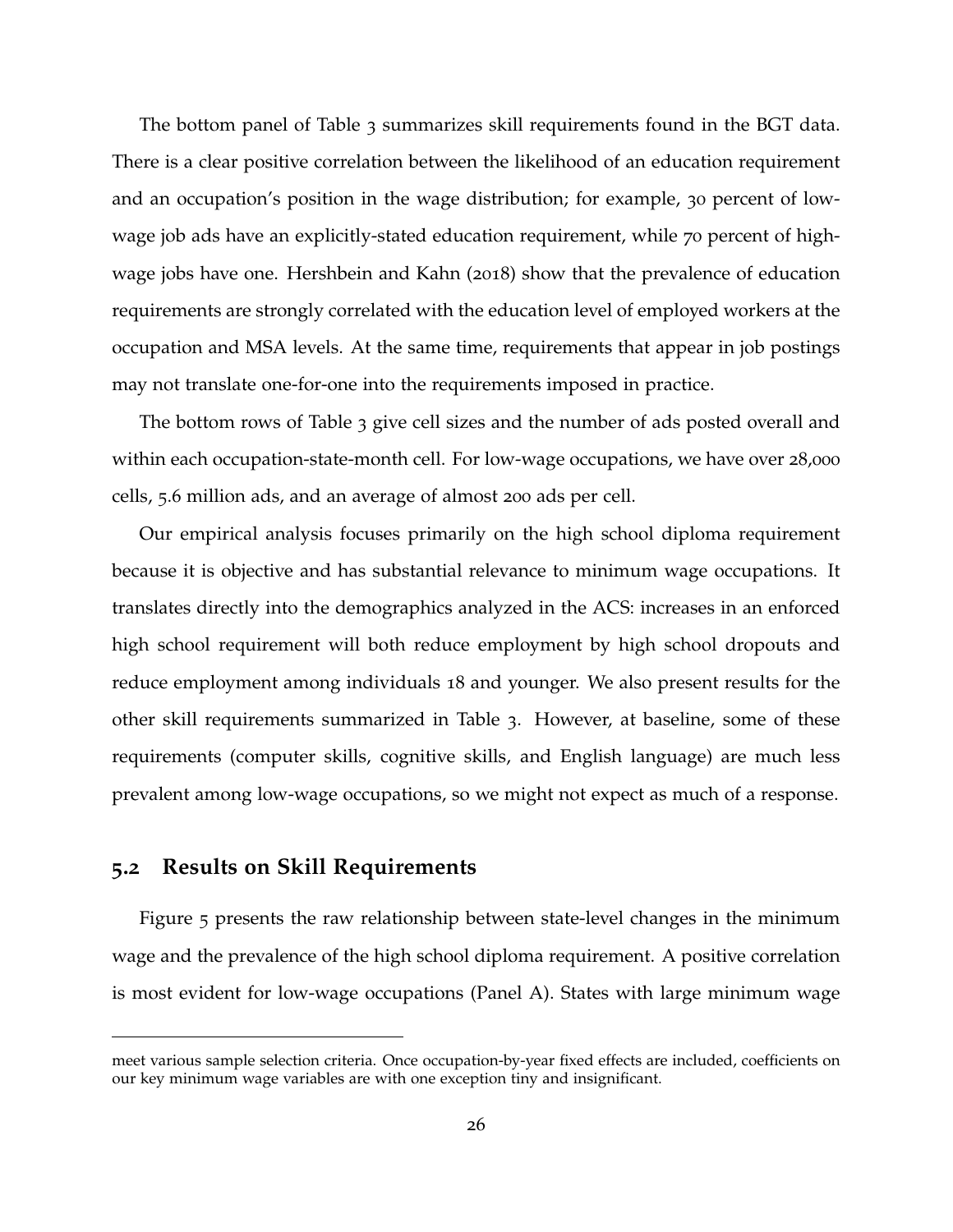The bottom panel of Table [3](#page-52-0) summarizes skill requirements found in the BGT data. There is a clear positive correlation between the likelihood of an education requirement and an occupation's position in the wage distribution; for example, 30 percent of lowwage job ads have an explicitly-stated education requirement, while 70 percent of highwage jobs have one. [Hershbein and Kahn](#page-40-12) ([2018](#page-40-12)) show that the prevalence of education requirements are strongly correlated with the education level of employed workers at the occupation and MSA levels. At the same time, requirements that appear in job postings may not translate one-for-one into the requirements imposed in practice.

The bottom rows of Table [3](#page-52-0) give cell sizes and the number of ads posted overall and within each occupation-state-month cell. For low-wage occupations, we have over 28,000 cells, 5.6 million ads, and an average of almost 200 ads per cell.

Our empirical analysis focuses primarily on the high school diploma requirement because it is objective and has substantial relevance to minimum wage occupations. It translates directly into the demographics analyzed in the ACS: increases in an enforced high school requirement will both reduce employment by high school dropouts and reduce employment among individuals 18 and younger. We also present results for the other skill requirements summarized in Table [3](#page-52-0). However, at baseline, some of these requirements (computer skills, cognitive skills, and English language) are much less prevalent among low-wage occupations, so we might not expect as much of a response.

### <span id="page-26-0"></span>**5.2 Results on Skill Requirements**

Figure [5](#page-47-0) presents the raw relationship between state-level changes in the minimum wage and the prevalence of the high school diploma requirement. A positive correlation is most evident for low-wage occupations (Panel A). States with large minimum wage

meet various sample selection criteria. Once occupation-by-year fixed effects are included, coefficients on our key minimum wage variables are with one exception tiny and insignificant.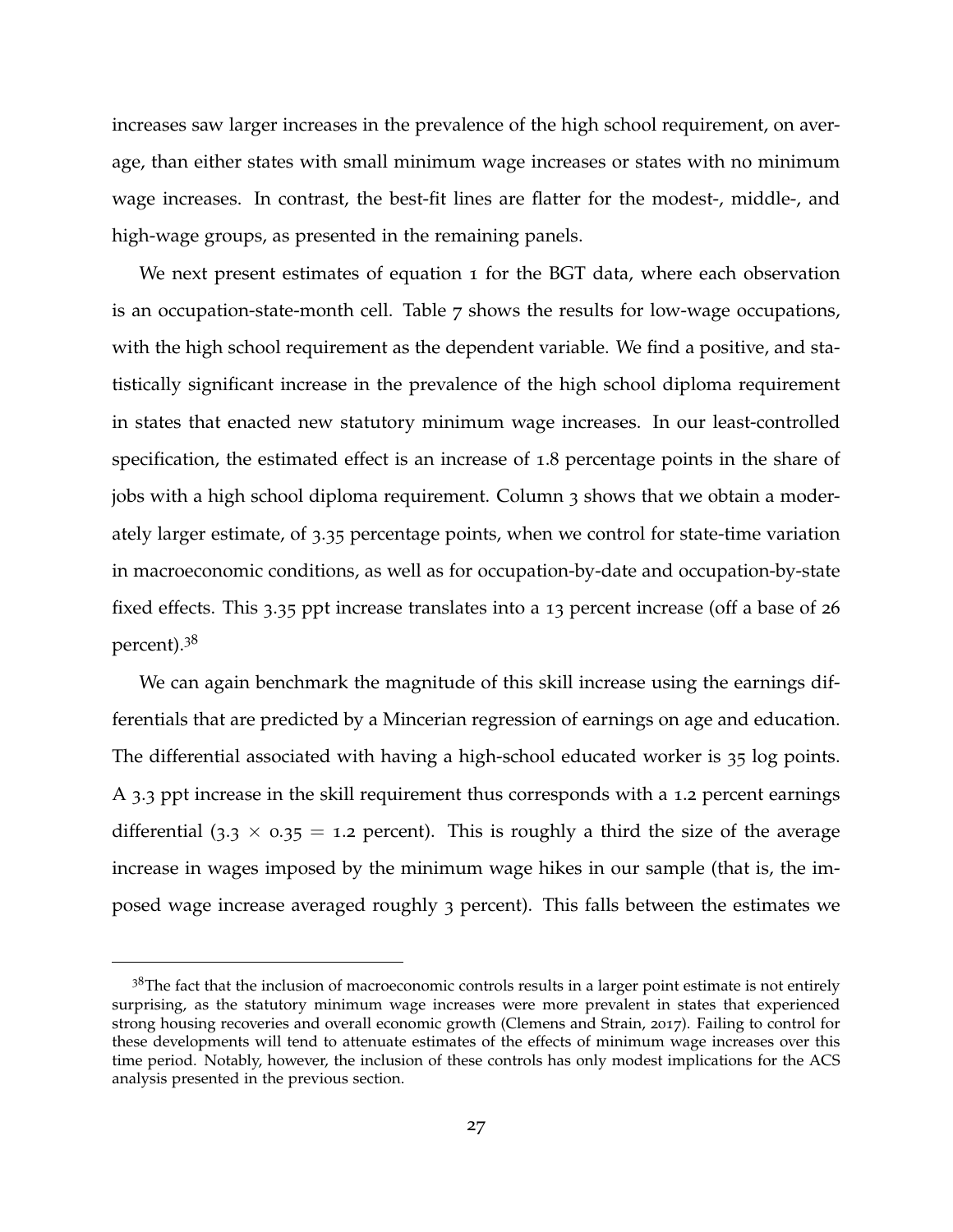increases saw larger increases in the prevalence of the high school requirement, on average, than either states with small minimum wage increases or states with no minimum wage increases. In contrast, the best-fit lines are flatter for the modest-, middle-, and high-wage groups, as presented in the remaining panels.

We next present estimates of equation [1](#page-11-0) for the BGT data, where each observation is an occupation-state-month cell. Table [7](#page-56-0) shows the results for low-wage occupations, with the high school requirement as the dependent variable. We find a positive, and statistically significant increase in the prevalence of the high school diploma requirement in states that enacted new statutory minimum wage increases. In our least-controlled specification, the estimated effect is an increase of 1.8 percentage points in the share of jobs with a high school diploma requirement. Column 3 shows that we obtain a moderately larger estimate, of 3.35 percentage points, when we control for state-time variation in macroeconomic conditions, as well as for occupation-by-date and occupation-by-state fixed effects. This 3.35 ppt increase translates into a 13 percent increase (off a base of 26 percent).[38](#page-0-0)

We can again benchmark the magnitude of this skill increase using the earnings differentials that are predicted by a Mincerian regression of earnings on age and education. The differential associated with having a high-school educated worker is 35 log points. A 3.3 ppt increase in the skill requirement thus corresponds with a 1.2 percent earnings differential (3.3  $\times$  0.35 = 1.2 percent). This is roughly a third the size of the average increase in wages imposed by the minimum wage hikes in our sample (that is, the imposed wage increase averaged roughly 3 percent). This falls between the estimates we

 $3<sup>8</sup>$ The fact that the inclusion of macroeconomic controls results in a larger point estimate is not entirely surprising, as the statutory minimum wage increases were more prevalent in states that experienced strong housing recoveries and overall economic growth [\(Clemens and Strain,](#page-39-6) [2017](#page-39-6)). Failing to control for these developments will tend to attenuate estimates of the effects of minimum wage increases over this time period. Notably, however, the inclusion of these controls has only modest implications for the ACS analysis presented in the previous section.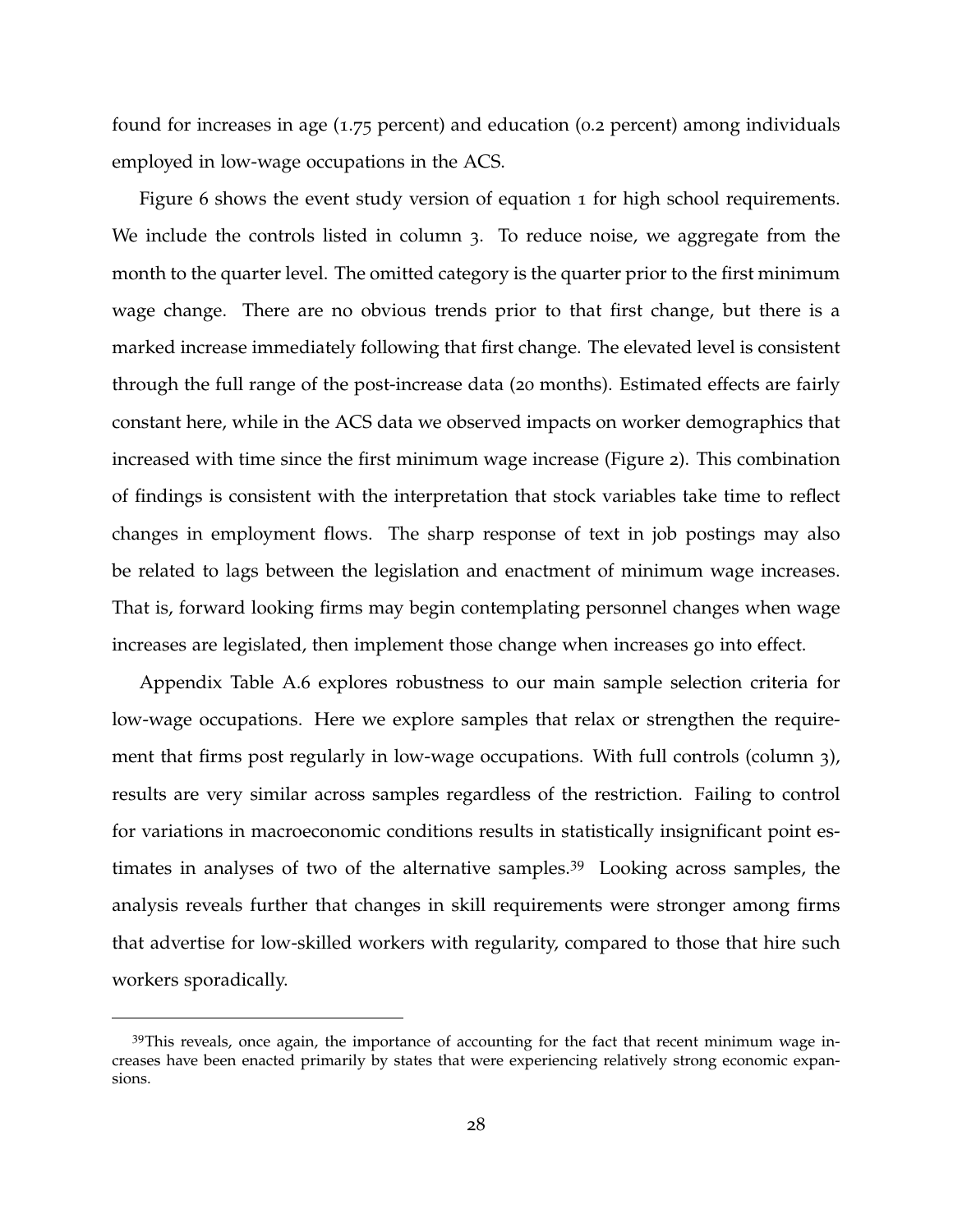found for increases in age (1.75 percent) and education (0.2 percent) among individuals employed in low-wage occupations in the ACS.

Figure [6](#page-48-0) shows the event study version of equation [1](#page-11-0) for high school requirements. We include the controls listed in column 3. To reduce noise, we aggregate from the month to the quarter level. The omitted category is the quarter prior to the first minimum wage change. There are no obvious trends prior to that first change, but there is a marked increase immediately following that first change. The elevated level is consistent through the full range of the post-increase data (20 months). Estimated effects are fairly constant here, while in the ACS data we observed impacts on worker demographics that increased with time since the first minimum wage increase (Figure [2](#page-44-0)). This combination of findings is consistent with the interpretation that stock variables take time to reflect changes in employment flows. The sharp response of text in job postings may also be related to lags between the legislation and enactment of minimum wage increases. That is, forward looking firms may begin contemplating personnel changes when wage increases are legislated, then implement those change when increases go into effect.

Appendix Table [A.](#page-64-0)6 explores robustness to our main sample selection criteria for low-wage occupations. Here we explore samples that relax or strengthen the requirement that firms post regularly in low-wage occupations. With full controls (column 3), results are very similar across samples regardless of the restriction. Failing to control for variations in macroeconomic conditions results in statistically insignificant point estimates in analyses of two of the alternative samples.[39](#page-0-0) Looking across samples, the analysis reveals further that changes in skill requirements were stronger among firms that advertise for low-skilled workers with regularity, compared to those that hire such workers sporadically.

 $39$ This reveals, once again, the importance of accounting for the fact that recent minimum wage increases have been enacted primarily by states that were experiencing relatively strong economic expansions.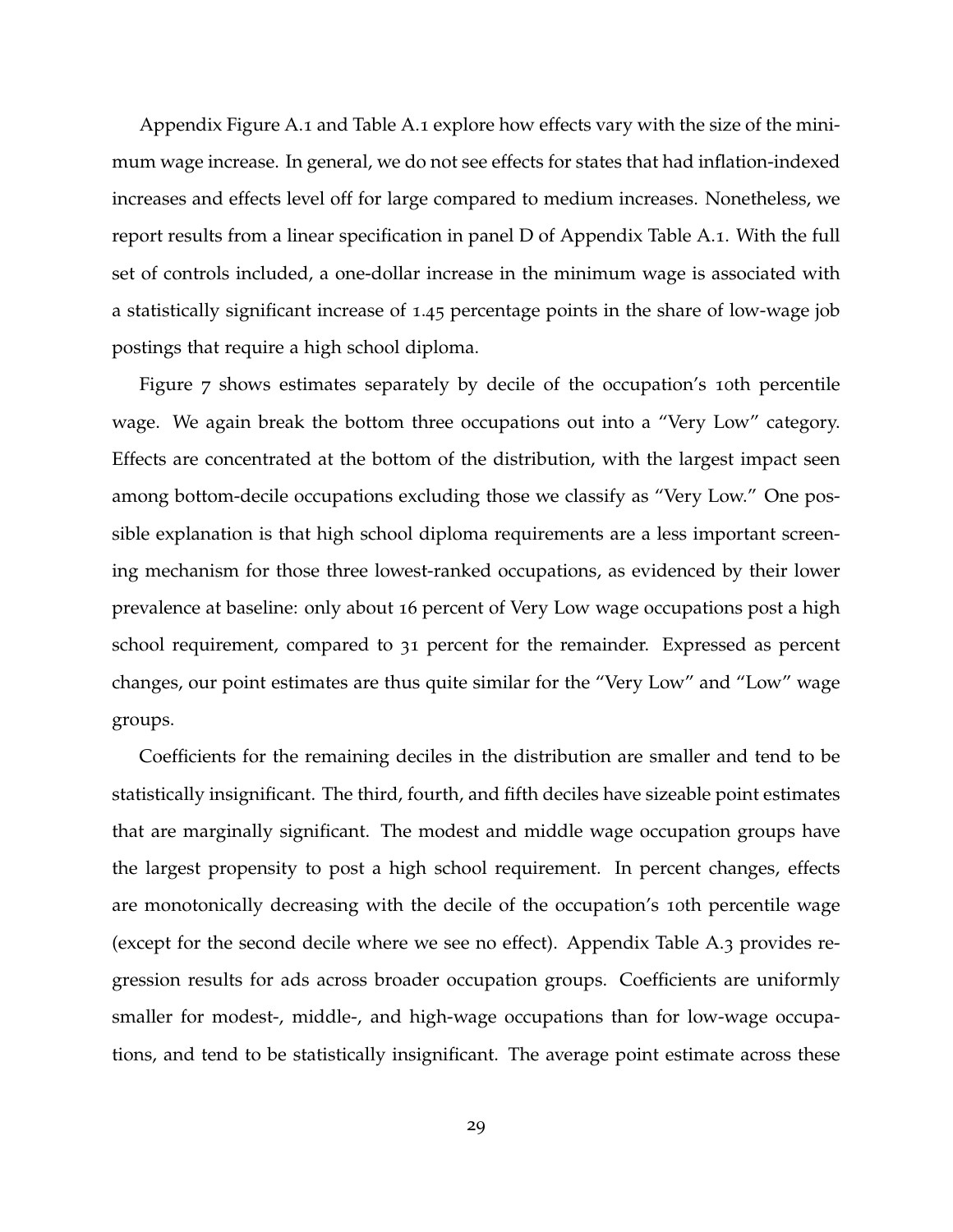Appendix Figure [A.](#page-58-0)1 and Table [A.](#page-59-0)1 explore how effects vary with the size of the minimum wage increase. In general, we do not see effects for states that had inflation-indexed increases and effects level off for large compared to medium increases. Nonetheless, we report results from a linear specification in panel D of Appendix Table [A.](#page-59-0)1. With the full set of controls included, a one-dollar increase in the minimum wage is associated with a statistically significant increase of 1.45 percentage points in the share of low-wage job postings that require a high school diploma.

Figure [7](#page-49-0) shows estimates separately by decile of the occupation's 10th percentile wage. We again break the bottom three occupations out into a "Very Low" category. Effects are concentrated at the bottom of the distribution, with the largest impact seen among bottom-decile occupations excluding those we classify as "Very Low." One possible explanation is that high school diploma requirements are a less important screening mechanism for those three lowest-ranked occupations, as evidenced by their lower prevalence at baseline: only about 16 percent of Very Low wage occupations post a high school requirement, compared to 31 percent for the remainder. Expressed as percent changes, our point estimates are thus quite similar for the "Very Low" and "Low" wage groups.

Coefficients for the remaining deciles in the distribution are smaller and tend to be statistically insignificant. The third, fourth, and fifth deciles have sizeable point estimates that are marginally significant. The modest and middle wage occupation groups have the largest propensity to post a high school requirement. In percent changes, effects are monotonically decreasing with the decile of the occupation's 10th percentile wage (except for the second decile where we see no effect). Appendix Table [A.](#page-61-0)3 provides regression results for ads across broader occupation groups. Coefficients are uniformly smaller for modest-, middle-, and high-wage occupations than for low-wage occupations, and tend to be statistically insignificant. The average point estimate across these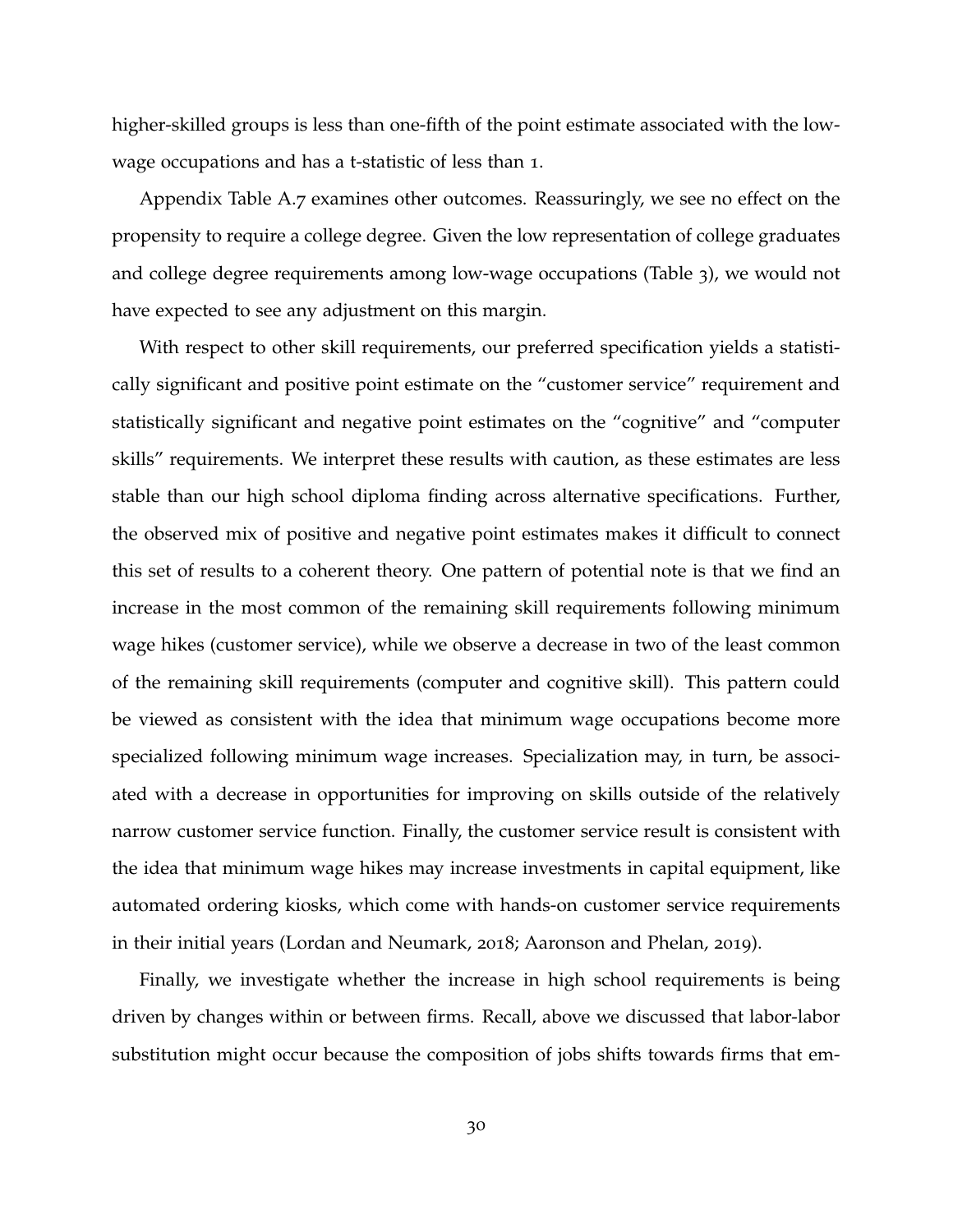higher-skilled groups is less than one-fifth of the point estimate associated with the lowwage occupations and has a t-statistic of less than 1.

Appendix Table [A.](#page-65-0)7 examines other outcomes. Reassuringly, we see no effect on the propensity to require a college degree. Given the low representation of college graduates and college degree requirements among low-wage occupations (Table [3](#page-52-0)), we would not have expected to see any adjustment on this margin.

With respect to other skill requirements, our preferred specification yields a statistically significant and positive point estimate on the "customer service" requirement and statistically significant and negative point estimates on the "cognitive" and "computer skills" requirements. We interpret these results with caution, as these estimates are less stable than our high school diploma finding across alternative specifications. Further, the observed mix of positive and negative point estimates makes it difficult to connect this set of results to a coherent theory. One pattern of potential note is that we find an increase in the most common of the remaining skill requirements following minimum wage hikes (customer service), while we observe a decrease in two of the least common of the remaining skill requirements (computer and cognitive skill). This pattern could be viewed as consistent with the idea that minimum wage occupations become more specialized following minimum wage increases. Specialization may, in turn, be associated with a decrease in opportunities for improving on skills outside of the relatively narrow customer service function. Finally, the customer service result is consistent with the idea that minimum wage hikes may increase investments in capital equipment, like automated ordering kiosks, which come with hands-on customer service requirements in their initial years [\(Lordan and Neumark,](#page-41-4) [2018](#page-41-4); [Aaronson and Phelan,](#page-38-0) [2019](#page-38-0)).

Finally, we investigate whether the increase in high school requirements is being driven by changes within or between firms. Recall, above we discussed that labor-labor substitution might occur because the composition of jobs shifts towards firms that em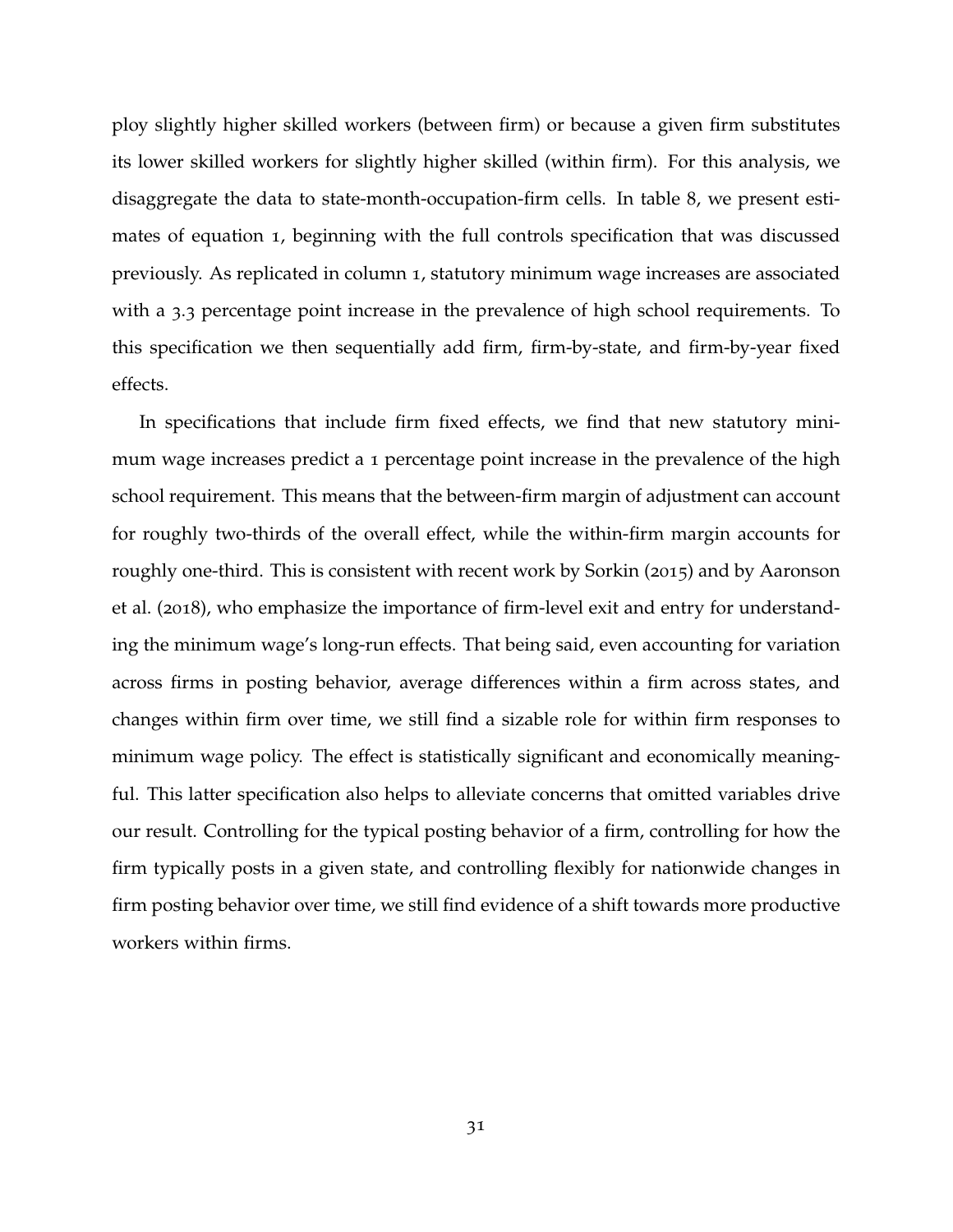ploy slightly higher skilled workers (between firm) or because a given firm substitutes its lower skilled workers for slightly higher skilled (within firm). For this analysis, we disaggregate the data to state-month-occupation-firm cells. In table [8](#page-57-0), we present estimates of equation [1](#page-11-0), beginning with the full controls specification that was discussed previously. As replicated in column 1, statutory minimum wage increases are associated with a 3.3 percentage point increase in the prevalence of high school requirements. To this specification we then sequentially add firm, firm-by-state, and firm-by-year fixed effects.

In specifications that include firm fixed effects, we find that new statutory minimum wage increases predict a 1 percentage point increase in the prevalence of the high school requirement. This means that the between-firm margin of adjustment can account for roughly two-thirds of the overall effect, while the within-firm margin accounts for roughly one-third. This is consistent with recent work by [Sorkin](#page-42-2) ([2015](#page-42-2)) and by [Aaronson](#page-38-8) [et al.](#page-38-8) ([2018](#page-38-8)), who emphasize the importance of firm-level exit and entry for understanding the minimum wage's long-run effects. That being said, even accounting for variation across firms in posting behavior, average differences within a firm across states, and changes within firm over time, we still find a sizable role for within firm responses to minimum wage policy. The effect is statistically significant and economically meaningful. This latter specification also helps to alleviate concerns that omitted variables drive our result. Controlling for the typical posting behavior of a firm, controlling for how the firm typically posts in a given state, and controlling flexibly for nationwide changes in firm posting behavior over time, we still find evidence of a shift towards more productive workers within firms.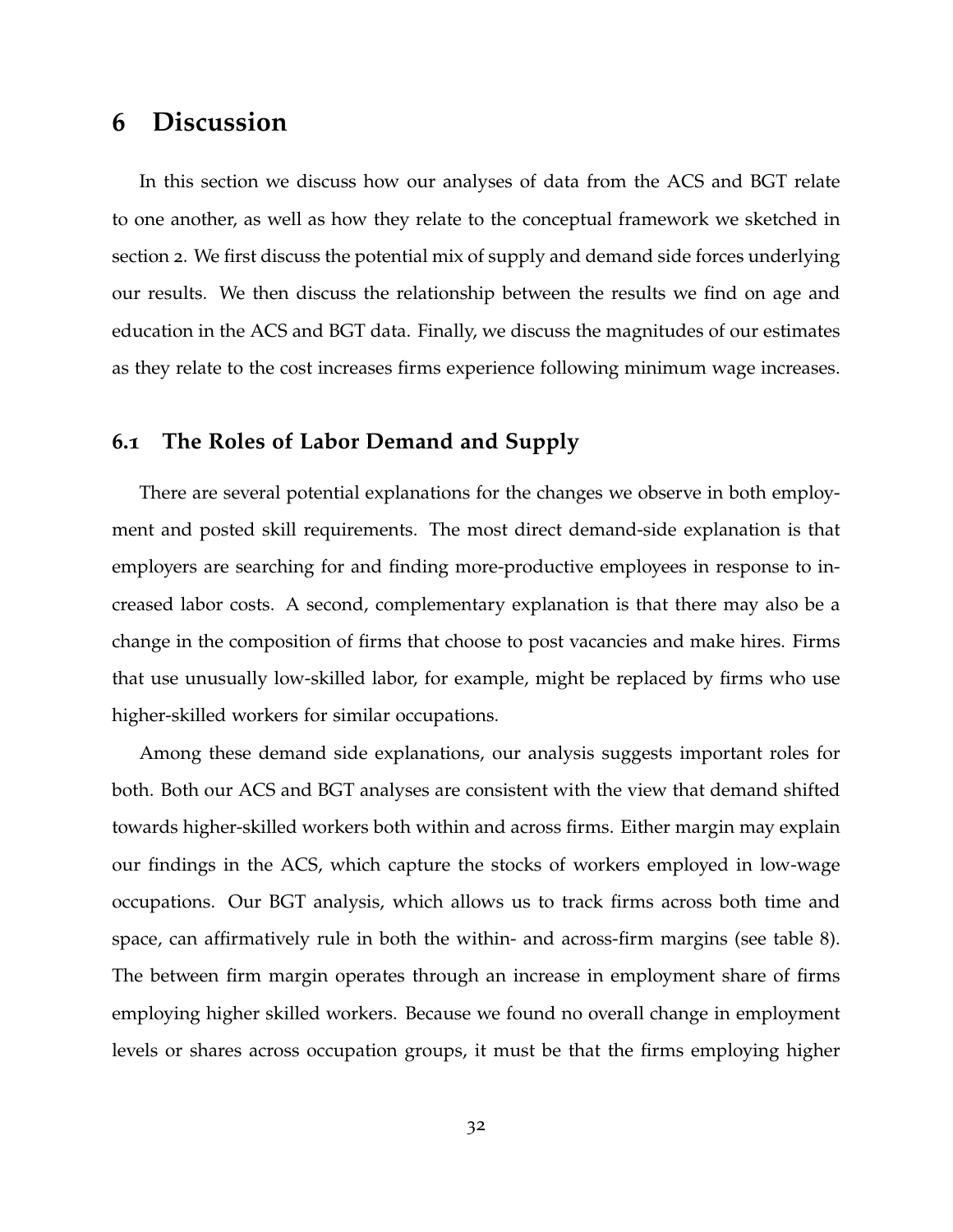# <span id="page-32-0"></span>**6 Discussion**

In this section we discuss how our analyses of data from the ACS and BGT relate to one another, as well as how they relate to the conceptual framework we sketched in section [2](#page-4-0). We first discuss the potential mix of supply and demand side forces underlying our results. We then discuss the relationship between the results we find on age and education in the ACS and BGT data. Finally, we discuss the magnitudes of our estimates as they relate to the cost increases firms experience following minimum wage increases.

### **6.1 The Roles of Labor Demand and Supply**

There are several potential explanations for the changes we observe in both employment and posted skill requirements. The most direct demand-side explanation is that employers are searching for and finding more-productive employees in response to increased labor costs. A second, complementary explanation is that there may also be a change in the composition of firms that choose to post vacancies and make hires. Firms that use unusually low-skilled labor, for example, might be replaced by firms who use higher-skilled workers for similar occupations.

Among these demand side explanations, our analysis suggests important roles for both. Both our ACS and BGT analyses are consistent with the view that demand shifted towards higher-skilled workers both within and across firms. Either margin may explain our findings in the ACS, which capture the stocks of workers employed in low-wage occupations. Our BGT analysis, which allows us to track firms across both time and space, can affirmatively rule in both the within- and across-firm margins (see table [8](#page-57-0)). The between firm margin operates through an increase in employment share of firms employing higher skilled workers. Because we found no overall change in employment levels or shares across occupation groups, it must be that the firms employing higher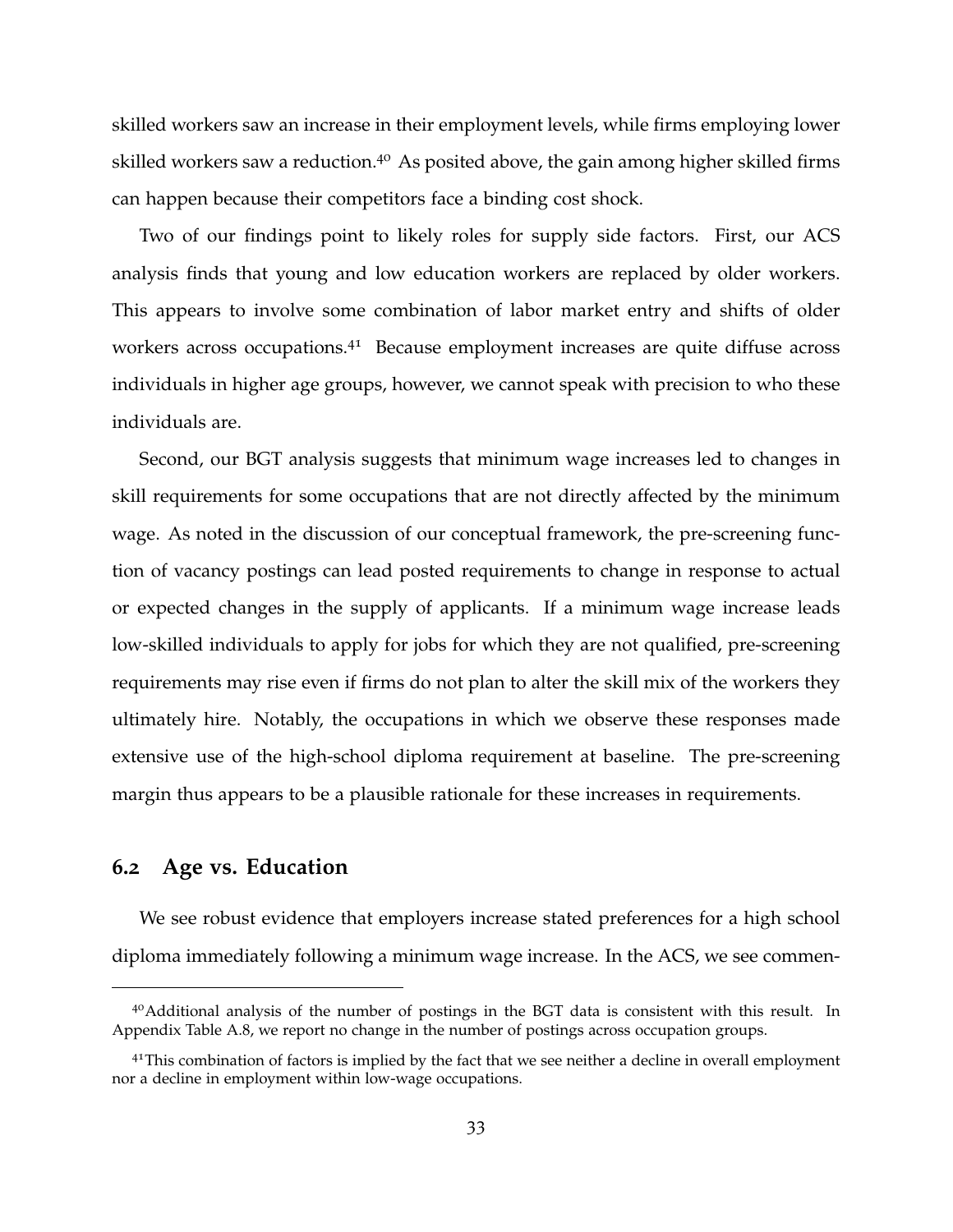skilled workers saw an increase in their employment levels, while firms employing lower skilled workers saw a reduction.<sup>[40](#page-0-0)</sup> As posited above, the gain among higher skilled firms can happen because their competitors face a binding cost shock.

Two of our findings point to likely roles for supply side factors. First, our ACS analysis finds that young and low education workers are replaced by older workers. This appears to involve some combination of labor market entry and shifts of older workers across occupations.<sup>[41](#page-0-0)</sup> Because employment increases are quite diffuse across individuals in higher age groups, however, we cannot speak with precision to who these individuals are.

Second, our BGT analysis suggests that minimum wage increases led to changes in skill requirements for some occupations that are not directly affected by the minimum wage. As noted in the discussion of our conceptual framework, the pre-screening function of vacancy postings can lead posted requirements to change in response to actual or expected changes in the supply of applicants. If a minimum wage increase leads low-skilled individuals to apply for jobs for which they are not qualified, pre-screening requirements may rise even if firms do not plan to alter the skill mix of the workers they ultimately hire. Notably, the occupations in which we observe these responses made extensive use of the high-school diploma requirement at baseline. The pre-screening margin thus appears to be a plausible rationale for these increases in requirements.

## **6.2 Age vs. Education**

We see robust evidence that employers increase stated preferences for a high school diploma immediately following a minimum wage increase. In the ACS, we see commen-

<sup>&</sup>lt;sup>40</sup>Additional analysis of the number of postings in the BGT data is consistent with this result. In Appendix Table [A.](#page-66-0)8, we report no change in the number of postings across occupation groups.

<sup>&</sup>lt;sup>41</sup>This combination of factors is implied by the fact that we see neither a decline in overall employment nor a decline in employment within low-wage occupations.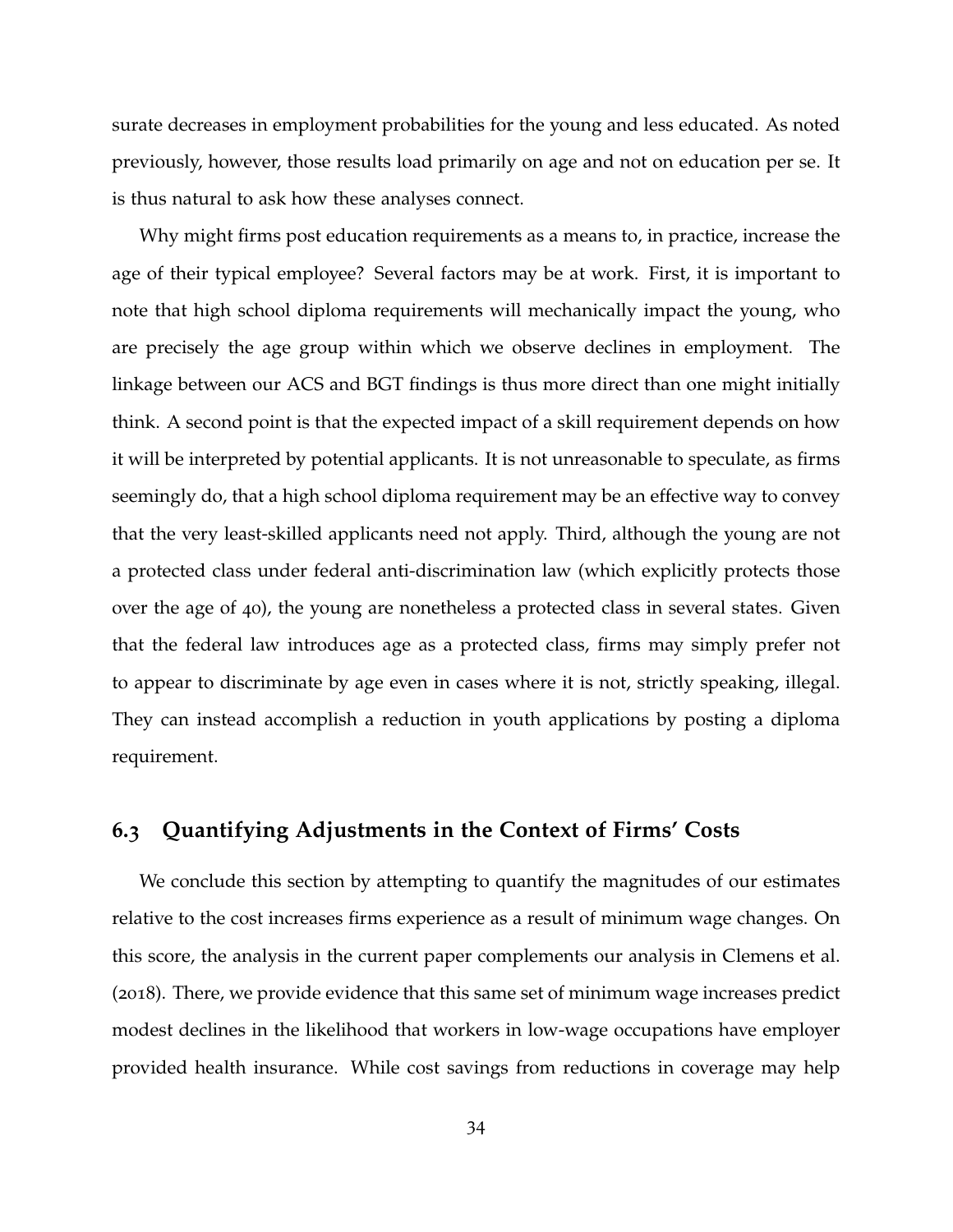surate decreases in employment probabilities for the young and less educated. As noted previously, however, those results load primarily on age and not on education per se. It is thus natural to ask how these analyses connect.

Why might firms post education requirements as a means to, in practice, increase the age of their typical employee? Several factors may be at work. First, it is important to note that high school diploma requirements will mechanically impact the young, who are precisely the age group within which we observe declines in employment. The linkage between our ACS and BGT findings is thus more direct than one might initially think. A second point is that the expected impact of a skill requirement depends on how it will be interpreted by potential applicants. It is not unreasonable to speculate, as firms seemingly do, that a high school diploma requirement may be an effective way to convey that the very least-skilled applicants need not apply. Third, although the young are not a protected class under federal anti-discrimination law (which explicitly protects those over the age of 40), the young are nonetheless a protected class in several states. Given that the federal law introduces age as a protected class, firms may simply prefer not to appear to discriminate by age even in cases where it is not, strictly speaking, illegal. They can instead accomplish a reduction in youth applications by posting a diploma requirement.

### **6.3 Quantifying Adjustments in the Context of Firms' Costs**

We conclude this section by attempting to quantify the magnitudes of our estimates relative to the cost increases firms experience as a result of minimum wage changes. On this score, the analysis in the current paper complements our analysis in [Clemens et al.](#page-39-0) ([2018](#page-39-0)). There, we provide evidence that this same set of minimum wage increases predict modest declines in the likelihood that workers in low-wage occupations have employer provided health insurance. While cost savings from reductions in coverage may help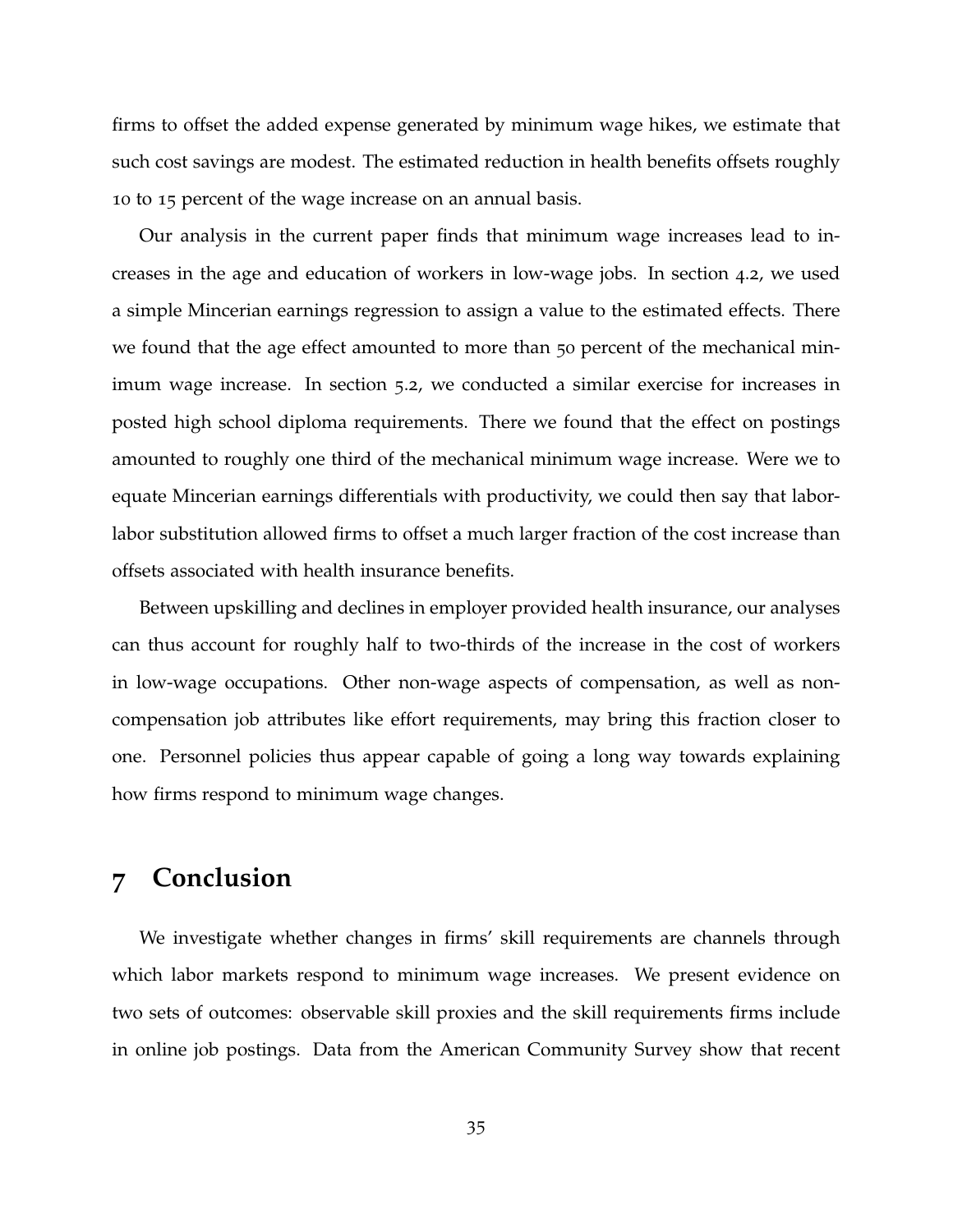firms to offset the added expense generated by minimum wage hikes, we estimate that such cost savings are modest. The estimated reduction in health benefits offsets roughly 10 to 15 percent of the wage increase on an annual basis.

Our analysis in the current paper finds that minimum wage increases lead to increases in the age and education of workers in low-wage jobs. In section [4](#page-14-0).2, we used a simple Mincerian earnings regression to assign a value to the estimated effects. There we found that the age effect amounted to more than 50 percent of the mechanical minimum wage increase. In section [5](#page-26-0).2, we conducted a similar exercise for increases in posted high school diploma requirements. There we found that the effect on postings amounted to roughly one third of the mechanical minimum wage increase. Were we to equate Mincerian earnings differentials with productivity, we could then say that laborlabor substitution allowed firms to offset a much larger fraction of the cost increase than offsets associated with health insurance benefits.

Between upskilling and declines in employer provided health insurance, our analyses can thus account for roughly half to two-thirds of the increase in the cost of workers in low-wage occupations. Other non-wage aspects of compensation, as well as noncompensation job attributes like effort requirements, may bring this fraction closer to one. Personnel policies thus appear capable of going a long way towards explaining how firms respond to minimum wage changes.

# **7 Conclusion**

We investigate whether changes in firms' skill requirements are channels through which labor markets respond to minimum wage increases. We present evidence on two sets of outcomes: observable skill proxies and the skill requirements firms include in online job postings. Data from the American Community Survey show that recent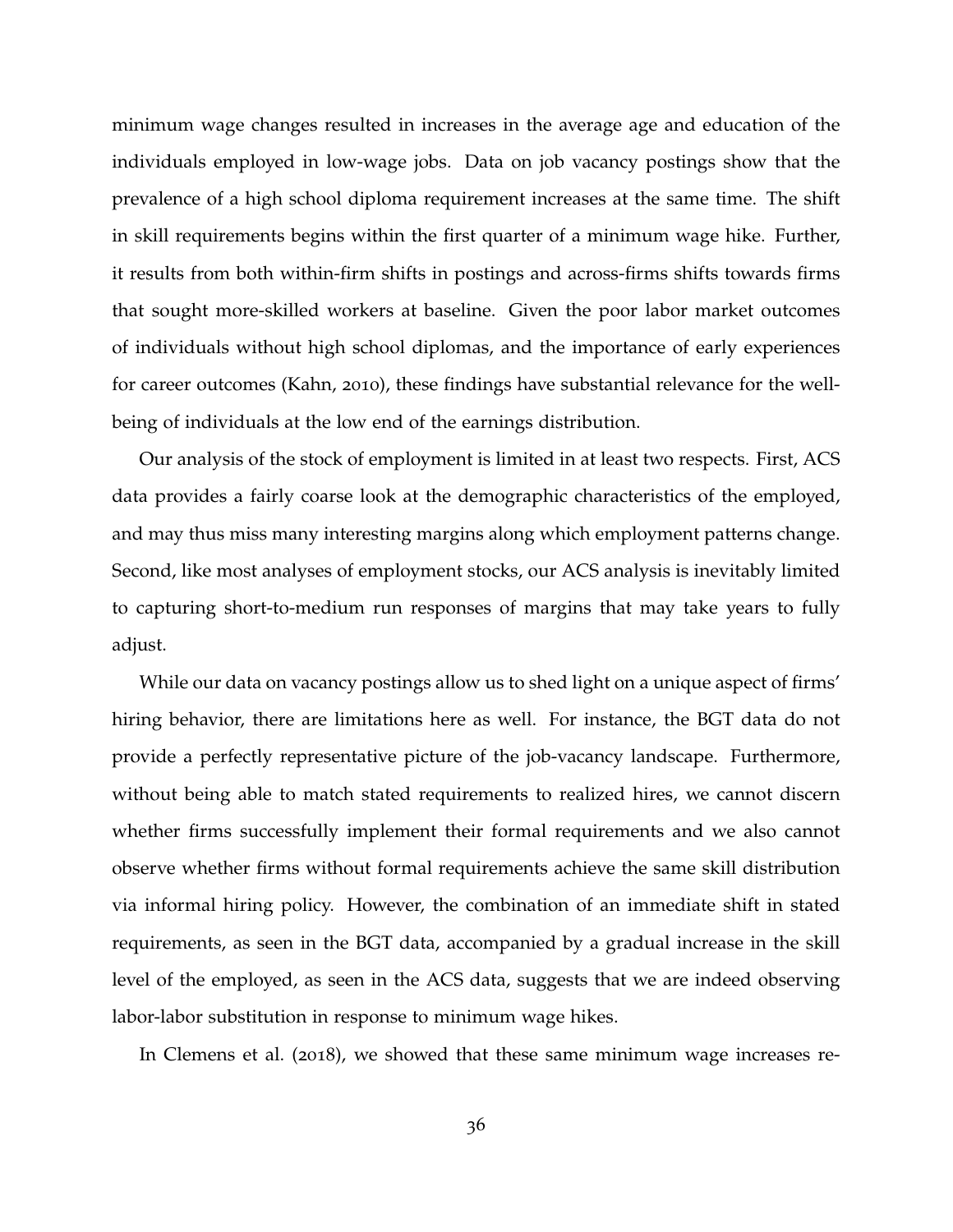minimum wage changes resulted in increases in the average age and education of the individuals employed in low-wage jobs. Data on job vacancy postings show that the prevalence of a high school diploma requirement increases at the same time. The shift in skill requirements begins within the first quarter of a minimum wage hike. Further, it results from both within-firm shifts in postings and across-firms shifts towards firms that sought more-skilled workers at baseline. Given the poor labor market outcomes of individuals without high school diplomas, and the importance of early experiences for career outcomes [\(Kahn,](#page-41-1) [2010](#page-41-1)), these findings have substantial relevance for the wellbeing of individuals at the low end of the earnings distribution.

Our analysis of the stock of employment is limited in at least two respects. First, ACS data provides a fairly coarse look at the demographic characteristics of the employed, and may thus miss many interesting margins along which employment patterns change. Second, like most analyses of employment stocks, our ACS analysis is inevitably limited to capturing short-to-medium run responses of margins that may take years to fully adjust.

While our data on vacancy postings allow us to shed light on a unique aspect of firms' hiring behavior, there are limitations here as well. For instance, the BGT data do not provide a perfectly representative picture of the job-vacancy landscape. Furthermore, without being able to match stated requirements to realized hires, we cannot discern whether firms successfully implement their formal requirements and we also cannot observe whether firms without formal requirements achieve the same skill distribution via informal hiring policy. However, the combination of an immediate shift in stated requirements, as seen in the BGT data, accompanied by a gradual increase in the skill level of the employed, as seen in the ACS data, suggests that we are indeed observing labor-labor substitution in response to minimum wage hikes.

In [Clemens et al.](#page-39-0) ([2018](#page-39-0)), we showed that these same minimum wage increases re-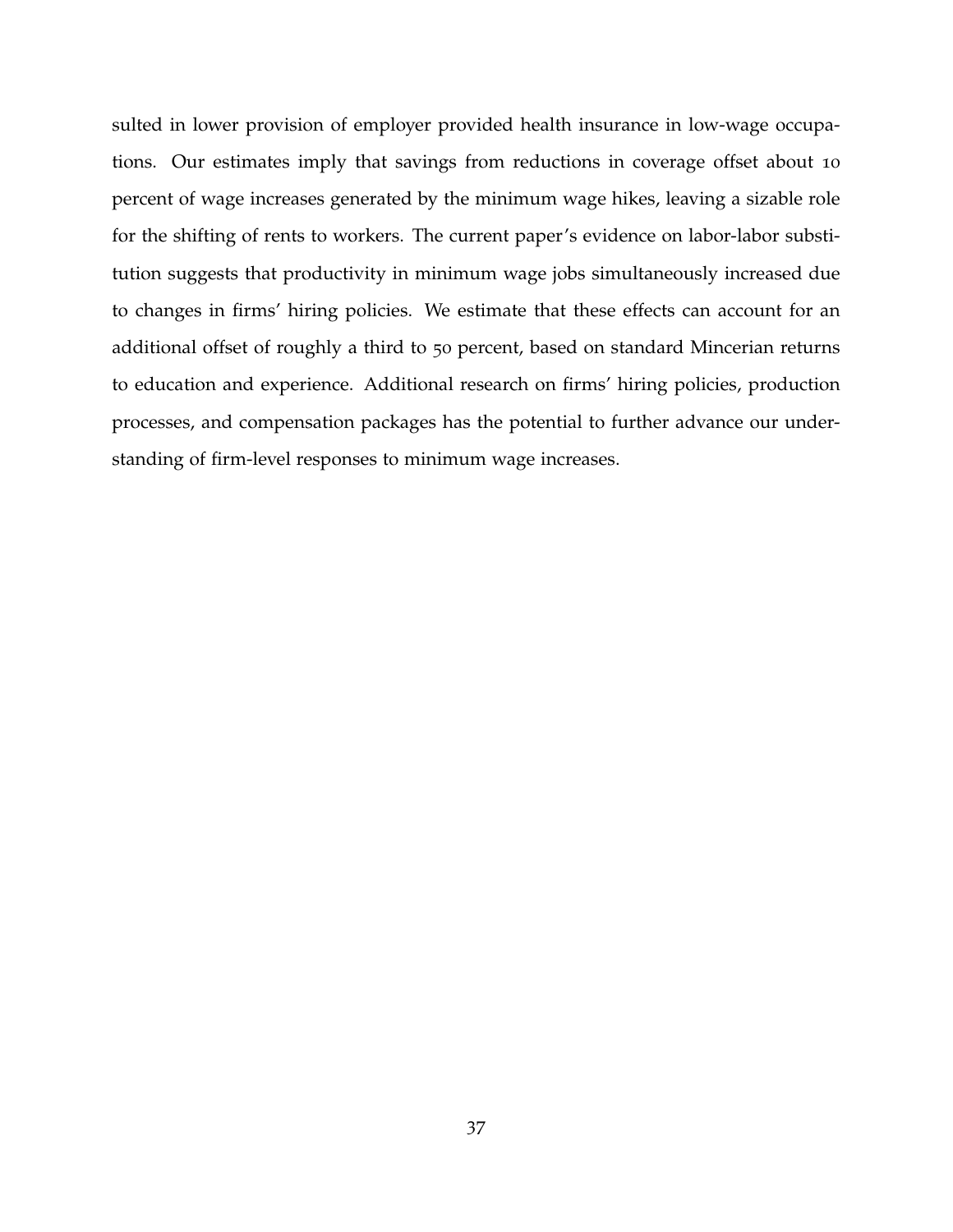sulted in lower provision of employer provided health insurance in low-wage occupations. Our estimates imply that savings from reductions in coverage offset about 10 percent of wage increases generated by the minimum wage hikes, leaving a sizable role for the shifting of rents to workers. The current paper's evidence on labor-labor substitution suggests that productivity in minimum wage jobs simultaneously increased due to changes in firms' hiring policies. We estimate that these effects can account for an additional offset of roughly a third to 50 percent, based on standard Mincerian returns to education and experience. Additional research on firms' hiring policies, production processes, and compensation packages has the potential to further advance our understanding of firm-level responses to minimum wage increases.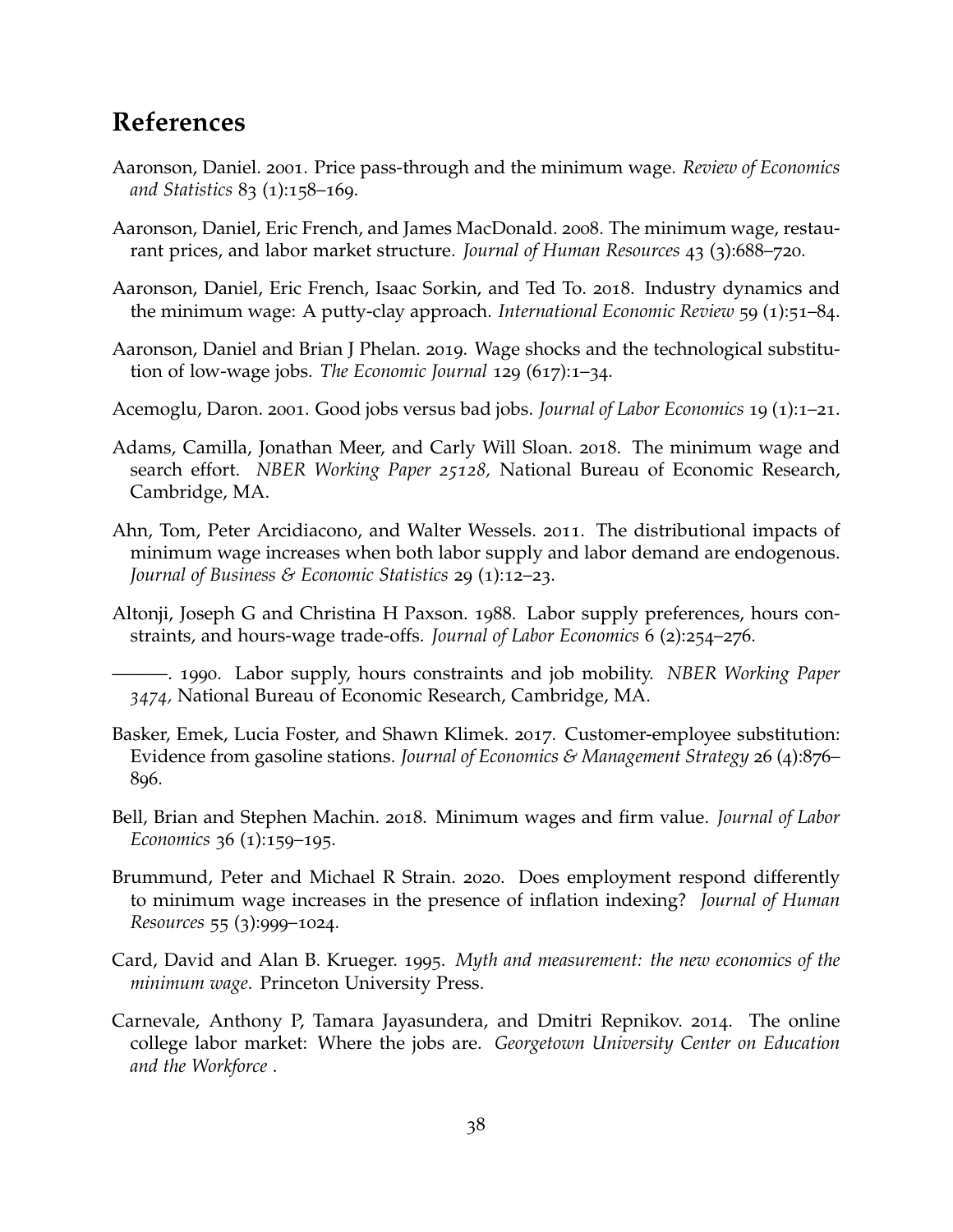# **References**

- <span id="page-38-3"></span>Aaronson, Daniel. 2001. Price pass-through and the minimum wage. *Review of Economics and Statistics* 83 (1):158–169.
- <span id="page-38-4"></span>Aaronson, Daniel, Eric French, and James MacDonald. 2008. The minimum wage, restaurant prices, and labor market structure. *Journal of Human Resources* 43 (3):688–720.
- <span id="page-38-8"></span>Aaronson, Daniel, Eric French, Isaac Sorkin, and Ted To. 2018. Industry dynamics and the minimum wage: A putty-clay approach. *International Economic Review* 59 (1):51–84.
- <span id="page-38-0"></span>Aaronson, Daniel and Brian J Phelan. 2019. Wage shocks and the technological substitution of low-wage jobs. *The Economic Journal* 129 (617):1–34.
- <span id="page-38-12"></span>Acemoglu, Daron. 2001. Good jobs versus bad jobs. *Journal of Labor Economics* 19 (1):1–21.
- <span id="page-38-2"></span>Adams, Camilla, Jonathan Meer, and Carly Will Sloan. 2018. The minimum wage and search effort. *NBER Working Paper 25128,* National Bureau of Economic Research, Cambridge, MA.
- <span id="page-38-9"></span>Ahn, Tom, Peter Arcidiacono, and Walter Wessels. 2011. The distributional impacts of minimum wage increases when both labor supply and labor demand are endogenous. *Journal of Business & Economic Statistics* 29 (1):12–23.
- <span id="page-38-6"></span>Altonji, Joseph G and Christina H Paxson. 1988. Labor supply preferences, hours constraints, and hours-wage trade-offs. *Journal of Labor Economics* 6 (2):254–276.
- <span id="page-38-7"></span>———. 1990. Labor supply, hours constraints and job mobility. *NBER Working Paper 3474,* National Bureau of Economic Research, Cambridge, MA.
- <span id="page-38-1"></span>Basker, Emek, Lucia Foster, and Shawn Klimek. 2017. Customer-employee substitution: Evidence from gasoline stations. *Journal of Economics & Management Strategy* 26 (4):876– 896.
- <span id="page-38-5"></span>Bell, Brian and Stephen Machin. 2018. Minimum wages and firm value. *Journal of Labor Economics* 36 (1):159–195.
- <span id="page-38-11"></span>Brummund, Peter and Michael R Strain. 2020. Does employment respond differently to minimum wage increases in the presence of inflation indexing? *Journal of Human Resources* 55 (3):999–1024.
- <span id="page-38-10"></span>Card, David and Alan B. Krueger. 1995. *Myth and measurement: the new economics of the minimum wage*. Princeton University Press.
- <span id="page-38-13"></span>Carnevale, Anthony P, Tamara Jayasundera, and Dmitri Repnikov. 2014. The online college labor market: Where the jobs are. *Georgetown University Center on Education and the Workforce* .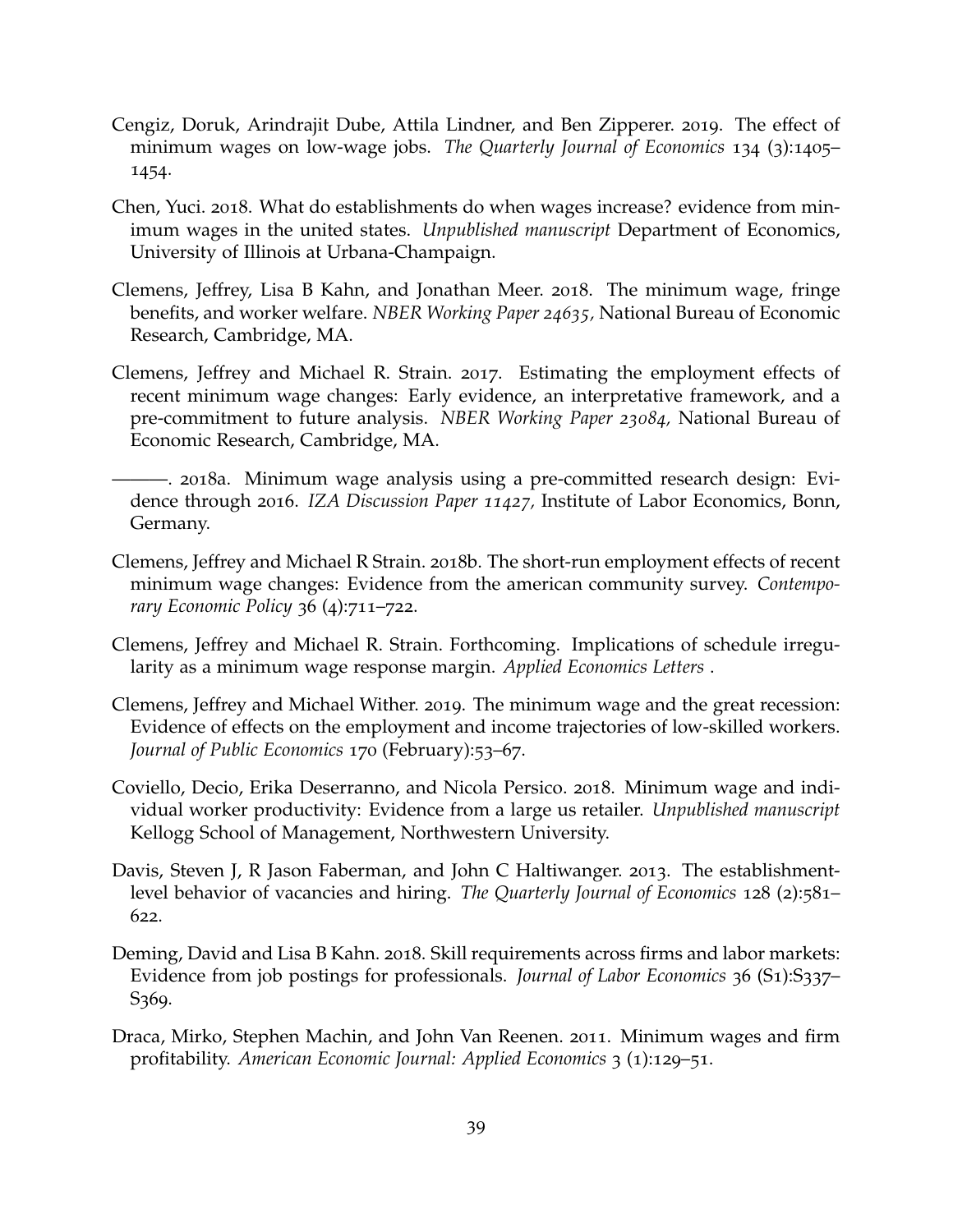- <span id="page-39-7"></span>Cengiz, Doruk, Arindrajit Dube, Attila Lindner, and Ben Zipperer. 2019. The effect of minimum wages on low-wage jobs. *The Quarterly Journal of Economics* 134 (3):1405– 1454.
- <span id="page-39-1"></span>Chen, Yuci. 2018. What do establishments do when wages increase? evidence from minimum wages in the united states. *Unpublished manuscript* Department of Economics, University of Illinois at Urbana-Champaign.
- <span id="page-39-0"></span>Clemens, Jeffrey, Lisa B Kahn, and Jonathan Meer. 2018. The minimum wage, fringe benefits, and worker welfare. *NBER Working Paper 24635,* National Bureau of Economic Research, Cambridge, MA.
- <span id="page-39-6"></span>Clemens, Jeffrey and Michael R. Strain. 2017. Estimating the employment effects of recent minimum wage changes: Early evidence, an interpretative framework, and a pre-commitment to future analysis. *NBER Working Paper 23084,* National Bureau of Economic Research, Cambridge, MA.
- <span id="page-39-9"></span>———. 2018a. Minimum wage analysis using a pre-committed research design: Evidence through 2016. *IZA Discussion Paper 11427,* Institute of Labor Economics, Bonn, Germany.
- <span id="page-39-8"></span>Clemens, Jeffrey and Michael R Strain. 2018b. The short-run employment effects of recent minimum wage changes: Evidence from the american community survey. *Contemporary Economic Policy* 36 (4):711–722.
- <span id="page-39-4"></span>Clemens, Jeffrey and Michael R. Strain. Forthcoming. Implications of schedule irregularity as a minimum wage response margin. *Applied Economics Letters* .
- <span id="page-39-5"></span>Clemens, Jeffrey and Michael Wither. 2019. The minimum wage and the great recession: Evidence of effects on the employment and income trajectories of low-skilled workers. *Journal of Public Economics* 170 (February):53–67.
- <span id="page-39-3"></span>Coviello, Decio, Erika Deserranno, and Nicola Persico. 2018. Minimum wage and individual worker productivity: Evidence from a large us retailer. *Unpublished manuscript* Kellogg School of Management, Northwestern University.
- <span id="page-39-11"></span>Davis, Steven J, R Jason Faberman, and John C Haltiwanger. 2013. The establishmentlevel behavior of vacancies and hiring. *The Quarterly Journal of Economics* 128 (2):581– 622.
- <span id="page-39-10"></span>Deming, David and Lisa B Kahn. 2018. Skill requirements across firms and labor markets: Evidence from job postings for professionals. *Journal of Labor Economics* 36 (S1):S337– S369.
- <span id="page-39-2"></span>Draca, Mirko, Stephen Machin, and John Van Reenen. 2011. Minimum wages and firm profitability. *American Economic Journal: Applied Economics* 3 (1):129–51.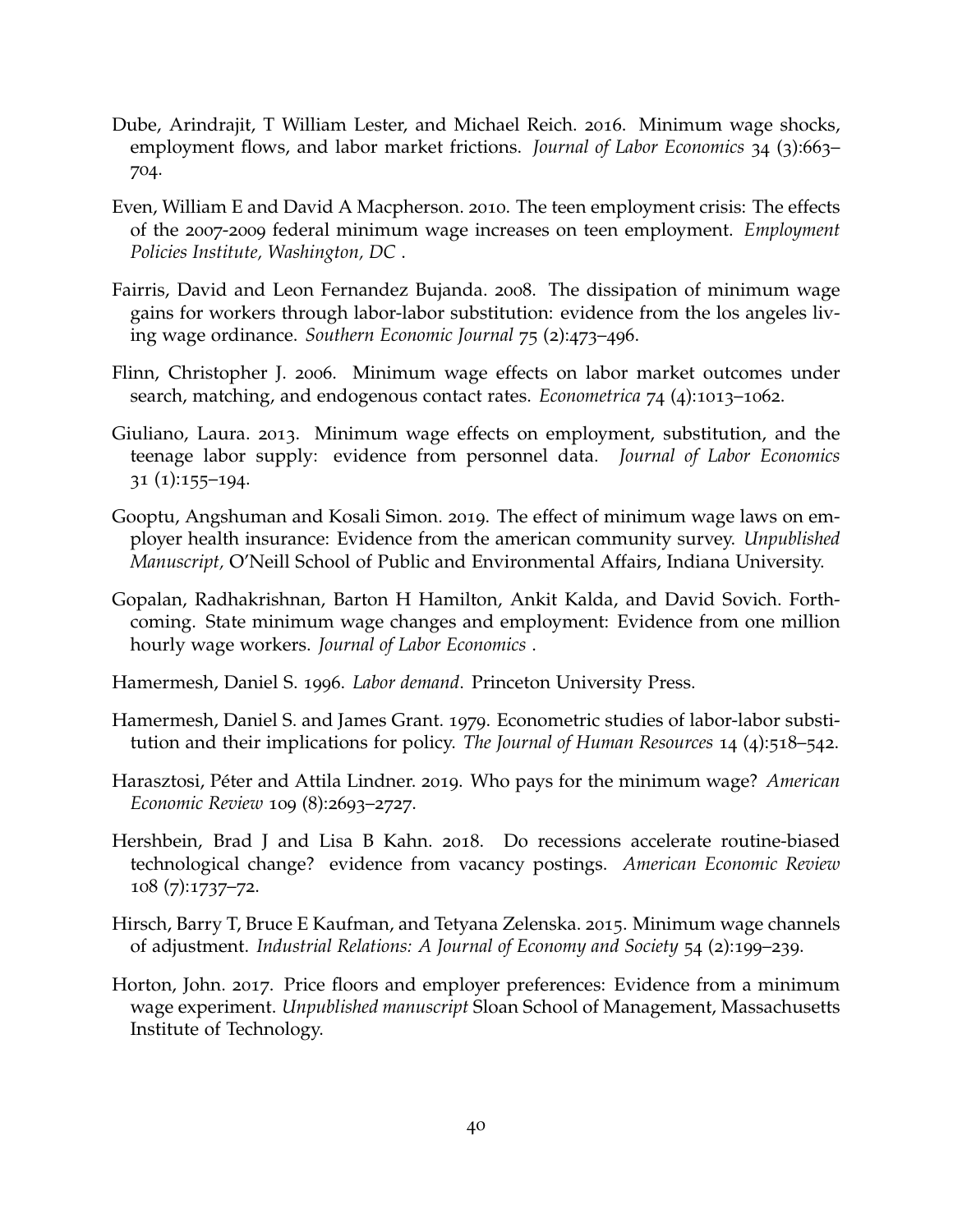- <span id="page-40-7"></span>Dube, Arindrajit, T William Lester, and Michael Reich. 2016. Minimum wage shocks, employment flows, and labor market frictions. *Journal of Labor Economics* 34 (3):663– 704.
- <span id="page-40-0"></span>Even, William E and David A Macpherson. 2010. The teen employment crisis: The effects of the 2007-2009 federal minimum wage increases on teen employment. *Employment Policies Institute, Washington, DC* .
- <span id="page-40-8"></span>Fairris, David and Leon Fernandez Bujanda. 2008. The dissipation of minimum wage gains for workers through labor-labor substitution: evidence from the los angeles living wage ordinance. *Southern Economic Journal* 75 (2):473–496.
- <span id="page-40-11"></span>Flinn, Christopher J. 2006. Minimum wage effects on labor market outcomes under search, matching, and endogenous contact rates. *Econometrica* 74 (4):1013–1062.
- <span id="page-40-9"></span>Giuliano, Laura. 2013. Minimum wage effects on employment, substitution, and the teenage labor supply: evidence from personnel data. *Journal of Labor Economics* 31 (1):155–194.
- <span id="page-40-1"></span>Gooptu, Angshuman and Kosali Simon. 2019. The effect of minimum wage laws on employer health insurance: Evidence from the american community survey. *Unpublished Manuscript,* O'Neill School of Public and Environmental Affairs, Indiana University.
- <span id="page-40-6"></span>Gopalan, Radhakrishnan, Barton H Hamilton, Ankit Kalda, and David Sovich. Forthcoming. State minimum wage changes and employment: Evidence from one million hourly wage workers. *Journal of Labor Economics* .
- <span id="page-40-2"></span>Hamermesh, Daniel S. 1996. *Labor demand*. Princeton University Press.
- <span id="page-40-10"></span>Hamermesh, Daniel S. and James Grant. 1979. Econometric studies of labor-labor substitution and their implications for policy. *The Journal of Human Resources* 14 (4):518–542.
- <span id="page-40-4"></span>Harasztosi, Péter and Attila Lindner. 2019. Who pays for the minimum wage? *American Economic Review* 109 (8):2693–2727.
- <span id="page-40-12"></span>Hershbein, Brad J and Lisa B Kahn. 2018. Do recessions accelerate routine-biased technological change? evidence from vacancy postings. *American Economic Review* 108 (7):1737–72.
- <span id="page-40-3"></span>Hirsch, Barry T, Bruce E Kaufman, and Tetyana Zelenska. 2015. Minimum wage channels of adjustment. *Industrial Relations: A Journal of Economy and Society* 54 (2):199–239.
- <span id="page-40-5"></span>Horton, John. 2017. Price floors and employer preferences: Evidence from a minimum wage experiment. *Unpublished manuscript* Sloan School of Management, Massachusetts Institute of Technology.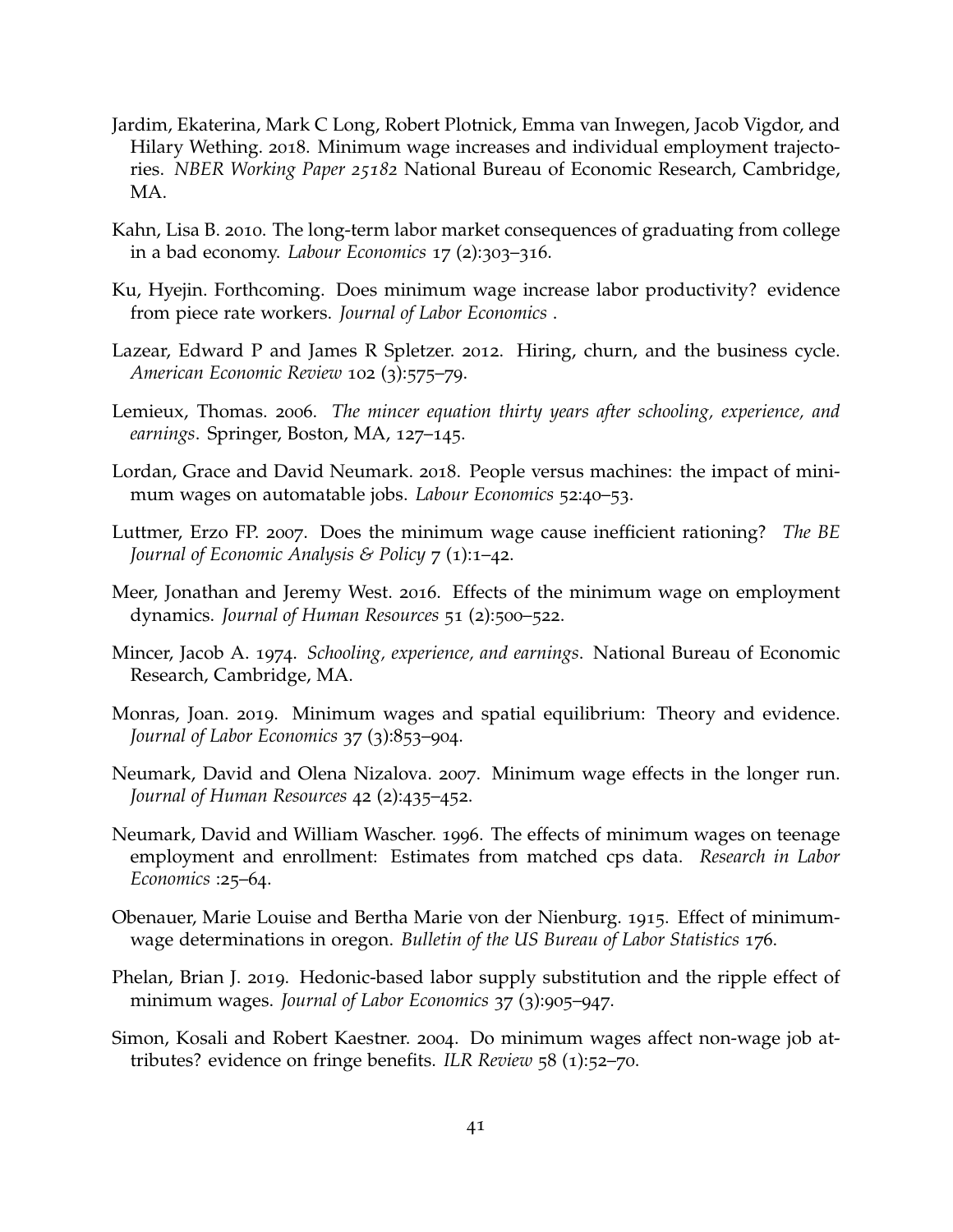- <span id="page-41-7"></span>Jardim, Ekaterina, Mark C Long, Robert Plotnick, Emma van Inwegen, Jacob Vigdor, and Hilary Wething. 2018. Minimum wage increases and individual employment trajectories. *NBER Working Paper 25182* National Bureau of Economic Research, Cambridge, MA.
- <span id="page-41-1"></span>Kahn, Lisa B. 2010. The long-term labor market consequences of graduating from college in a bad economy. *Labour Economics* 17 (2):303–316.
- <span id="page-41-5"></span>Ku, Hyejin. Forthcoming. Does minimum wage increase labor productivity? evidence from piece rate workers. *Journal of Labor Economics* .
- <span id="page-41-14"></span>Lazear, Edward P and James R Spletzer. 2012. Hiring, churn, and the business cycle. *American Economic Review* 102 (3):575–79.
- <span id="page-41-0"></span>Lemieux, Thomas. 2006. *The mincer equation thirty years after schooling, experience, and earnings*. Springer, Boston, MA, 127–145.
- <span id="page-41-4"></span>Lordan, Grace and David Neumark. 2018. People versus machines: the impact of minimum wages on automatable jobs. *Labour Economics* 52:40–53.
- <span id="page-41-10"></span>Luttmer, Erzo FP. 2007. Does the minimum wage cause inefficient rationing? *The BE Journal of Economic Analysis & Policy* 7 (1):1–42.
- <span id="page-41-6"></span>Meer, Jonathan and Jeremy West. 2016. Effects of the minimum wage on employment dynamics. *Journal of Human Resources* 51 (2):500–522.
- <span id="page-41-13"></span>Mincer, Jacob A. 1974. *Schooling, experience, and earnings*. National Bureau of Economic Research, Cambridge, MA.
- <span id="page-41-12"></span>Monras, Joan. 2019. Minimum wages and spatial equilibrium: Theory and evidence. *Journal of Labor Economics* 37 (3):853–904.
- <span id="page-41-2"></span>Neumark, David and Olena Nizalova. 2007. Minimum wage effects in the longer run. *Journal of Human Resources* 42 (2):435–452.
- <span id="page-41-9"></span>Neumark, David and William Wascher. 1996. The effects of minimum wages on teenage employment and enrollment: Estimates from matched cps data. *Research in Labor Economics* :25–64.
- <span id="page-41-8"></span>Obenauer, Marie Louise and Bertha Marie von der Nienburg. 1915. Effect of minimumwage determinations in oregon. *Bulletin of the US Bureau of Labor Statistics* 176.
- <span id="page-41-11"></span>Phelan, Brian J. 2019. Hedonic-based labor supply substitution and the ripple effect of minimum wages. *Journal of Labor Economics* 37 (3):905–947.
- <span id="page-41-3"></span>Simon, Kosali and Robert Kaestner. 2004. Do minimum wages affect non-wage job attributes? evidence on fringe benefits. *ILR Review* 58 (1):52–70.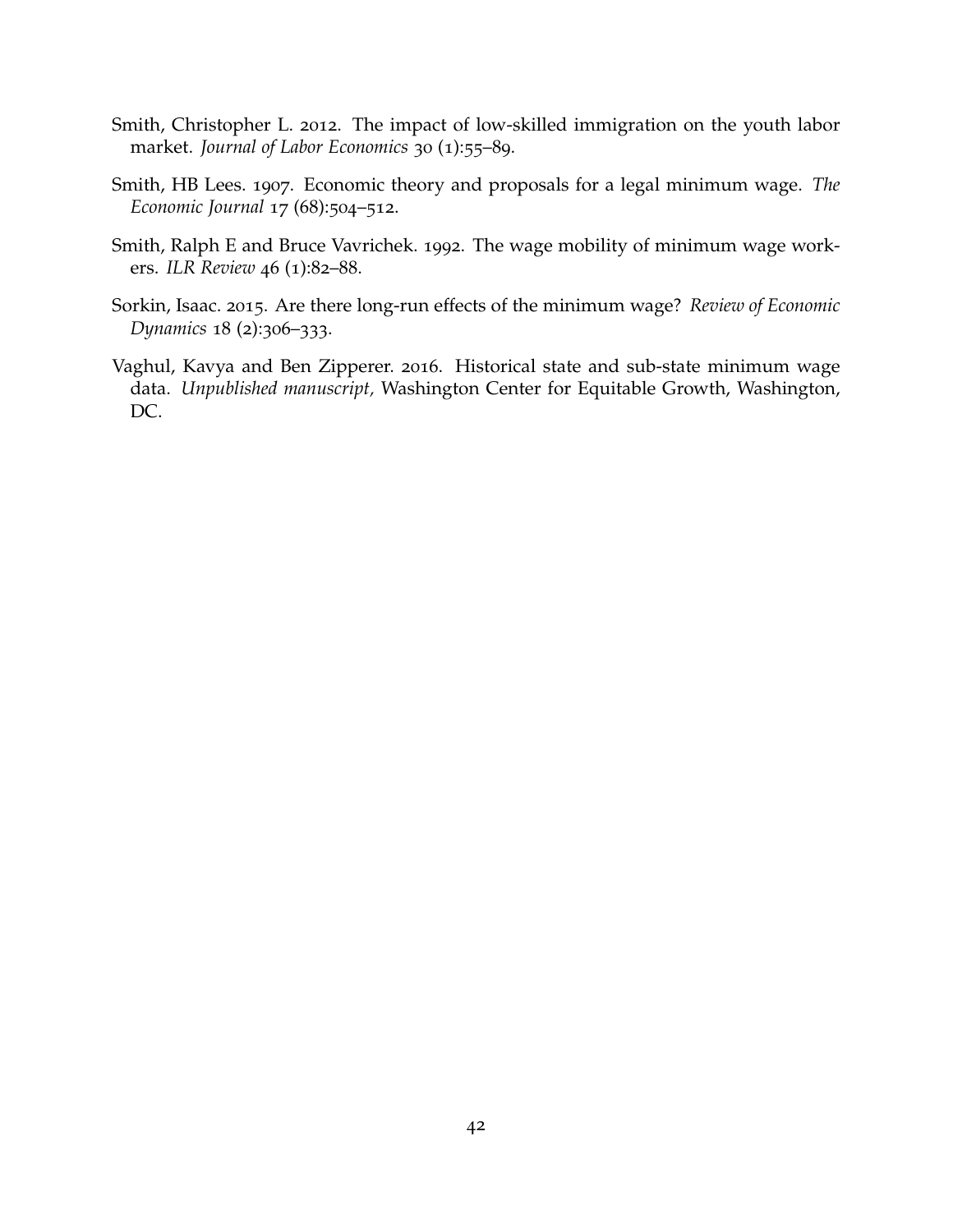- <span id="page-42-4"></span>Smith, Christopher L. 2012. The impact of low-skilled immigration on the youth labor market. *Journal of Labor Economics* 30 (1):55–89.
- <span id="page-42-1"></span>Smith, HB Lees. 1907. Economic theory and proposals for a legal minimum wage. *The Economic Journal* 17 (68):504–512.
- <span id="page-42-0"></span>Smith, Ralph E and Bruce Vavrichek. 1992. The wage mobility of minimum wage workers. *ILR Review* 46 (1):82–88.
- <span id="page-42-2"></span>Sorkin, Isaac. 2015. Are there long-run effects of the minimum wage? *Review of Economic Dynamics* 18 (2):306–333.
- <span id="page-42-3"></span>Vaghul, Kavya and Ben Zipperer. 2016. Historical state and sub-state minimum wage data. *Unpublished manuscript,* Washington Center for Equitable Growth, Washington, DC.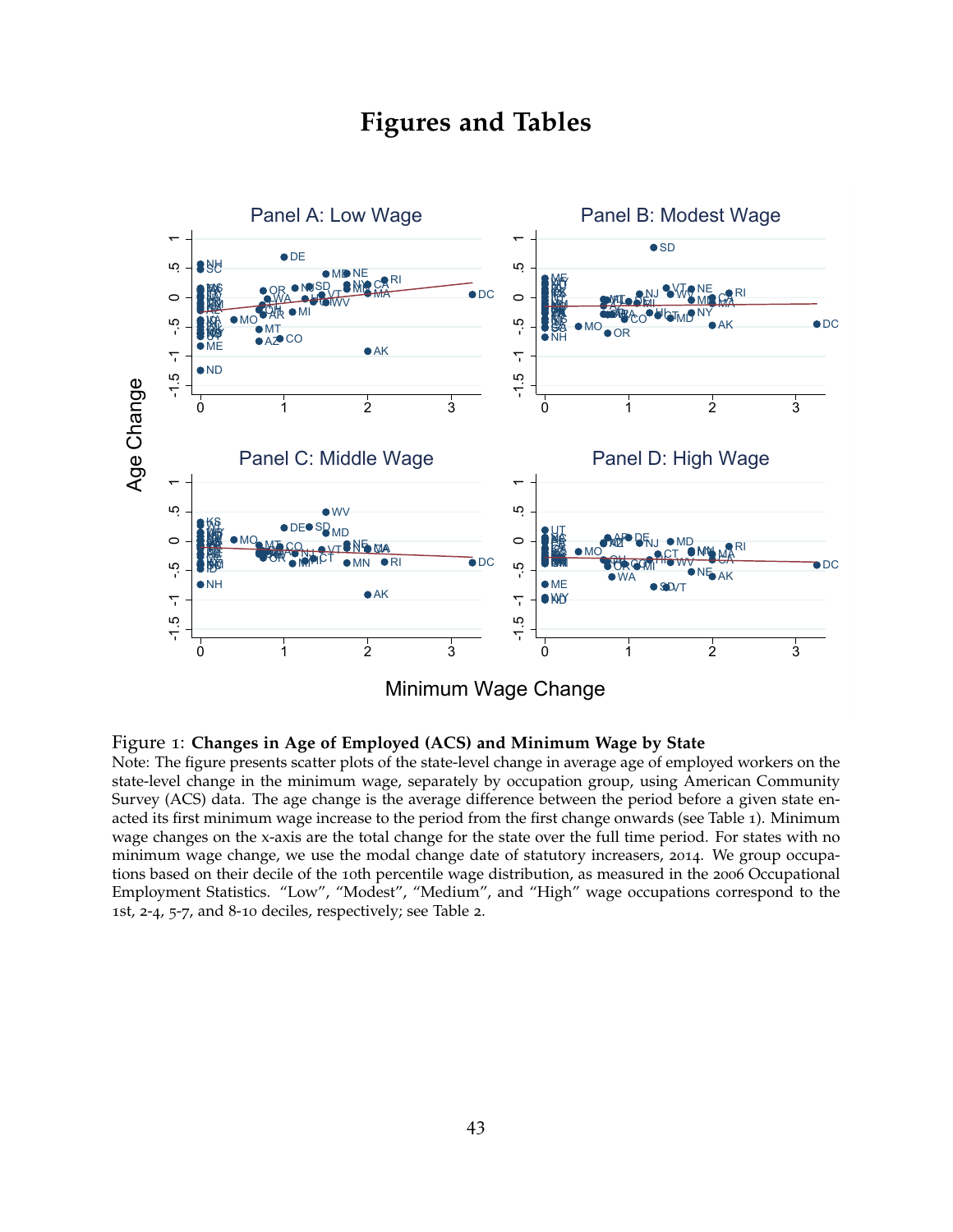# **Figures and Tables**

<span id="page-43-0"></span>

#### Figure 1: **Changes in Age of Employed (ACS) and Minimum Wage by State**

Note: The figure presents scatter plots of the state-level change in average age of employed workers on the state-level change in the minimum wage, separately by occupation group, using American Community Survey (ACS) data. The age change is the average difference between the period before a given state enacted its first minimum wage increase to the period from the first change onwards (see Table [1](#page-50-0)). Minimum wage changes on the x-axis are the total change for the state over the full time period. For states with no minimum wage change, we use the modal change date of statutory increasers, 2014. We group occupations based on their decile of the 10th percentile wage distribution, as measured in the 2006 Occupational Employment Statistics. "Low", "Modest", "Medium", and "High" wage occupations correspond to the 1st, 2-4, 5-7, and 8-10 deciles, respectively; see Table [2](#page-51-0).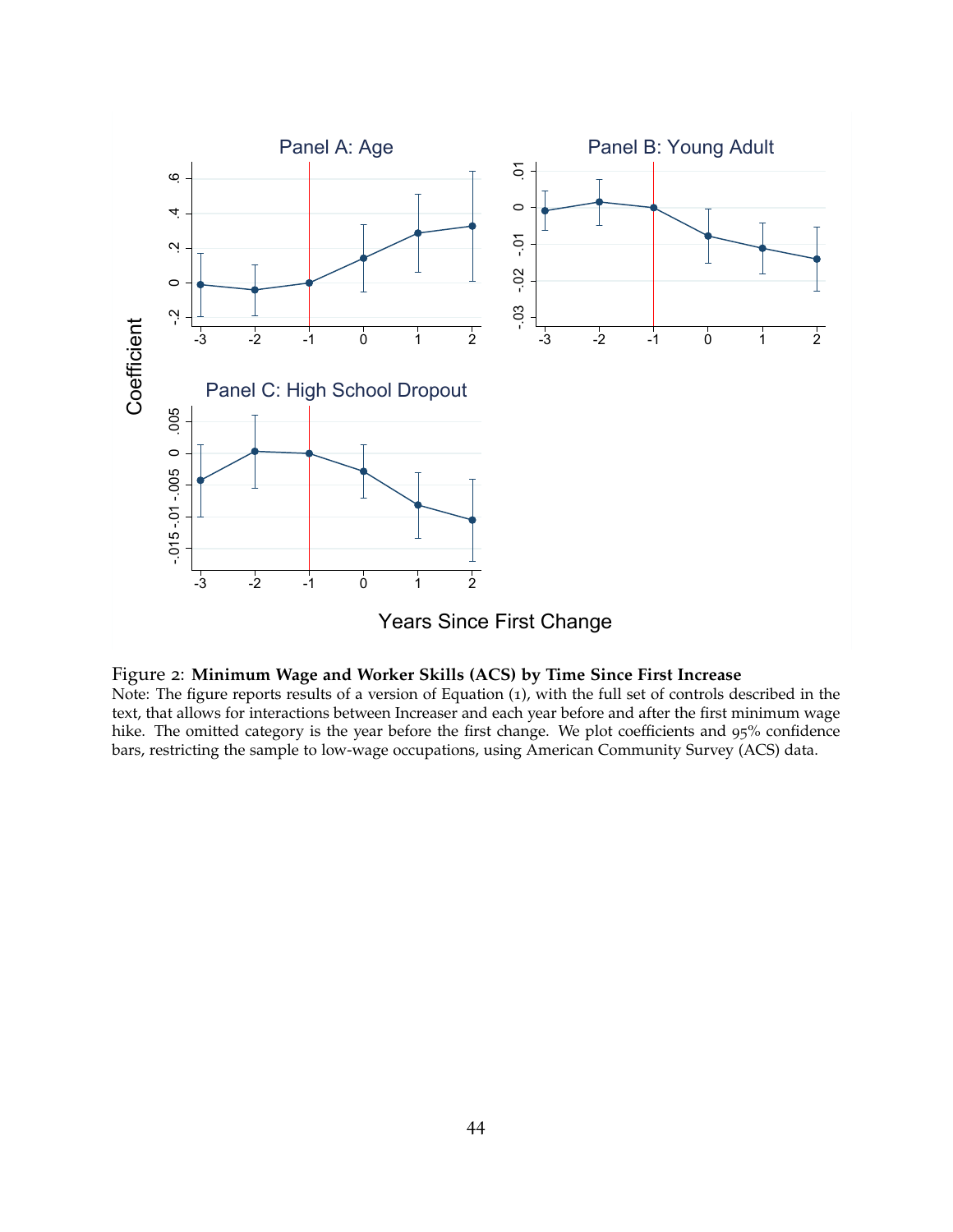<span id="page-44-0"></span>



Note: The figure reports results of a version of Equation ([1](#page-11-0)), with the full set of controls described in the text, that allows for interactions between Increaser and each year before and after the first minimum wage hike. The omitted category is the year before the first change. We plot coefficients and 95% confidence bars, restricting the sample to low-wage occupations, using American Community Survey (ACS) data.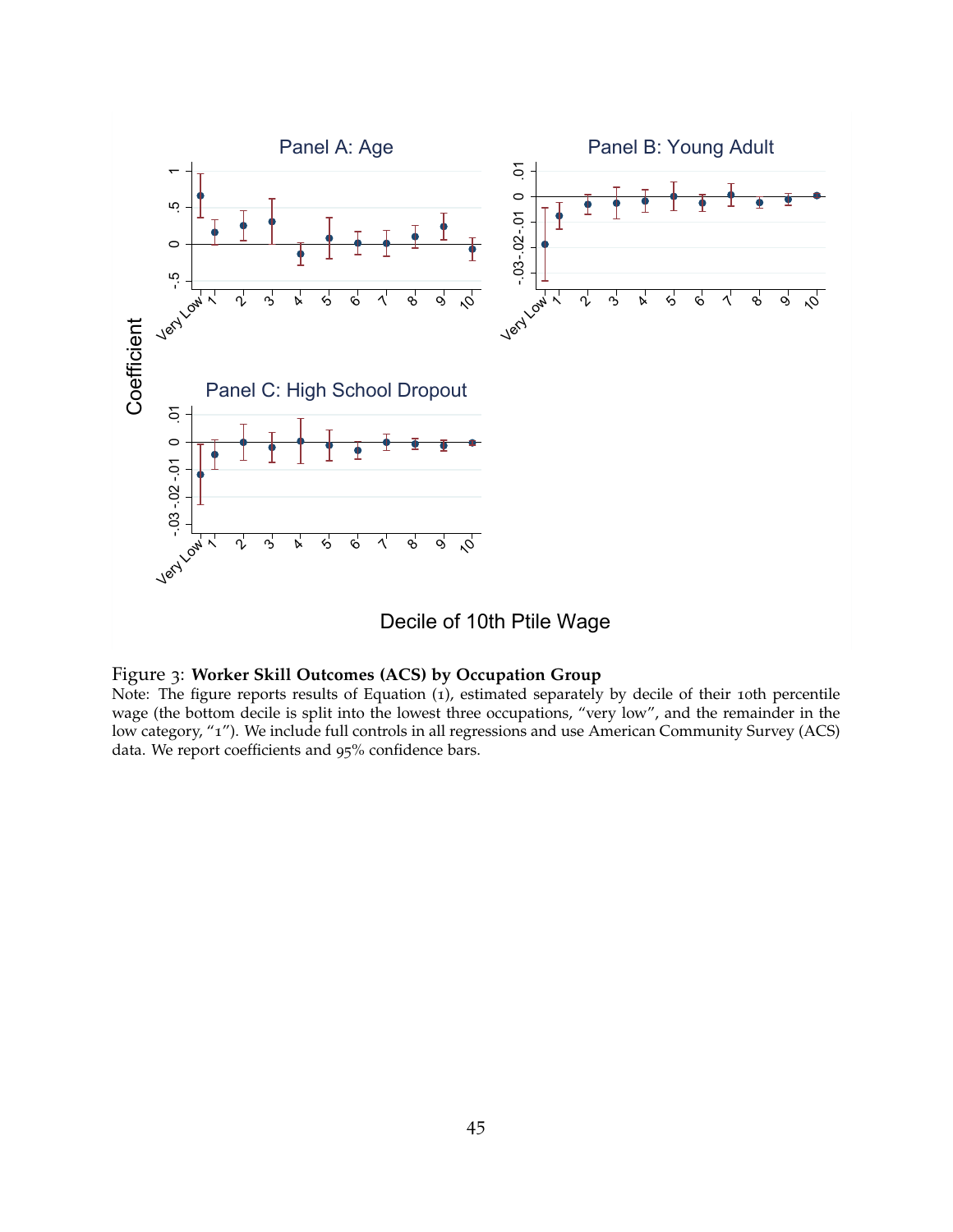<span id="page-45-0"></span>

Decile of 10th Ptile Wage

### Figure 3: **Worker Skill Outcomes (ACS) by Occupation Group**

Note: The figure reports results of Equation ([1](#page-11-0)), estimated separately by decile of their 10th percentile wage (the bottom decile is split into the lowest three occupations, "very low", and the remainder in the low category, "1"). We include full controls in all regressions and use American Community Survey (ACS) data. We report coefficients and 95% confidence bars.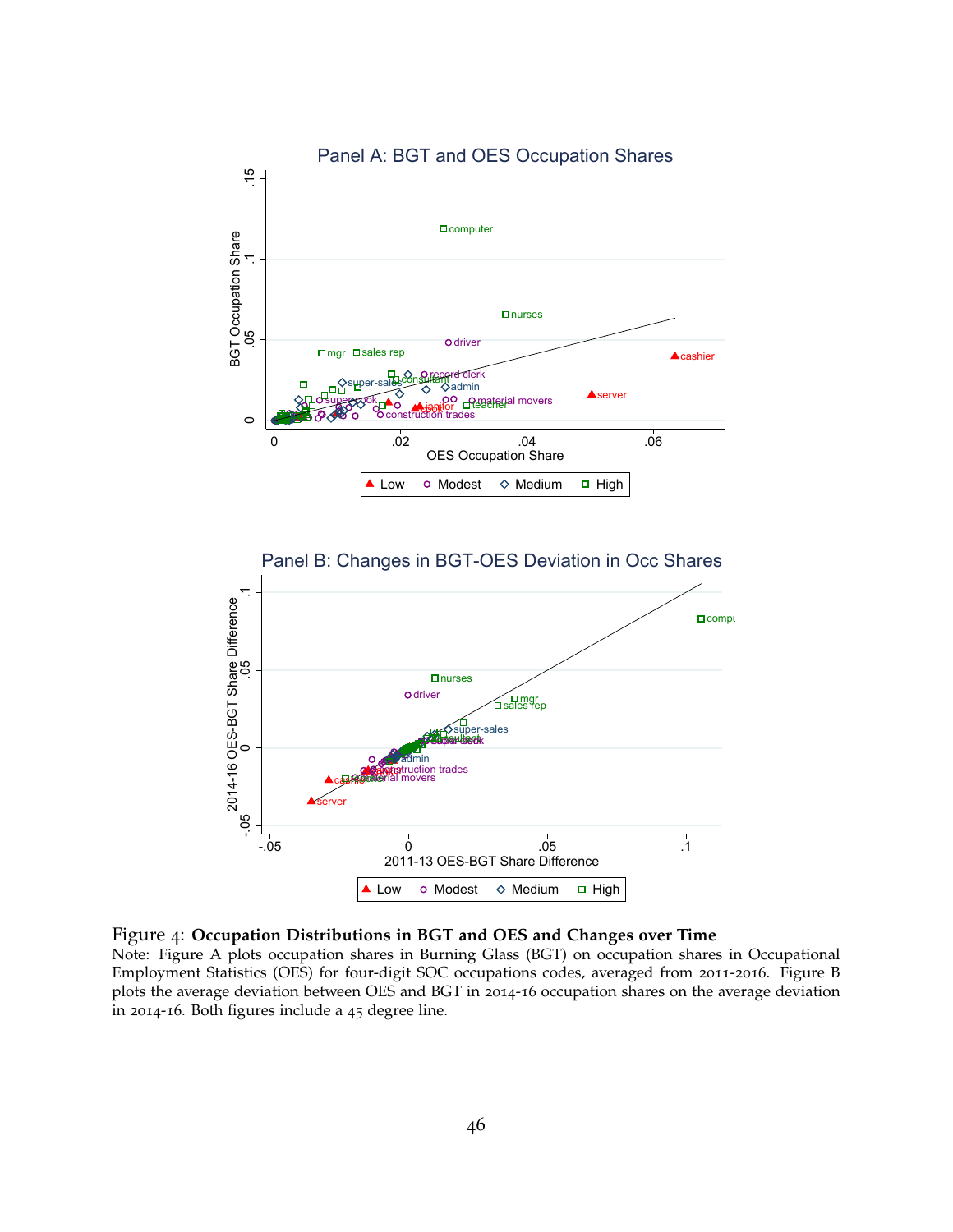<span id="page-46-0"></span>

Figure 4: **Occupation Distributions in BGT and OES and Changes over Time**

Note: Figure A plots occupation shares in Burning Glass (BGT) on occupation shares in Occupational Employment Statistics (OES) for four-digit SOC occupations codes, averaged from 2011-2016. Figure B plots the average deviation between OES and BGT in 2014-16 occupation shares on the average deviation in 2014-16. Both figures include a 45 degree line.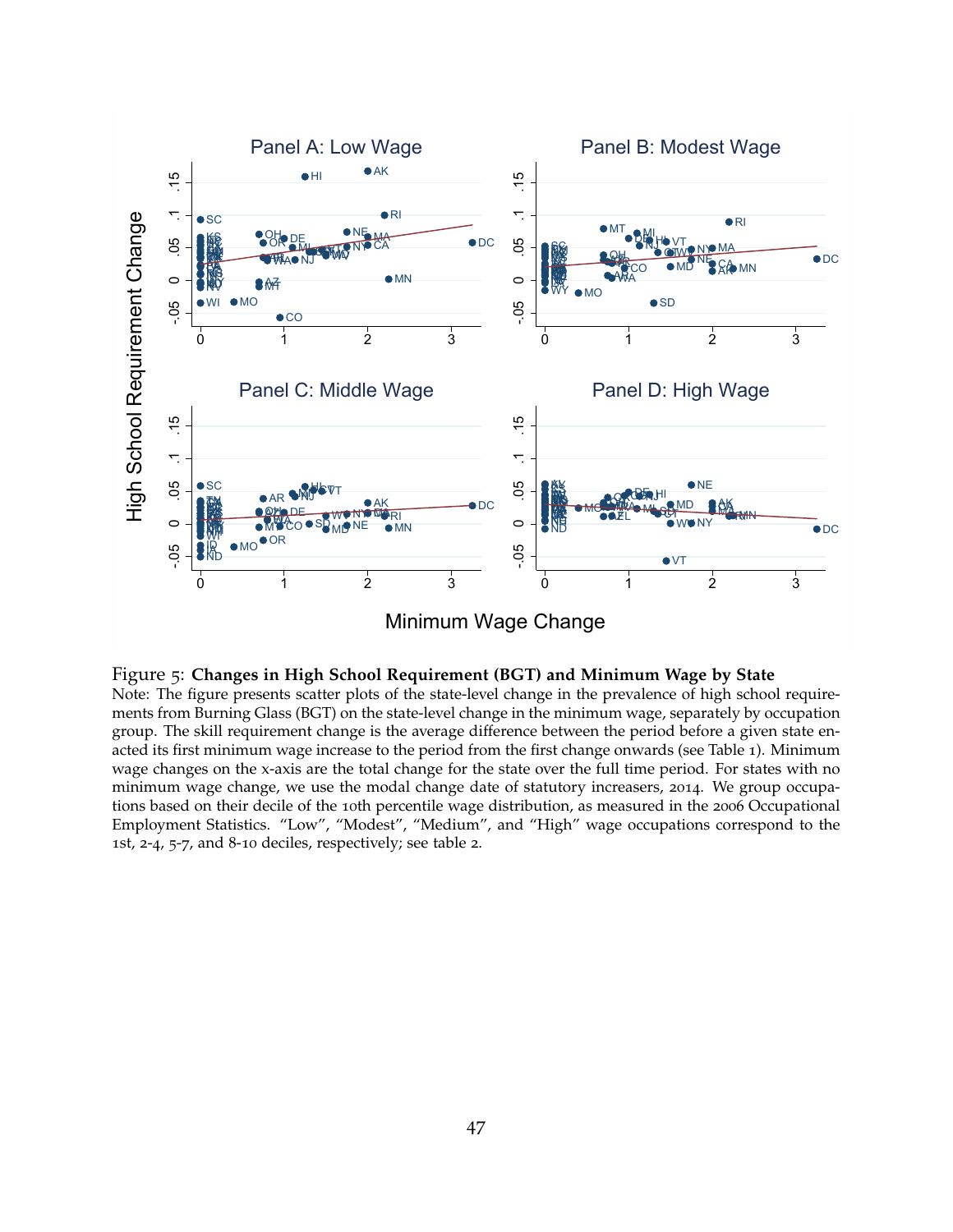<span id="page-47-0"></span>

#### Figure 5: **Changes in High School Requirement (BGT) and Minimum Wage by State**

Note: The figure presents scatter plots of the state-level change in the prevalence of high school requirements from Burning Glass (BGT) on the state-level change in the minimum wage, separately by occupation group. The skill requirement change is the average difference between the period before a given state enacted its first minimum wage increase to the period from the first change onwards (see Table [1](#page-50-0)). Minimum wage changes on the x-axis are the total change for the state over the full time period. For states with no minimum wage change, we use the modal change date of statutory increasers, 2014. We group occupations based on their decile of the 10th percentile wage distribution, as measured in the 2006 Occupational Employment Statistics. "Low", "Modest", "Medium", and "High" wage occupations correspond to the 1st, 2-4, 5-7, and 8-10 deciles, respectively; see table [2](#page-51-0).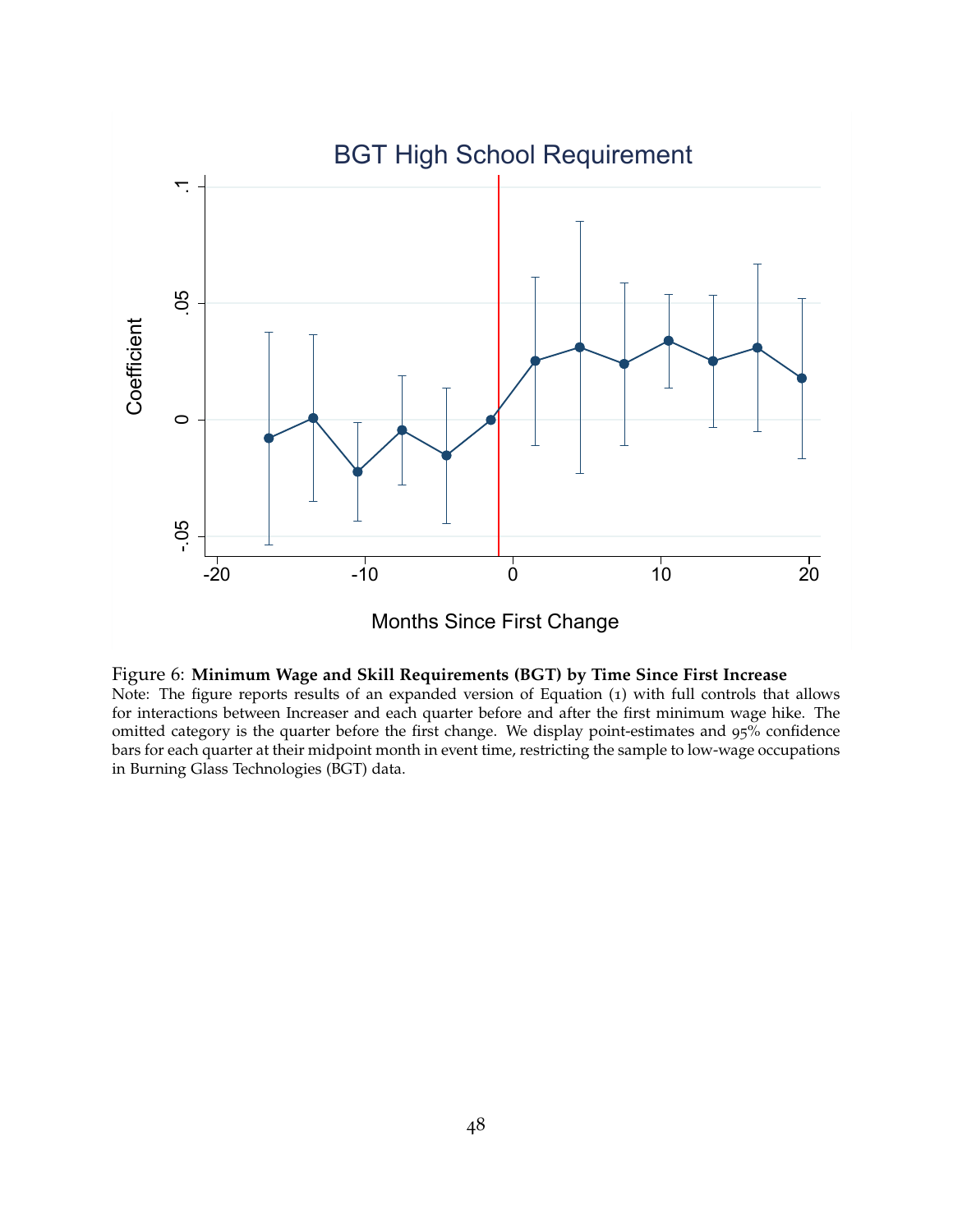<span id="page-48-0"></span>

Months Since First Change



Note: The figure reports results of an expanded version of Equation ([1](#page-11-0)) with full controls that allows for interactions between Increaser and each quarter before and after the first minimum wage hike. The omitted category is the quarter before the first change. We display point-estimates and 95% confidence bars for each quarter at their midpoint month in event time, restricting the sample to low-wage occupations in Burning Glass Technologies (BGT) data.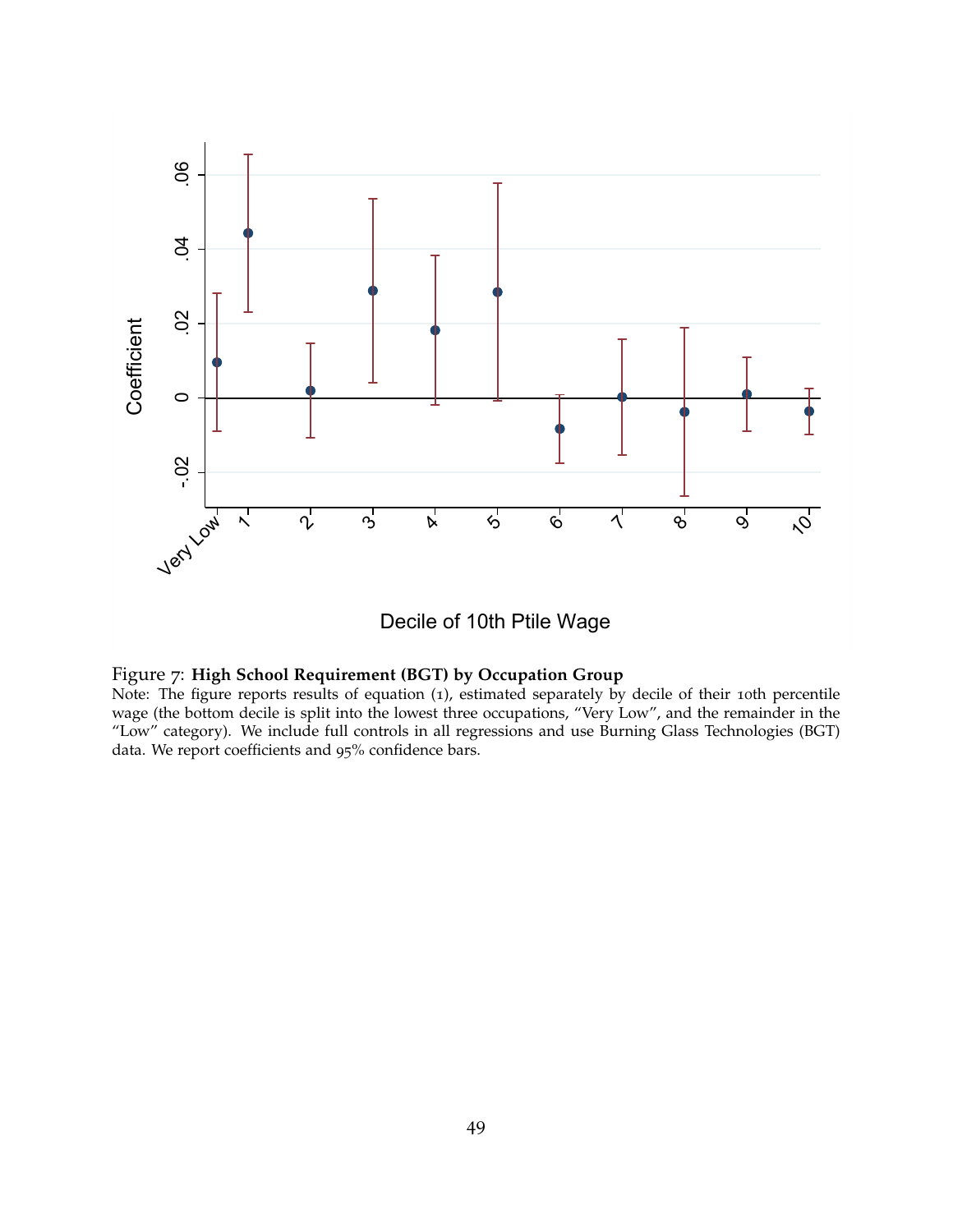<span id="page-49-0"></span>

Decile of 10th Ptile Wage

#### Figure 7: **High School Requirement (BGT) by Occupation Group**

Note: The figure reports results of equation ([1](#page-11-0)), estimated separately by decile of their 10th percentile wage (the bottom decile is split into the lowest three occupations, "Very Low", and the remainder in the "Low" category). We include full controls in all regressions and use Burning Glass Technologies (BGT) data. We report coefficients and 95% confidence bars.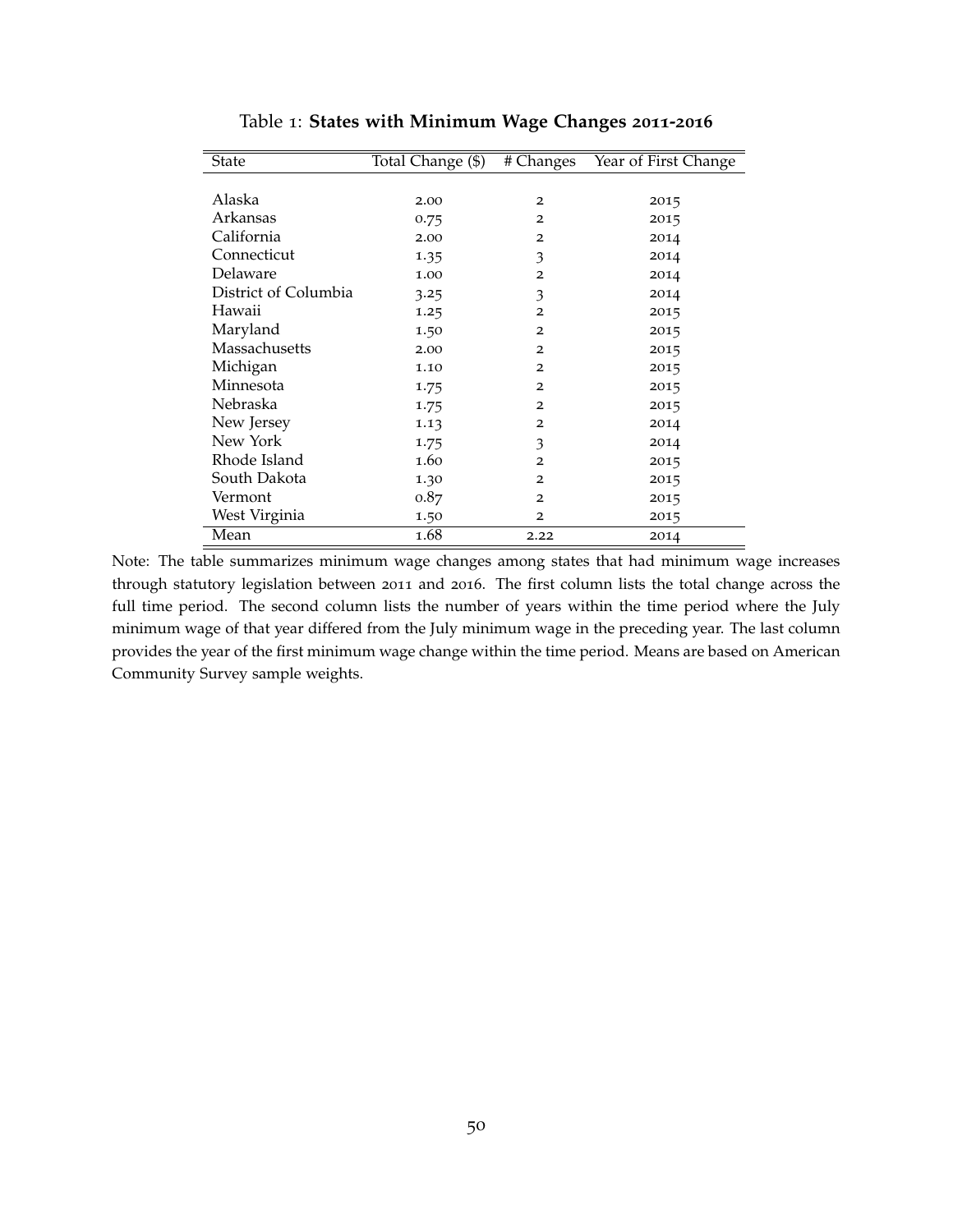<span id="page-50-0"></span>

| State                | Total Change (\$) | # Changes      | Year of First Change |
|----------------------|-------------------|----------------|----------------------|
|                      |                   |                |                      |
| Alaska               | 2.00              | 2              | 2015                 |
| Arkansas             | 0.75              | $\overline{2}$ | 2015                 |
| California           | 2.00              | $\overline{2}$ | 2014                 |
| Connecticut          | 1.35              | 3              | 2014                 |
| Delaware             | 1.00              | $\overline{2}$ | 2014                 |
| District of Columbia | 3.25              | 3              | 2014                 |
| Hawaii               | 1.25              | $\overline{2}$ | 2015                 |
| Maryland             | 1.50              | $\overline{2}$ | 2015                 |
| Massachusetts        | 2.00              | $\overline{2}$ | 2015                 |
| Michigan             | 1.10              | $\overline{2}$ | 2015                 |
| Minnesota            | 1.75              | $\overline{2}$ | 2015                 |
| Nebraska             | 1.75              | $\overline{2}$ | 2015                 |
| New Jersey           | 1.13              | $\overline{2}$ | 2014                 |
| New York             | 1.75              | 3              | 2014                 |
| Rhode Island         | 1.60              | $\overline{2}$ | 2015                 |
| South Dakota         | 1.30              | 2              | 2015                 |
| Vermont              | 0.87              | $\overline{2}$ | 2015                 |
| West Virginia        | 1.50              | $\overline{2}$ | 2015                 |
| Mean                 | 1.68              | 2.22           | 2014                 |

Table 1: **States with Minimum Wage Changes 2011-2016**

Note: The table summarizes minimum wage changes among states that had minimum wage increases through statutory legislation between 2011 and 2016. The first column lists the total change across the full time period. The second column lists the number of years within the time period where the July minimum wage of that year differed from the July minimum wage in the preceding year. The last column provides the year of the first minimum wage change within the time period. Means are based on American Community Survey sample weights.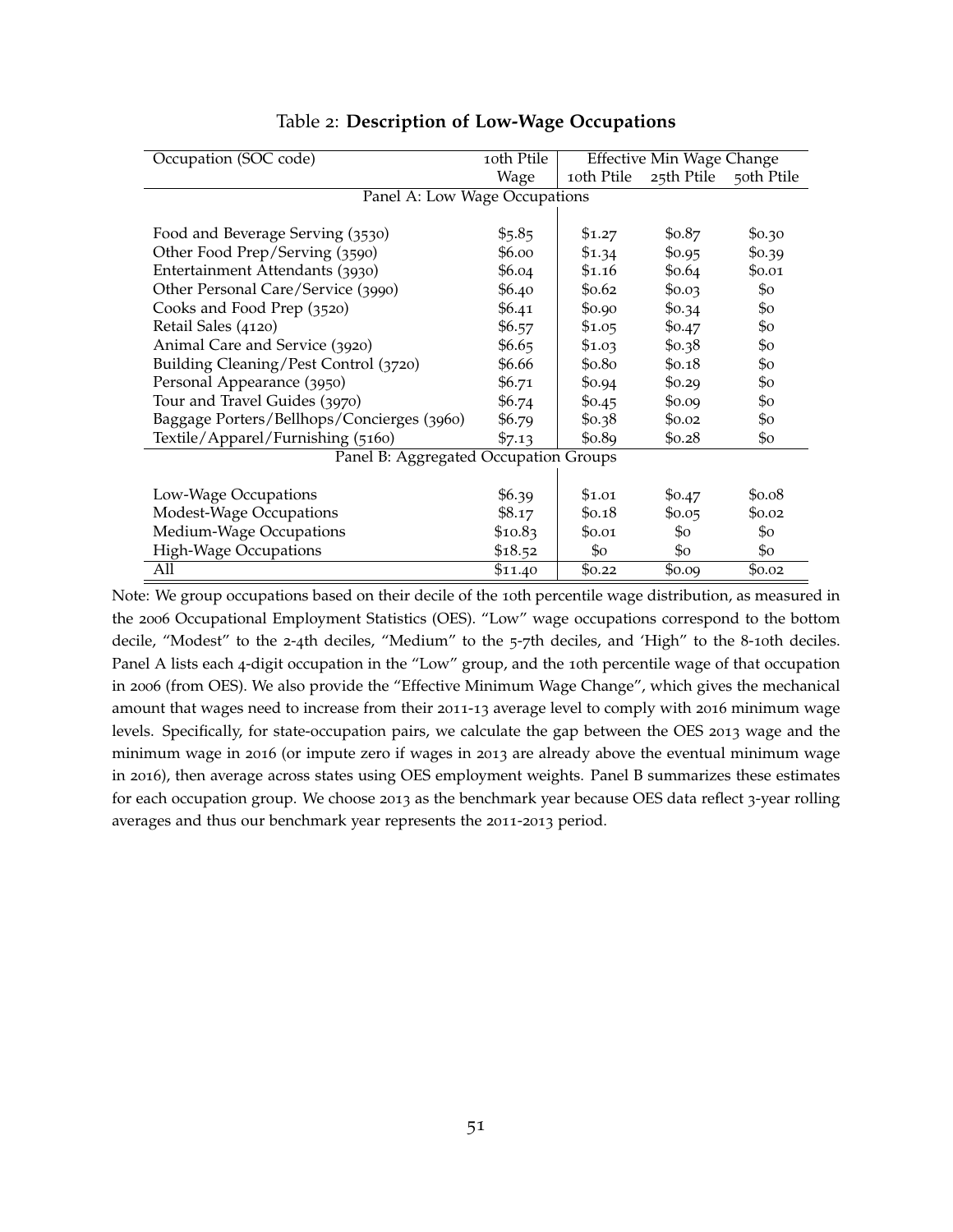<span id="page-51-0"></span>

| Occupation (SOC code)                      | 10th Ptile | <b>Effective Min Wage Change</b> |                       |                          |
|--------------------------------------------|------------|----------------------------------|-----------------------|--------------------------|
|                                            | Wage       | 10th Ptile                       | 25th Ptile            | 50th Ptile               |
| Panel A: Low Wage Occupations              |            |                                  |                       |                          |
|                                            |            |                                  |                       |                          |
| Food and Beverage Serving (3530)           | \$5.85     | \$1.27                           | \$0.87                | \$0.30                   |
| Other Food Prep/Serving (3590)             | \$6.00     | \$1.34                           | \$0.95                | \$0.39                   |
| Entertainment Attendants (3930)            | \$6.04     | \$1.16                           | \$0.64                | \$0.01                   |
| Other Personal Care/Service (3990)         | \$6.40     | \$0.62                           | \$0.03                | $\mathcal{S}^{\circ}$    |
| Cooks and Food Prep (3520)                 | \$6.41     | \$0.90                           | \$0.34                | $\mathcal{S}^{\circ}$    |
| Retail Sales (4120)                        | \$6.57     | \$1.05                           | \$0.47                | \$0                      |
| Animal Care and Service (3920)             | \$6.65     | \$1.03                           | \$0.38                | \$0                      |
| Building Cleaning/Pest Control (3720)      | \$6.66     | \$0.80                           | \$0.18                | $\mathcal{S}_{\text{O}}$ |
| Personal Appearance (3950)                 | \$6.71     | \$0.94                           | \$0.29                | \$0                      |
| Tour and Travel Guides (3970)              | \$6.74     | \$0.45                           | \$0.09                | $\mathcal{S}^{\circ}$    |
| Baggage Porters/Bellhops/Concierges (3960) | \$6.79     | \$0.38                           | \$0.02                | \$0                      |
| Textile/Apparel/Furnishing (5160)          | \$7.13     | \$0.89                           | \$0.28                | \$0                      |
| Panel B: Aggregated Occupation Groups      |            |                                  |                       |                          |
|                                            |            |                                  |                       |                          |
| Low-Wage Occupations                       | \$6.39     | \$1.01                           | \$0.47                | \$0.08                   |
| Modest-Wage Occupations                    | \$8.17     | \$0.18                           | \$0.05                | \$0.02                   |
| Medium-Wage Occupations                    | \$10.83    | \$0.01                           | $\mathcal{S}_{\rm O}$ | $\mathcal{S}^{\circ}$    |
| High-Wage Occupations                      | \$18.52    | $\mathcal{S}^{\circ}$            | \$0                   | $\mathcal{S}_{\rm O}$    |
| All                                        | \$11.40    | \$0.22                           | \$0.09                | \$0.02                   |

### Table 2: **Description of Low-Wage Occupations**

Note: We group occupations based on their decile of the 10th percentile wage distribution, as measured in the 2006 Occupational Employment Statistics (OES). "Low" wage occupations correspond to the bottom decile, "Modest" to the 2-4th deciles, "Medium" to the 5-7th deciles, and 'High" to the 8-10th deciles. Panel A lists each 4-digit occupation in the "Low" group, and the 10th percentile wage of that occupation in 2006 (from OES). We also provide the "Effective Minimum Wage Change", which gives the mechanical amount that wages need to increase from their 2011-13 average level to comply with 2016 minimum wage levels. Specifically, for state-occupation pairs, we calculate the gap between the OES 2013 wage and the minimum wage in 2016 (or impute zero if wages in 2013 are already above the eventual minimum wage in 2016), then average across states using OES employment weights. Panel B summarizes these estimates for each occupation group. We choose 2013 as the benchmark year because OES data reflect 3-year rolling averages and thus our benchmark year represents the 2011-2013 period.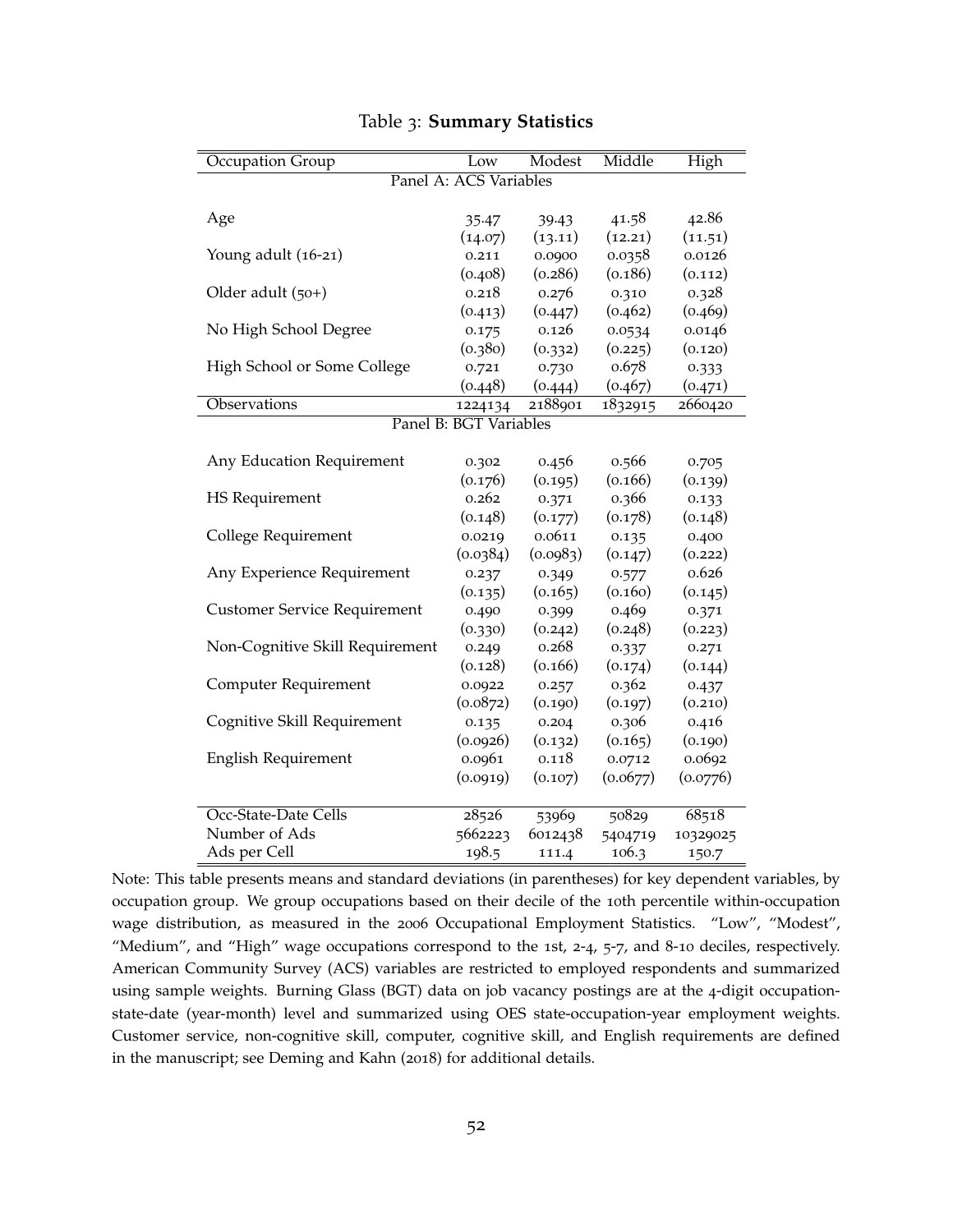<span id="page-52-0"></span>

| Occupation Group                    | Low                    | Modest   | Middle   | High     |
|-------------------------------------|------------------------|----------|----------|----------|
|                                     | Panel A: ACS Variables |          |          |          |
|                                     |                        |          |          |          |
| Age                                 | 35.47                  | 39.43    | 41.58    | 42.86    |
|                                     | (14.07)                | (13.11)  | (12.21)  | (11.51)  |
| Young adult (16-21)                 | 0.211                  | 0.0900   | 0.0358   | 0.0126   |
|                                     | (0.408)                | (0.286)  | (0.186)  | (0.112)  |
| Older adult (50+)                   | 0.218                  | 0.276    | 0.310    | 0.328    |
|                                     | (0.413)                | (0.447)  | (0.462)  | (0.469)  |
| No High School Degree               | 0.175                  | 0.126    | 0.0534   | 0.0146   |
|                                     | (0.380)                | (0.332)  | (0.225)  | (0.120)  |
| High School or Some College         | 0.721                  | 0.730    | 0.678    | 0.333    |
|                                     | (0.448)                | (0.444)  | (0.467)  | (0.471)  |
| Observations                        | 1224134                | 2188901  | 1832915  | 2660420  |
|                                     | Panel B: BGT Variables |          |          |          |
|                                     |                        |          |          |          |
| Any Education Requirement           | 0.302                  | 0.456    | 0.566    | 0.705    |
|                                     | (0.176)                | (0.195)  | (0.166)  | (0.139)  |
| <b>HS</b> Requirement               | 0.262                  | 0.371    | 0.366    | 0.133    |
|                                     | (0.148)                | (0.177)  | (0.178)  | (0.148)  |
| College Requirement                 | 0.0219                 | 0.0611   | 0.135    | 0.400    |
|                                     | (0.0384)               | (0.0983) | (0.147)  | (0.222)  |
| Any Experience Requirement          | 0.237                  | 0.349    | 0.577    | 0.626    |
|                                     | (0.135)                | (0.165)  | (0.160)  | (0.145)  |
| <b>Customer Service Requirement</b> | 0.490                  | 0.399    | 0.469    | 0.371    |
|                                     | (0.330)                | (0.242)  | (0.248)  | (0.223)  |
| Non-Cognitive Skill Requirement     | 0.249                  | 0.268    | 0.337    | 0.271    |
|                                     | (0.128)                | (0.166)  | (0.174)  | (0.144)  |
| Computer Requirement                | 0.0922                 | 0.257    | 0.362    | 0.437    |
|                                     | (0.0872)               | (0.190)  | (0.197)  | (0.210)  |
| Cognitive Skill Requirement         | 0.135                  | 0.204    | 0.306    | 0.416    |
|                                     | (0.0926)               | (0.132)  | (0.165)  | (0.190)  |
| <b>English Requirement</b>          | 0.0961                 | 0.118    | 0.0712   | 0.0692   |
|                                     | (0.0919)               | (0.107)  | (0.0677) | (0.0776) |
|                                     |                        |          |          |          |
| Occ-State-Date Cells                | 28526                  | 53969    | 50829    | 68518    |
| Number of Ads                       | 5662223                | 6012438  | 5404719  | 10329025 |
| Ads per Cell                        | 198.5                  | 111.4    | 106.3    | 150.7    |

Table 3: **Summary Statistics**

Note: This table presents means and standard deviations (in parentheses) for key dependent variables, by occupation group. We group occupations based on their decile of the 10th percentile within-occupation wage distribution, as measured in the 2006 Occupational Employment Statistics. "Low", "Modest", "Medium", and "High" wage occupations correspond to the 1st, 2-4, 5-7, and 8-10 deciles, respectively. American Community Survey (ACS) variables are restricted to employed respondents and summarized using sample weights. Burning Glass (BGT) data on job vacancy postings are at the 4-digit occupationstate-date (year-month) level and summarized using OES state-occupation-year employment weights. Customer service, non-cognitive skill, computer, cognitive skill, and English requirements are defined in the manuscript; see [Deming and Kahn](#page-39-10) ([2018](#page-39-10)) for additional details.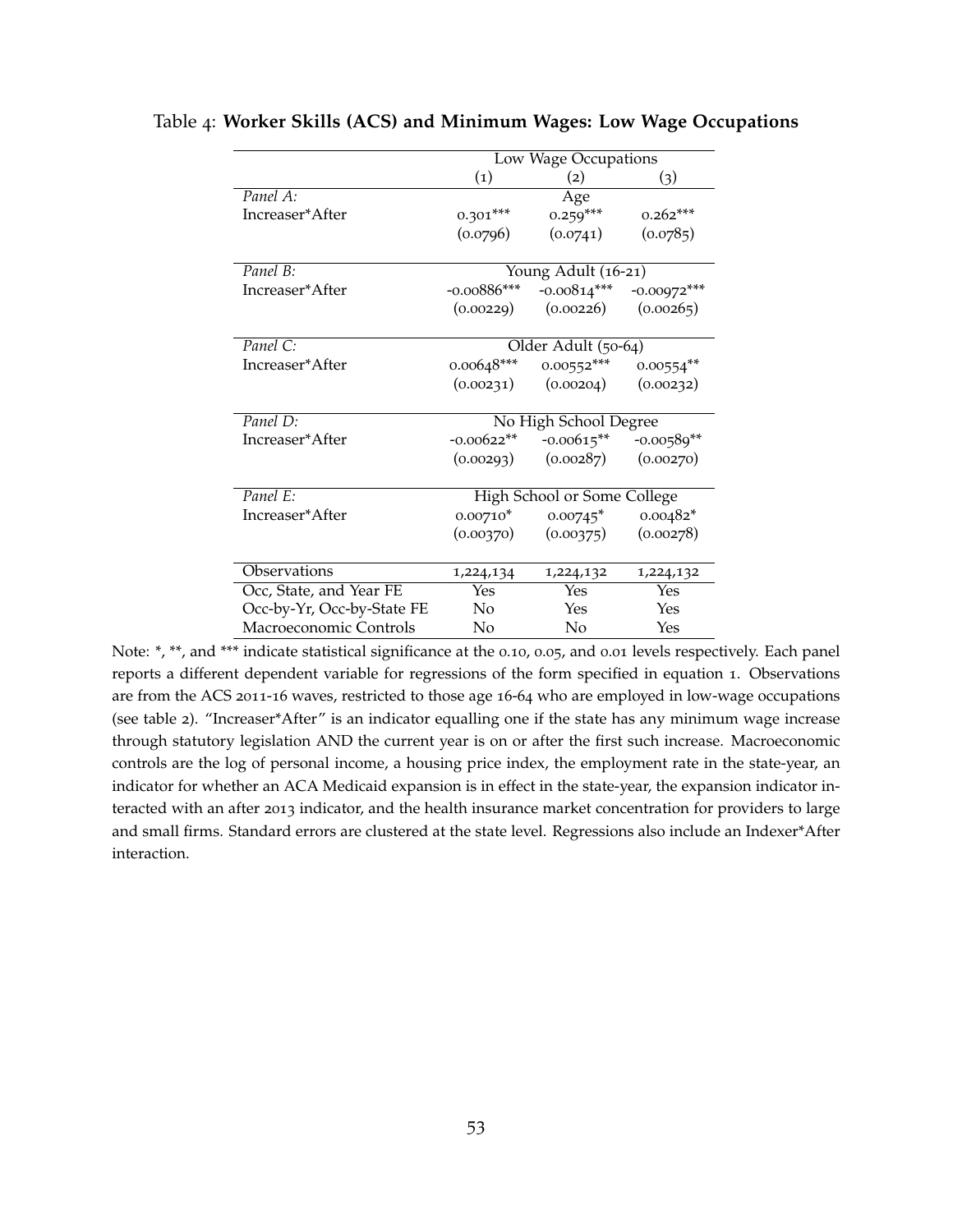|                            | Low Wage Occupations |                             |                            |  |
|----------------------------|----------------------|-----------------------------|----------------------------|--|
|                            | $\left( 1\right)$    | (2)                         | $\left( 3\right)$          |  |
| Panel A:                   |                      | Age                         |                            |  |
| Increaser*After            | $0.301***$           | $0.259***$                  | $0.262***$                 |  |
|                            | (0.0796)             | (0.0741)                    | (0.0785)                   |  |
|                            |                      |                             |                            |  |
| Panel B:                   |                      | Young Adult (16-21)         |                            |  |
| Increaser*After            | $-0.00886***$        | $-0.00814***$               | $-0.00972***$              |  |
|                            | (0.00229)            | (0.00226)                   | (0.00265)                  |  |
|                            |                      |                             |                            |  |
| Panel C:                   |                      | Older Adult (50-64)         |                            |  |
| Increaser*After            | $0.00648***$         | $0.00552***$                | $0.00554**$                |  |
|                            | (0.00231)            | (0.00204)                   | (0.00232)                  |  |
|                            |                      |                             |                            |  |
| Panel D:                   |                      | No High School Degree       |                            |  |
| Increaser*After            | $-0.00622**$         |                             | $-0.00615***$ $-0.00589**$ |  |
|                            | (0.00293)            | (0.00287)                   | (0.00270)                  |  |
|                            |                      |                             |                            |  |
| Panel E:                   |                      | High School or Some College |                            |  |
| Increaser*After            |                      | $0.00710^*$ $0.00745^*$     | $0.00482*$                 |  |
|                            |                      | $(0.00370)$ $(0.00375)$     | (0.00278)                  |  |
|                            |                      |                             |                            |  |
| Observations               | 1,224,134            | 1,224,132                   | 1,224,132                  |  |
| Occ, State, and Year FE    | Yes                  | Yes                         | Yes                        |  |
| Occ-by-Yr, Occ-by-State FE | No                   | Yes                         | Yes                        |  |
| Macroeconomic Controls     | No                   | No                          | Yes                        |  |

#### <span id="page-53-0"></span>Table 4: **Worker Skills (ACS) and Minimum Wages: Low Wage Occupations**

Note: \*, \*\*, and \*\*\* indicate statistical significance at the 0.10, 0.05, and 0.01 levels respectively. Each panel reports a different dependent variable for regressions of the form specified in equation [1](#page-11-0). Observations are from the ACS 2011-16 waves, restricted to those age 16-64 who are employed in low-wage occupations (see table [2](#page-51-0)). "Increaser\*After" is an indicator equalling one if the state has any minimum wage increase through statutory legislation AND the current year is on or after the first such increase. Macroeconomic controls are the log of personal income, a housing price index, the employment rate in the state-year, an indicator for whether an ACA Medicaid expansion is in effect in the state-year, the expansion indicator interacted with an after 2013 indicator, and the health insurance market concentration for providers to large and small firms. Standard errors are clustered at the state level. Regressions also include an Indexer\*After interaction.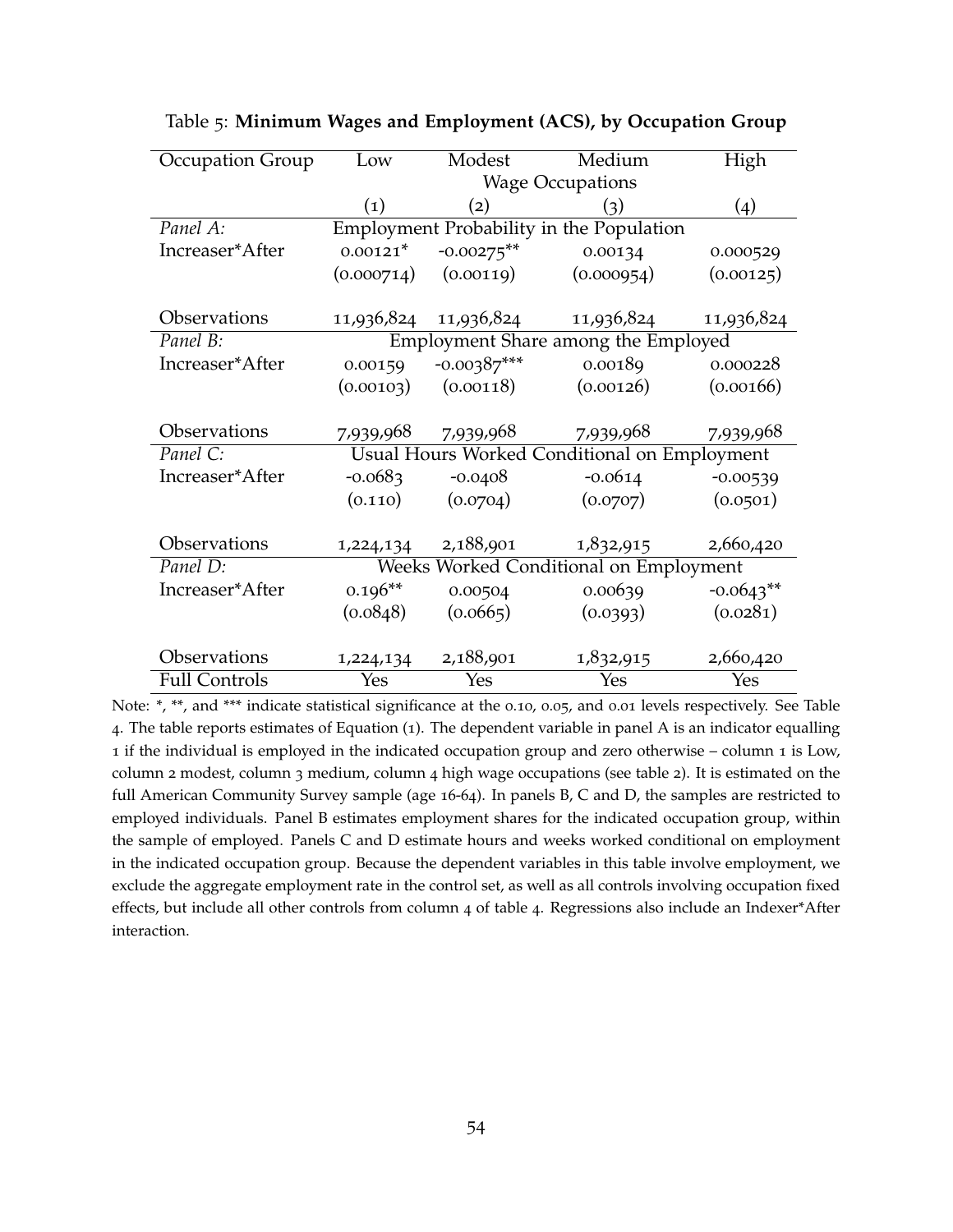| <b>Occupation Group</b> | Low               | Modest                  | Medium                                              | High        |
|-------------------------|-------------------|-------------------------|-----------------------------------------------------|-------------|
|                         |                   |                         | <b>Wage Occupations</b>                             |             |
|                         | $\left( 1\right)$ | (2)                     | (3)                                                 | (4)         |
| Panel A:                |                   |                         | Employment Probability in the Population            |             |
| Increaser*After         | $0.00121*$        | $-0.00275***$           | 0.00134                                             | 0.000529    |
|                         | (0.000714)        | (0.00119)               | (0.000954)                                          | (0.00125)   |
|                         |                   |                         |                                                     |             |
| Observations            |                   | 11,936,824 11,936,824   | 11,936,824                                          | 11,936,824  |
| Panel B:                |                   |                         | Employment Share among the Employed                 |             |
| Increaser*After         | 0.00159           | $-0.00387***$           | 0.00189                                             | 0.000228    |
|                         |                   | $(0.00103)$ $(0.00118)$ | (0.00126)                                           | (0.00166)   |
|                         |                   |                         |                                                     |             |
| Observations            | 7,939,968         | 7,939,968               | 7,939,968                                           | 7,939,968   |
| Panel C:                |                   |                         | <b>Usual Hours Worked Conditional on Employment</b> |             |
| Increaser*After         | $-0.0683$         | $-0.0408$               | $-0.0614$                                           | $-0.00539$  |
|                         | (0.110)           | (0.0704)                | (0.0707)                                            | (0.0501)    |
|                         |                   |                         |                                                     |             |
| Observations            | 1,224,134         | 2,188,901               | 1,832,915                                           | 2,660,420   |
| Panel D:                |                   |                         | Weeks Worked Conditional on Employment              |             |
| Increaser*After         | $0.196**$         | 0.00504                 | 0.00639                                             | $-0.0643**$ |
|                         | (0.0848)          | (0.0665)                | (0.0393)                                            | (0.0281)    |
|                         |                   |                         |                                                     |             |
| Observations            | 1,224,134         | 2,188,901               | 1,832,915                                           | 2,660,420   |
| <b>Full Controls</b>    | Yes               | Yes                     | Yes                                                 | Yes         |

<span id="page-54-0"></span>Table 5: **Minimum Wages and Employment (ACS), by Occupation Group**

Note: \*, \*\*, and \*\*\* indicate statistical significance at the 0.10, 0.05, and 0.01 levels respectively. See Table [4](#page-53-0). The table reports estimates of Equation ([1](#page-11-0)). The dependent variable in panel A is an indicator equalling 1 if the individual is employed in the indicated occupation group and zero otherwise – column 1 is Low, column 2 modest, column 3 medium, column 4 high wage occupations (see table [2](#page-51-0)). It is estimated on the full American Community Survey sample (age 16-64). In panels B, C and D, the samples are restricted to employed individuals. Panel B estimates employment shares for the indicated occupation group, within the sample of employed. Panels C and D estimate hours and weeks worked conditional on employment in the indicated occupation group. Because the dependent variables in this table involve employment, we exclude the aggregate employment rate in the control set, as well as all controls involving occupation fixed effects, but include all other controls from column 4 of table [4](#page-53-0). Regressions also include an Indexer\*After interaction.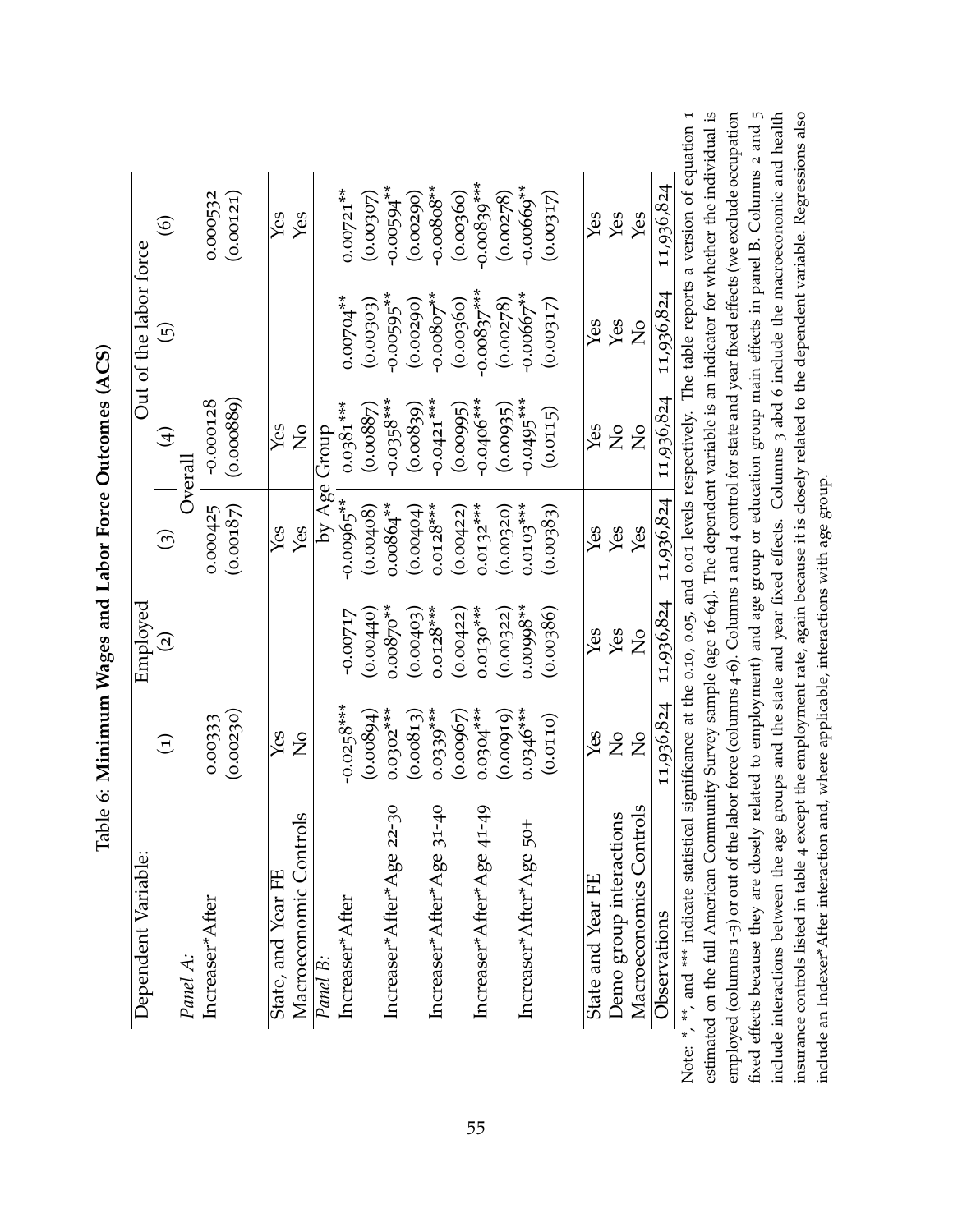<span id="page-55-0"></span>

| Dependent Variable:       |                | Employed           |                            |                | Out of the labor force |                |
|---------------------------|----------------|--------------------|----------------------------|----------------|------------------------|----------------|
|                           | $\widehat{E}$  | $\widehat{\Omega}$ | $\widehat{(\mathfrak{z})}$ | $\bigoplus$    | $\widehat{\Xi}$        | $\circledcirc$ |
| Panel A:                  |                |                    |                            | Overal         |                        |                |
| Increaser*After           | 0.00333        |                    | 0.000425                   | $-0.000128$    |                        | 0.000532       |
|                           | (0.00230)      |                    | (0.00187)                  | (0.000889)     |                        | (0.00121)      |
| State, and Year FE        | Yes            |                    | Yes                        | Yes            |                        | Yes            |
| Macroeconomic Controls    | $\frac{1}{2}$  |                    | Yes                        | $\frac{1}{2}$  |                        | Yes            |
| Panel B:                  |                |                    |                            | by Age Group   |                        |                |
| Increaser*After           | $-0.0258***$   | -0.00717           | $-0.00965***$              | $0.0381***$    | $0.00704***$           | $0.00721***$   |
|                           | (0.00894)      | (0.00440)          | (0.00408)                  | (0.00887)      | (0.00303)              | (0.00307)      |
| Increaser*After*Age 22-30 | $0.0302***$    | $0.00870***$       | $0.00864***$               | $-0.0358***$   | $-0.00595***$          | $-0.00594***$  |
|                           | (0.00813)      | (0.00403)          | (0.00404)                  | (0.00839)      | (0.00290)              | (0.00290)      |
| Increaser*After*Age 31-40 | $0.0339***$    | $0.0128***$        | $0.0128***$                | $-0.0421***$   | $-0.00807***$          | $-0.00808**$   |
|                           | (0.00967)      | (0.00422)          | (0.00422)                  | (0.00995)      | (0.00360)              | (0.00360)      |
| Increaser*After*Age 41-49 | $0.0304***$    | $0.0130***$        | $0.0132***$                | $-0.0406***$   | $-0.00837***$          | $-0.00839***$  |
|                           | (0.00919)      | (0.00322)          | (0.00320)                  | (0.00935)      | (0.00278)              | (0.00278)      |
| Increaser*After*Age 50+   | $0.0346***$    | $0.00998***$       | $0.0103***$                | $-0.0495***$   | $-0.00667***$          | $-0.00669***$  |
|                           | (0.0110)       | (0.00386)          | (0.00383)                  | (0.0115)       | (0.00317)              | (0.00317)      |
| State and Year FE         | Yes            | Yes                | Yes                        | Yes            | Yes                    | Yes            |
| Demo group interactions   | $\frac{1}{2}$  | Yes                | Yes                        | $\overline{S}$ | Yes                    | Yes            |
| Macroeconomics Controls   | $\overline{C}$ | $\overline{C}$     | Yes                        | $\overline{S}$ | $\frac{1}{2}$          | Yes            |
| Observations              | 11,936,824     | 11,936,824         | 11,936,824                 | 11,936,824     | 11,936,824             | 11,936,824     |

Table 6: Minimum Wages and Labor Force Outcomes (ACS) Table 6: **Minimum Wages and Labor Force Outcomes (ACS)**

on  $1$ al is  $\frac{1}{2}$  community and the labor force (columns 4-6). Columns 1 and 4 control for state and year fixed effects (we exclude occupation fixed effects because they are closely related to employment) and age group or education group main effects in panel B. Columns 2 and 5 include interactions between the age groups and the state and year fixed effects. Columns 3 abd 6 include the macroeconomic and health insurance controls listed in table 4 except the employment rate, again because it is closely related to the dependent variable. Regressions also Note: \*, \*\*, and \*\*\* indicate statistical significance at the 0.10, 0.05, and 0.01 levels respectively. The table reports a version of equation [1](#page-11-0) estimated on the full American Community Survey sample (age 16-64). The dependent variable is an indicator for whether the individual is employed (columns 1-3) or out of the labor force (columns 4-6). Columns 1 and 4 control for state and year fixed effects (we exclude occupation fixed effects because they are closely related to employment) and age group or education group main effects in panel B. Columns 2 and 5 include interactions between the age groups and the state and year fixed effects. Columns 3 abd 6 include the macroeconomic and health insurance controls listed in table [4](#page-53-0) except the employment rate, again because it is closely related to the dependent variable. Regressions also include an Indexer\*After interaction and, where applicable, interactions with age group. include an Indexer\*After interaction and, where applicable, interactions with age group. estima Note: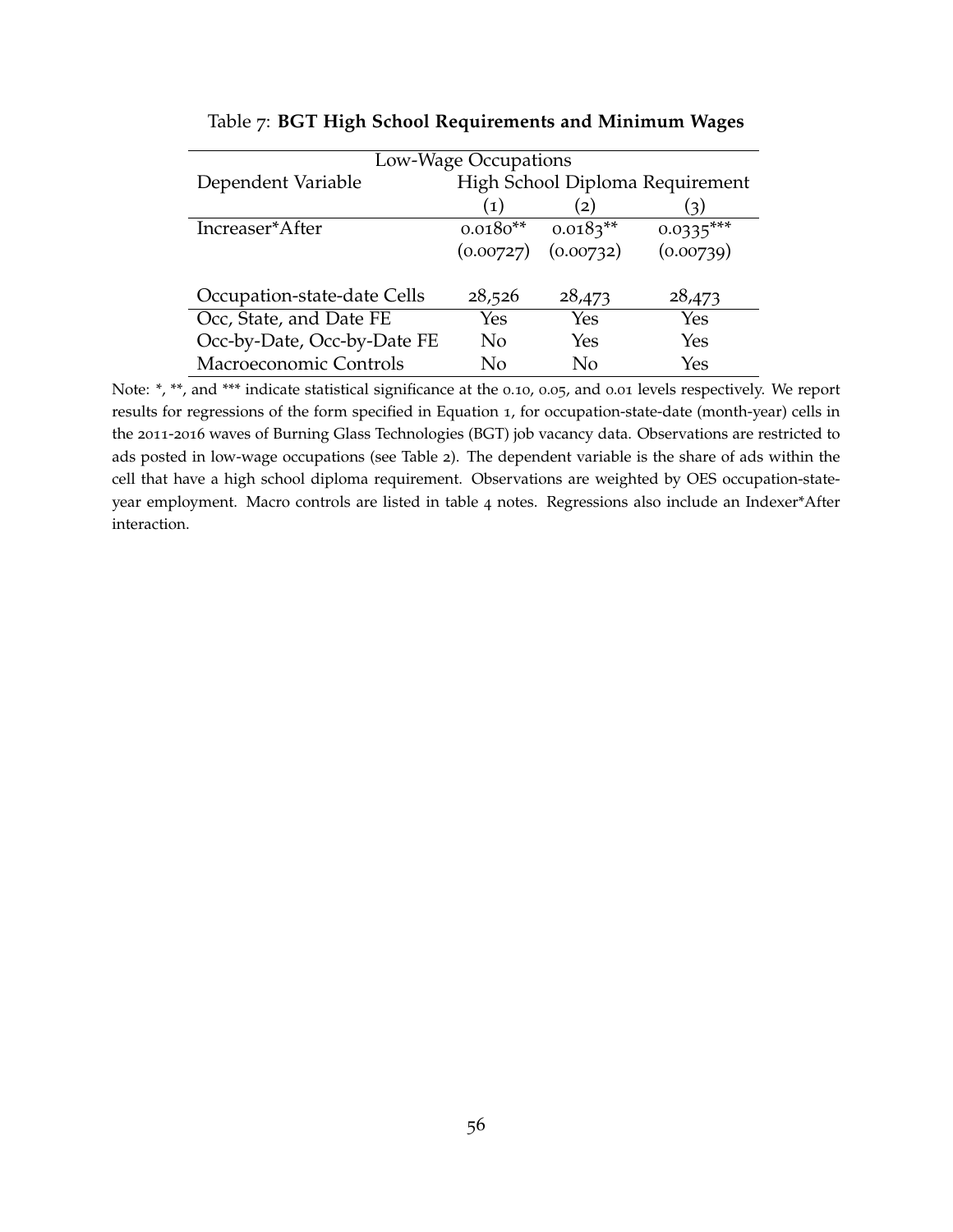|                             | Low-Wage Occupations |                         |                                 |
|-----------------------------|----------------------|-------------------------|---------------------------------|
| Dependent Variable          |                      |                         | High School Diploma Requirement |
|                             | (1)                  | (2)                     | (3)                             |
| Increaser*After             | $0.0180**$           | $0.0183**$              | $0.0335***$                     |
|                             |                      | $(0.00727)$ $(0.00732)$ | (0.00739)                       |
|                             |                      |                         |                                 |
| Occupation-state-date Cells | 28,526               | 28,473                  | 28,473                          |
| Occ, State, and Date FE     | Yes                  | Yes                     | Yes                             |
| Occ-by-Date, Occ-by-Date FE | No                   | Yes                     | Yes                             |
| Macroeconomic Controls      | Nο                   | Nο                      | Yes                             |

#### Table 7: **BGT High School Requirements and Minimum Wages**

<span id="page-56-0"></span>l,

 $\overline{a}$ 

Note: \*, \*\*, and \*\*\* indicate statistical significance at the 0.10, 0.05, and 0.01 levels respectively. We report results for regressions of the form specified in Equation [1](#page-11-0), for occupation-state-date (month-year) cells in the 2011-2016 waves of Burning Glass Technologies (BGT) job vacancy data. Observations are restricted to ads posted in low-wage occupations (see Table [2](#page-51-0)). The dependent variable is the share of ads within the cell that have a high school diploma requirement. Observations are weighted by OES occupation-stateyear employment. Macro controls are listed in table [4](#page-53-0) notes. Regressions also include an Indexer\*After interaction.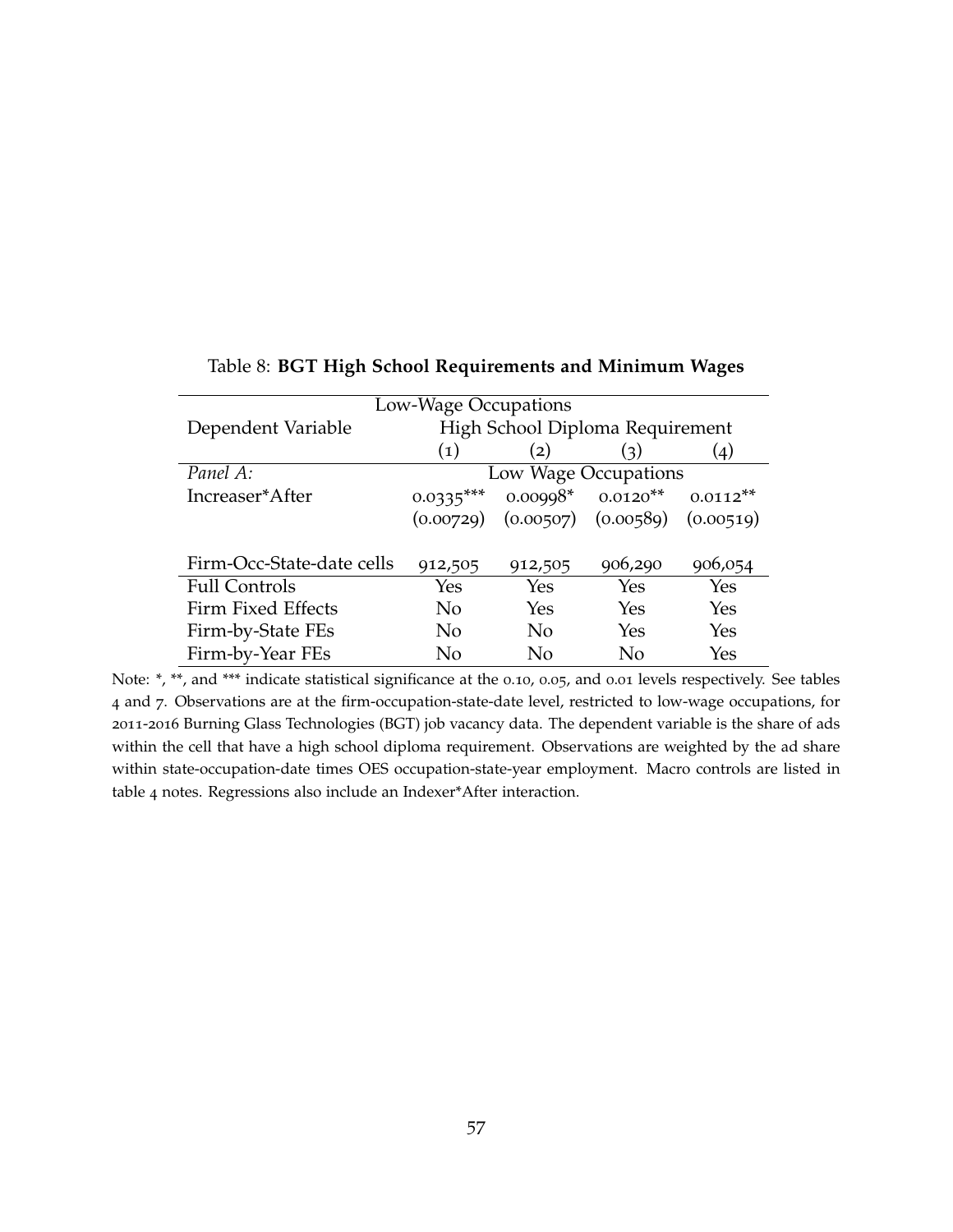<span id="page-57-0"></span>

| Low-Wage Occupations      |                      |                                 |                                     |                    |  |  |
|---------------------------|----------------------|---------------------------------|-------------------------------------|--------------------|--|--|
| Dependent Variable        |                      | High School Diploma Requirement |                                     |                    |  |  |
|                           | (1)                  | (2)                             | (3)                                 | $\left( 4 \right)$ |  |  |
| Panel A:                  | Low Wage Occupations |                                 |                                     |                    |  |  |
| Increaser*After           | $0.0335***$          |                                 | $0.00998*$ $0.0120**$ $0.0112**$    |                    |  |  |
|                           | (0.00729)            |                                 | $(0.00507)$ $(0.00589)$ $(0.00519)$ |                    |  |  |
|                           |                      |                                 |                                     |                    |  |  |
| Firm-Occ-State-date cells | 912,505              | 912,505                         | 906,290                             | 906,054            |  |  |
| <b>Full Controls</b>      | Yes                  | Yes                             | Yes                                 | Yes                |  |  |
| Firm Fixed Effects        | N <sub>o</sub>       | Yes                             | Yes                                 | Yes                |  |  |
| Firm-by-State FEs         | N <sub>o</sub>       | N <sub>o</sub>                  | Yes                                 | Yes                |  |  |
| Firm-by-Year FEs          | No                   | No                              | No                                  | Yes                |  |  |

### Table 8: **BGT High School Requirements and Minimum Wages**

Note: \*, \*\*, and \*\*\* indicate statistical significance at the 0.10, 0.05, and 0.01 levels respectively. See tables [4](#page-53-0) and [7](#page-56-0). Observations are at the firm-occupation-state-date level, restricted to low-wage occupations, for 2011-2016 Burning Glass Technologies (BGT) job vacancy data. The dependent variable is the share of ads within the cell that have a high school diploma requirement. Observations are weighted by the ad share within state-occupation-date times OES occupation-state-year employment. Macro controls are listed in table [4](#page-53-0) notes. Regressions also include an Indexer\*After interaction.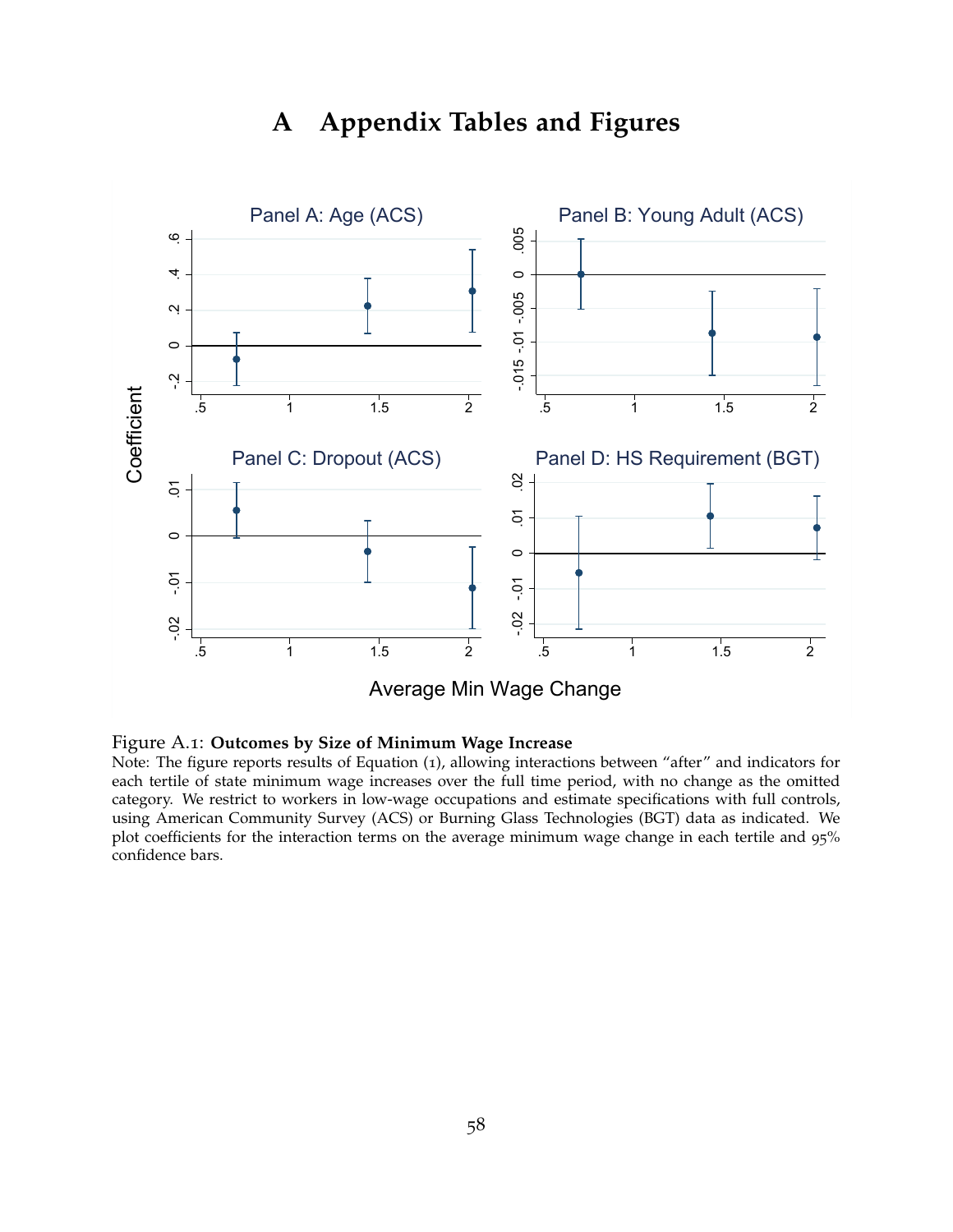# **A Appendix Tables and Figures**

<span id="page-58-0"></span>

#### Figure A.1: **Outcomes by Size of Minimum Wage Increase**

Note: The figure reports results of Equation ([1](#page-11-0)), allowing interactions between "after" and indicators for each tertile of state minimum wage increases over the full time period, with no change as the omitted category. We restrict to workers in low-wage occupations and estimate specifications with full controls, using American Community Survey (ACS) or Burning Glass Technologies (BGT) data as indicated. We plot coefficients for the interaction terms on the average minimum wage change in each tertile and 95% confidence bars.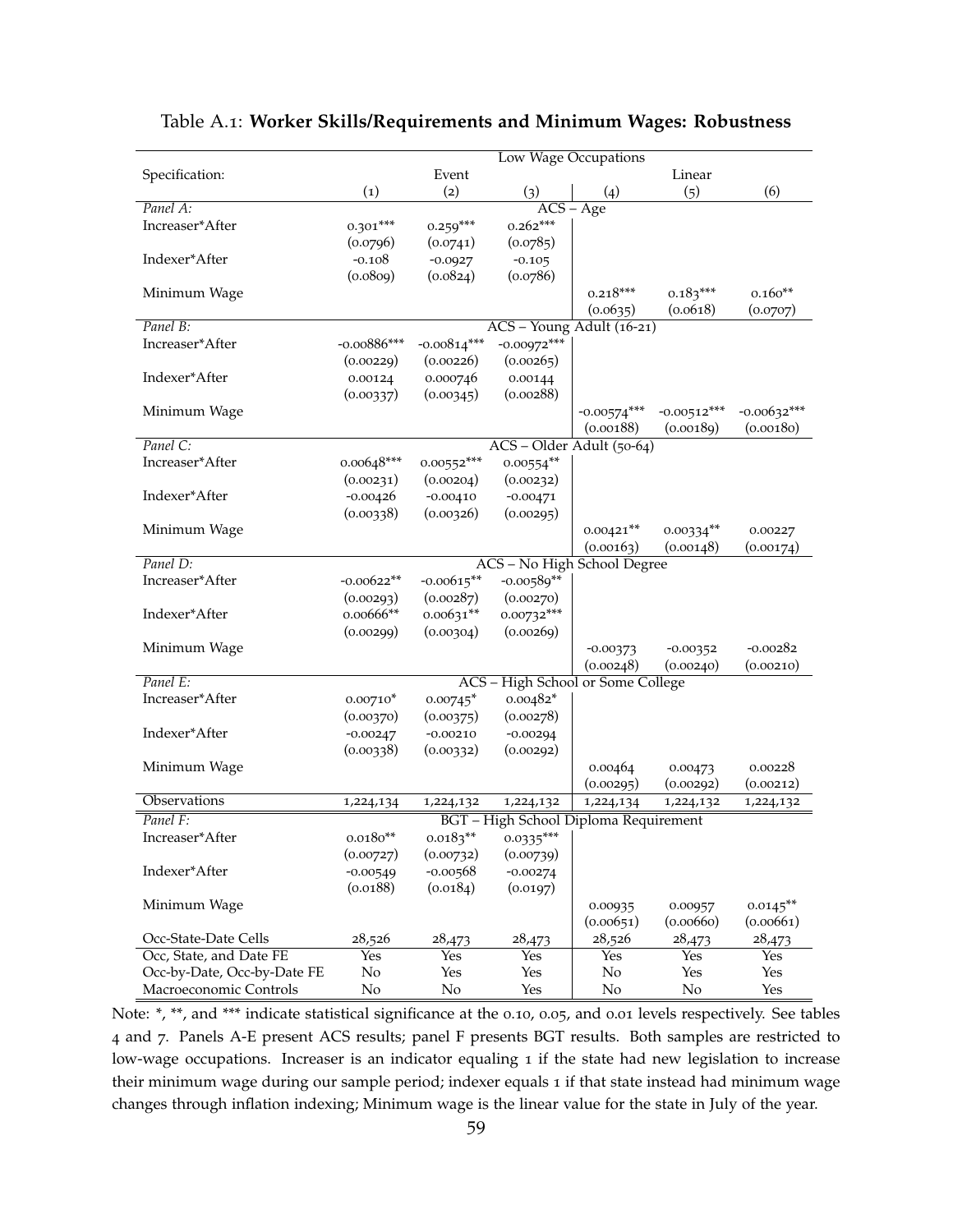|                             |               |               |                                       | Low Wage Occupations        |               |               |
|-----------------------------|---------------|---------------|---------------------------------------|-----------------------------|---------------|---------------|
| Specification:              |               | Event         |                                       |                             | Linear        |               |
|                             | (1)           | (2)           | (3)                                   | (4)                         | (5)           | (6)           |
| Panel A:                    |               |               |                                       | $\overline{ACS - Age}$      |               |               |
| Increaser*After             | $0.301***$    | $0.259***$    | $0.262***$                            |                             |               |               |
|                             | (0.0796)      | (0.0741)      | (0.0785)                              |                             |               |               |
| Indexer*After               | $-0.108$      | $-0.0927$     | $-0.105$                              |                             |               |               |
|                             | (0.0809)      | (0.0824)      | (0.0786)                              |                             |               |               |
| Minimum Wage                |               |               |                                       | $0.218***$                  | $0.183***$    | $0.160**$     |
|                             |               |               |                                       | (0.0635)                    | (0.0618)      | (0.0707)      |
| Panel B:                    |               |               | ACS - Young Adult (16-21)             |                             |               |               |
| Increaser*After             | $-0.00886***$ | $-0.00814***$ | $-0.00972***$                         |                             |               |               |
|                             | (0.00229)     | (0.00226)     | (0.00265)                             |                             |               |               |
| Indexer*After               | 0.00124       | 0.000746      | 0.00144                               |                             |               |               |
|                             | (0.00337)     | (0.00345)     | (0.00288)                             |                             |               |               |
| Minimum Wage                |               |               |                                       | $-0.00574***$               | $-0.00512***$ | $-0.00632***$ |
|                             |               |               |                                       | (0.00188)                   | (0.00189)     | (0.00180)     |
| Panel C:                    |               |               | ACS - Older Adult (50-64)             |                             |               |               |
| Increaser*After             | $0.00648***$  | $0.00552***$  | $0.00554**$                           |                             |               |               |
|                             | (0.00231)     | (0.00204)     | (0.00232)                             |                             |               |               |
| Indexer*After               | $-0.00426$    | $-0.00410$    | $-0.00471$                            |                             |               |               |
|                             | (0.00338)     | (0.00326)     | (0.00295)                             |                             |               |               |
| Minimum Wage                |               |               |                                       | $0.00421**$                 | $0.00334**$   | 0.00227       |
|                             |               |               |                                       | (0.00163)                   | (0.00148)     | (0.00174)     |
| Panel D:                    |               |               | ACS - No High School Degree           |                             |               |               |
| Increaser*After             | $-0.00622**$  | $-0.00615**$  | $-0.00589**$                          |                             |               |               |
|                             | (0.00293)     | (0.00287)     | (0.00270)                             |                             |               |               |
| Indexer*After               | $0.00666**$   | $0.00631**$   | $0.00732***$                          |                             |               |               |
|                             | (0.00299)     | (0.00304)     | (0.00269)                             |                             |               |               |
| Minimum Wage                |               |               |                                       | $-0.00373$                  | $-0.00352$    | $-0.00282$    |
|                             |               |               |                                       | (0.00248)                   | (0.00240)     | (0.00210)     |
| Panel E:                    |               | $ACS -$       |                                       | High School or Some College |               |               |
| Increaser*After             | $0.00710*$    | $0.00745*$    | $0.00482*$                            |                             |               |               |
|                             | (0.00370)     | (0.00375)     | (0.00278)                             |                             |               |               |
| Indexer*After               | $-0.00247$    | $-0.00210$    | $-0.00294$                            |                             |               |               |
|                             | (0.00338)     | (0.00332)     | (0.00292)                             |                             |               |               |
| Minimum Wage                |               |               |                                       | 0.00464                     | 0.00473       | 0.00228       |
| Observations                |               |               |                                       | (0.00295)                   | (0.00292)     | (0.00212)     |
|                             | 1,224,134     | 1,224,132     | 1,224,132                             | 1,224,134                   | 1,224,132     | 1,224,132     |
| Panel F:                    |               |               | BGT - High School Diploma Requirement |                             |               |               |
| Increaser*After             | $0.0180**$    | $0.0183**$    | $0.0335***$                           |                             |               |               |
|                             | (0.00727)     | (0.00732)     | (0.00739)                             |                             |               |               |
| Indexer*After               | $-0.00549$    | $-0.00568$    | $-0.00274$                            |                             |               |               |
|                             | (0.0188)      | (0.0184)      | (0.0197)                              |                             |               |               |
| Minimum Wage                |               |               |                                       | 0.00935                     | 0.00957       | $0.0145***$   |
|                             |               |               |                                       | (0.00651)                   | (0.00660)     | (0.00661)     |
| Occ-State-Date Cells        | 28,526        | 28,473        | 28,473                                | 28,526                      | 28,473        | 28,473        |
| Occ, State, and Date FE     | Yes           | <b>Yes</b>    | Yes                                   | <b>Yes</b>                  | <b>Yes</b>    | Yes           |
| Occ-by-Date, Occ-by-Date FE | No            | Yes           | Yes                                   | No                          | Yes           | Yes           |
| Macroeconomic Controls      | No            | No            | Yes                                   | No                          | No            | Yes           |

### <span id="page-59-0"></span>Table A.1: **Worker Skills/Requirements and Minimum Wages: Robustness**

Note: \*, \*\*, and \*\*\* indicate statistical significance at the 0.10, 0.05, and 0.01 levels respectively. See tables [4](#page-53-0) and [7](#page-56-0). Panels A-E present ACS results; panel F presents BGT results. Both samples are restricted to low-wage occupations. Increaser is an indicator equaling 1 if the state had new legislation to increase their minimum wage during our sample period; indexer equals 1 if that state instead had minimum wage changes through inflation indexing; Minimum wage is the linear value for the state in July of the year.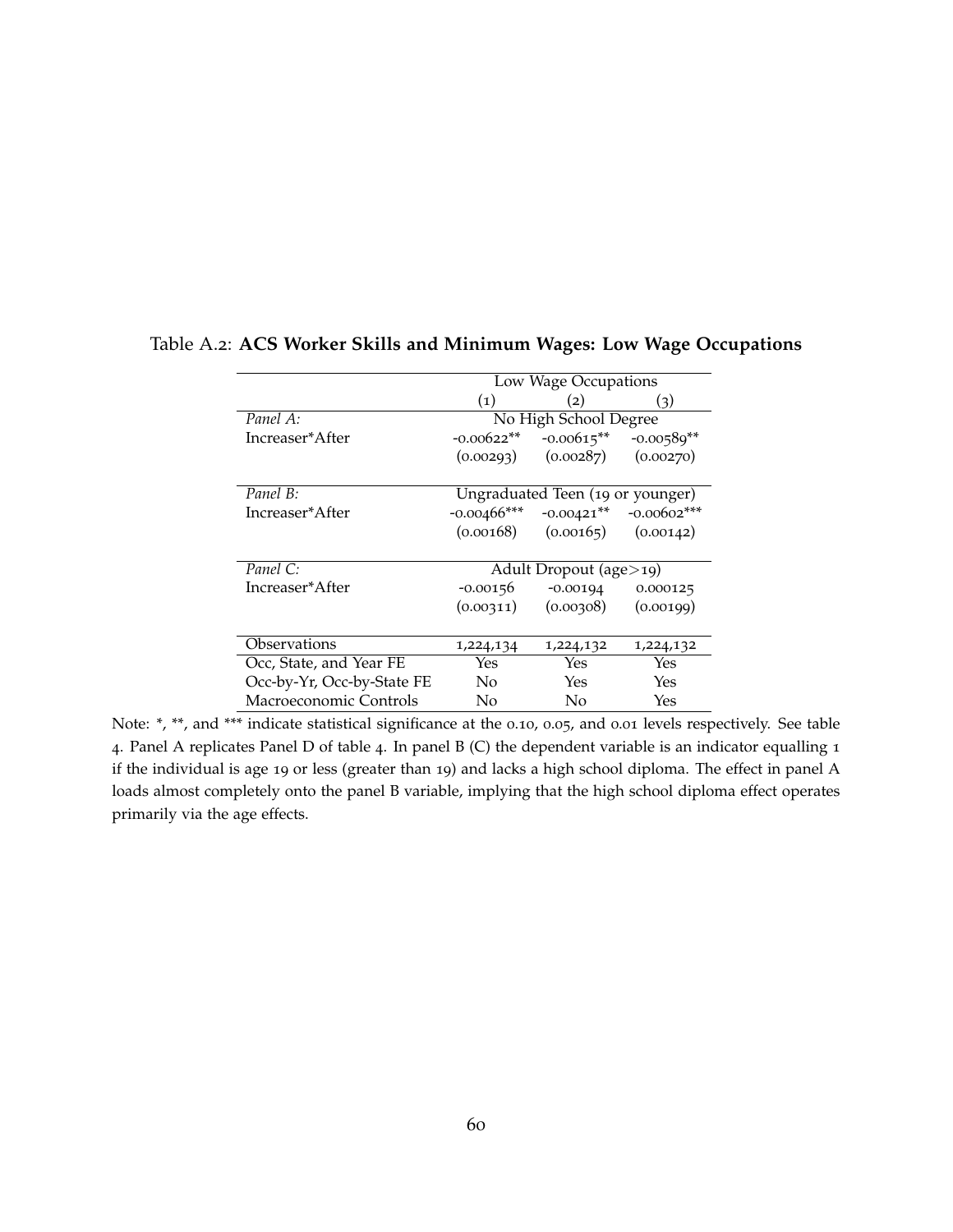|                            | Low Wage Occupations       |                                  |                            |  |
|----------------------------|----------------------------|----------------------------------|----------------------------|--|
|                            | $\left( 1\right)$          | (2)                              | (3)                        |  |
| Panel A:                   |                            | No High School Degree            |                            |  |
| Increaser*After            | $-0.00622**$               | $-0.00615***$                    | $-0.00589**$               |  |
|                            | (0.00293)                  | (0.00287)                        | (0.00270)                  |  |
|                            |                            |                                  |                            |  |
| Panel B:                   |                            | Ungraduated Teen (19 or younger) |                            |  |
| Increaser*After            | $-0.00466$ ***             |                                  | $-0.00421**$ $-0.00602***$ |  |
|                            | (0.00168)                  | $(0.00165)$ $(0.00142)$          |                            |  |
|                            |                            |                                  |                            |  |
| Panel C:                   | Adult Dropout (age $>$ 19) |                                  |                            |  |
| Increaser*After            | -0.00156                   | $-0.00194$                       | 0.000125                   |  |
|                            | (0.00311)                  | (0.00308)                        | (0.00199)                  |  |
|                            |                            |                                  |                            |  |
| Observations               | 1,224,134                  | 1,224,132                        | 1,224,132                  |  |
| Occ, State, and Year FE    | Yes                        | Yes                              | Yes                        |  |
| Occ-by-Yr, Occ-by-State FE | No                         | Yes                              | Yes                        |  |
| Macroeconomic Controls     | No                         | No                               | Yes                        |  |

### <span id="page-60-0"></span>Table A.2: **ACS Worker Skills and Minimum Wages: Low Wage Occupations**

Note: \*, \*\*, and \*\*\* indicate statistical significance at the 0.10, 0.05, and 0.01 levels respectively. See table [4](#page-53-0). Panel A replicates Panel D of table [4](#page-53-0). In panel B (C) the dependent variable is an indicator equalling 1 if the individual is age 19 or less (greater than 19) and lacks a high school diploma. The effect in panel A loads almost completely onto the panel B variable, implying that the high school diploma effect operates primarily via the age effects.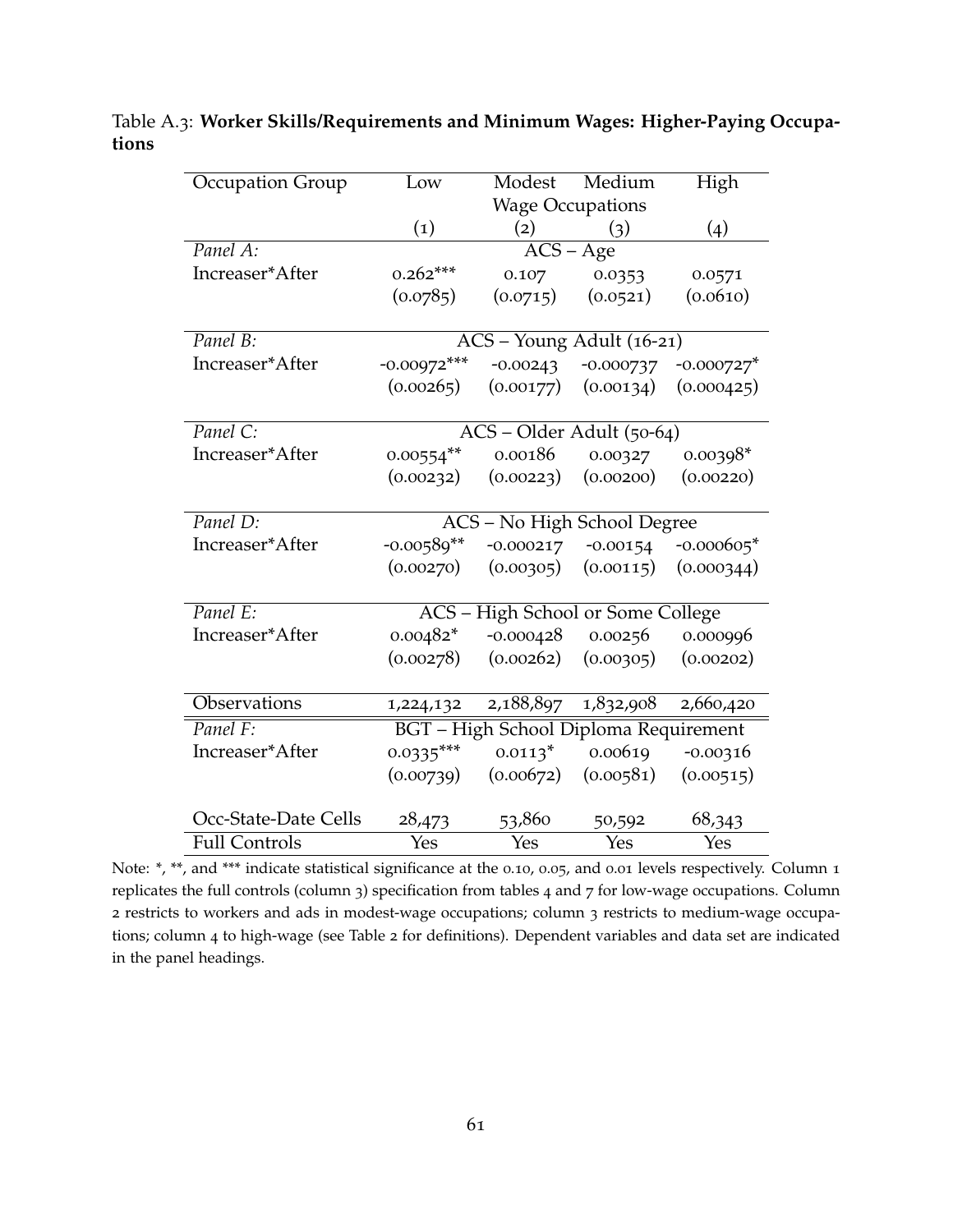| Occupation Group     | Low                         | $\overline{\text{M}}$ odest           | Medium      | High          |  |
|----------------------|-----------------------------|---------------------------------------|-------------|---------------|--|
|                      |                             | <b>Wage Occupations</b>               |             |               |  |
|                      | $\left( 1\right)$           | (2)                                   | (3)         | (4)           |  |
| Panel A:             |                             | $ACS - Age$                           |             |               |  |
| Increaser*After      | $0.262***$                  | 0.107                                 | 0.0353      | 0.0571        |  |
|                      | (0.0785)                    | (0.0715)                              | (0.0521)    | (0.0610)      |  |
|                      |                             |                                       |             |               |  |
| Panel B:             |                             | ACS - Young Adult (16-21)             |             |               |  |
| Increaser*After      | $-0.00972***$               | $-0.00243$                            | $-0.000737$ | $-0.000727$ * |  |
|                      | (0.00265)                   | (0.00177)                             | (0.00134)   | (0.000425)    |  |
|                      |                             |                                       |             |               |  |
| Panel C:             | ACS - Older Adult (50-64)   |                                       |             |               |  |
| Increaser*After      | $0.00554**$                 | 0.00186                               | 0.00327     | $0.00398*$    |  |
|                      | (0.00232)                   | (0.00223)                             | (0.00200)   | (0.00220)     |  |
|                      |                             |                                       |             |               |  |
| Panel D:             | ACS - No High School Degree |                                       |             |               |  |
| Increaser*After      | $-0.00589**$                | $-0.000217$                           | $-0.00154$  | $-0.000605*$  |  |
|                      | (0.00270)                   | (0.00305)                             | (0.00115)   | (0.000344)    |  |
|                      |                             |                                       |             |               |  |
| Panel E:             |                             | ACS - High School or Some College     |             |               |  |
| Increaser*After      | $0.00482*$                  | $-0.000428$                           | 0.00256     | 0.000996      |  |
|                      | (0.00278)                   | (0.00262)                             | (0.00305)   | (0.00202)     |  |
|                      |                             |                                       |             |               |  |
| Observations         | 1,224,132                   | 2,188,897                             | 1,832,908   | 2,660,420     |  |
| Panel F:             |                             | BGT - High School Diploma Requirement |             |               |  |
| Increaser*After      | $0.0335***$                 | $0.0113^*$                            | 0.00619     | $-0.00316$    |  |
|                      | (0.00739)                   | (0.00672)                             | (0.00581)   | (0.00515)     |  |
|                      |                             |                                       |             |               |  |
| Occ-State-Date Cells | 28,473                      | 53,860                                | 50,592      | 68,343        |  |
| <b>Full Controls</b> | Yes                         | Yes                                   | Yes         | Yes           |  |

<span id="page-61-0"></span>Table A.3: **Worker Skills/Requirements and Minimum Wages: Higher-Paying Occupations**

Note: \*, \*\*, and \*\*\* indicate statistical significance at the 0.10, 0.05, and 0.01 levels respectively. Column 1 replicates the full controls (column 3) specification from tables [4](#page-53-0) and [7](#page-56-0) for low-wage occupations. Column 2 restricts to workers and ads in modest-wage occupations; column 3 restricts to medium-wage occupations; column 4 to high-wage (see Table [2](#page-51-0) for definitions). Dependent variables and data set are indicated in the panel headings.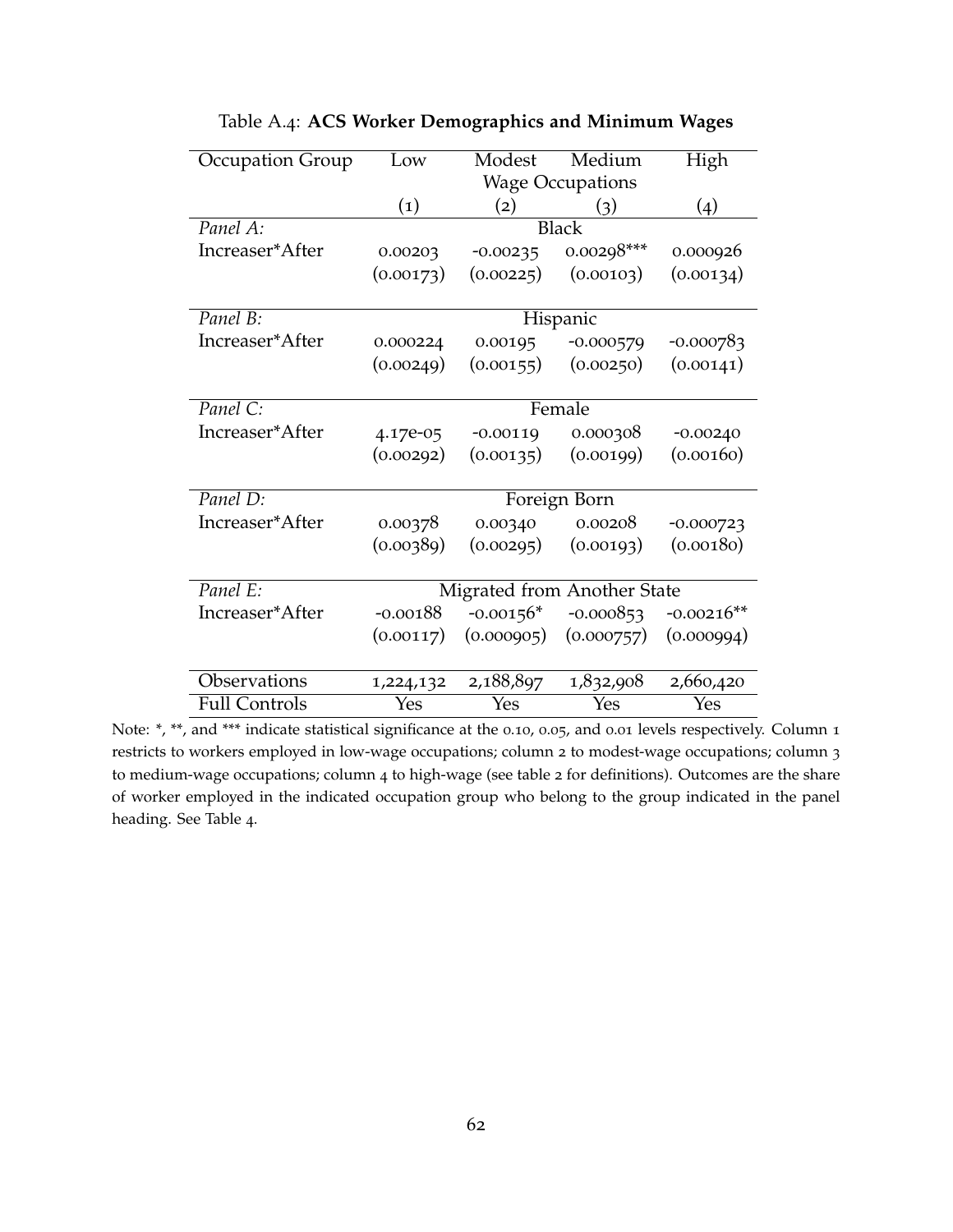<span id="page-62-0"></span>

| Occupation Group     | Low               | Modest      | Medium                      | High               |  |
|----------------------|-------------------|-------------|-----------------------------|--------------------|--|
|                      |                   |             | <b>Wage Occupations</b>     |                    |  |
|                      | $\left( 1\right)$ | (2)         | (3)                         | $\left( 4 \right)$ |  |
| Panel A:             |                   |             | <b>Black</b>                |                    |  |
| Increaser*After      | 0.00203           | $-0.00235$  | $0.00298***$                | 0.000926           |  |
|                      | (0.00173)         | (0.00225)   | (0.00103)                   | (0.00134)          |  |
|                      |                   |             |                             |                    |  |
| Panel B:             | Hispanic          |             |                             |                    |  |
| Increaser*After      | 0.000224          | 0.00195     | $-0.000579$                 | $-0.000783$        |  |
|                      | (0.00249)         | (0.00155)   | (0.00250)                   | (0.00141)          |  |
|                      |                   |             |                             |                    |  |
| Panel C:             | Female            |             |                             |                    |  |
| Increaser*After      | 4.17e-05          | $-0.00119$  | 0.000308                    | $-0.00240$         |  |
|                      | (0.00292)         | (0.00135)   | (0.00199)                   | (0.00160)          |  |
|                      |                   |             |                             |                    |  |
| Panel D:             |                   |             | Foreign Born                |                    |  |
| Increaser*After      | 0.00378           | 0.00340     | 0.00208                     | $-0.000723$        |  |
|                      | (0.00389)         | (0.00295)   | (0.00193)                   | (0.00180)          |  |
|                      |                   |             |                             |                    |  |
| Panel E:             |                   |             | Migrated from Another State |                    |  |
| Increaser*After      | $-0.00188$        | $-0.00156*$ | $-0.000853$                 | $-0.00216**$       |  |
|                      | (0.00117)         |             | $(0.000905)$ $(0.000757)$   | (0.000994)         |  |
|                      |                   |             |                             |                    |  |
| Observations         | 1,224,132         | 2,188,897   | 1,832,908                   | 2,660,420          |  |
| <b>Full Controls</b> | Yes               | Yes         | Yes                         | Yes                |  |

Table A.4: **ACS Worker Demographics and Minimum Wages**

Note: \*, \*\*, and \*\*\* indicate statistical significance at the 0.10, 0.05, and 0.01 levels respectively. Column 1 restricts to workers employed in low-wage occupations; column 2 to modest-wage occupations; column 3 to medium-wage occupations; column 4 to high-wage (see table [2](#page-51-0) for definitions). Outcomes are the share of worker employed in the indicated occupation group who belong to the group indicated in the panel heading. See Table [4](#page-53-0).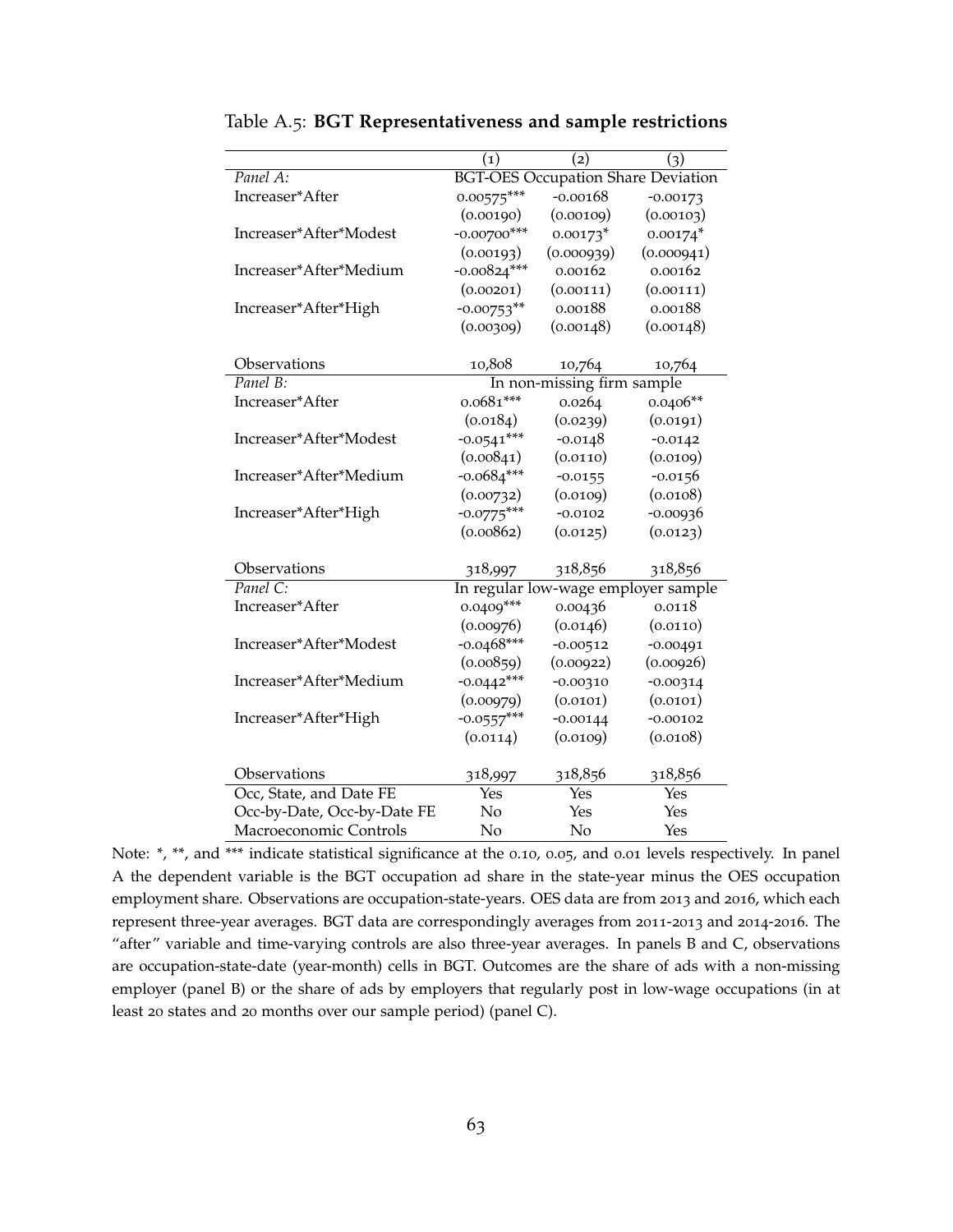|                             | $\left( 1\right)$                         | (2)                                 | (3)        |  |
|-----------------------------|-------------------------------------------|-------------------------------------|------------|--|
| Panel A:                    | <b>BGT-OES Occupation Share Deviation</b> |                                     |            |  |
| Increaser*After             | $0.00575***$                              | $-0.00168$                          | $-0.00173$ |  |
|                             | (0.00190)                                 | (0.00109)                           | (0.00103)  |  |
| Increaser*After*Modest      | $-0.00700$ ***                            | $0.00173*$                          | $0.00174*$ |  |
|                             | (0.00193)                                 | (0.000939)                          | (0.000941) |  |
| Increaser*After*Medium      | $-0.00824***$                             | 0.00162                             | 0.00162    |  |
|                             | (0.00201)                                 | (0.00111)                           | (0.00111)  |  |
| Increaser*After*High        | $-0.00753**$                              | 0.00188                             | 0.00188    |  |
|                             | (0.00309)                                 | (0.00148)                           | (0.00148)  |  |
|                             |                                           |                                     |            |  |
| Observations                | 10,808                                    | 10,764                              | 10,764     |  |
| Panel B:                    | In non-missing firm sample                |                                     |            |  |
| Increaser*After             | $0.0681***$                               | 0.0264                              | $0.0406**$ |  |
|                             | (0.0184)                                  | (0.0239)                            | (0.0191)   |  |
| Increaser*After*Modest      | $-0.0541***$                              | $-0.0148$                           | $-0.0142$  |  |
|                             | (0.00841)                                 | (0.0110)                            | (0.0109)   |  |
| Increaser*After*Medium      | $-0.0684***$                              | $-0.0155$                           | $-0.0156$  |  |
|                             | (0.00732)                                 | (0.0109)                            | (0.0108)   |  |
| Increaser*After*High        | $-0.0775***$                              | $-0.0102$                           | $-0.00936$ |  |
|                             | (0.00862)                                 | (0.0125)                            | (0.0123)   |  |
|                             |                                           |                                     |            |  |
| Observations                | 318,997                                   | 318,856                             | 318,856    |  |
| Panel C:                    |                                           | In regular low-wage employer sample |            |  |
| Increaser*After             | $0.0409***$                               | 0.00436                             | 0.0118     |  |
|                             | (0.00976)                                 | (0.0146)                            | (0.0110)   |  |
| Increaser*After*Modest      | $-0.0468***$                              | $-0.00512$                          | $-0.00491$ |  |
|                             | (0.00859)                                 | (0.00922)                           | (0.00926)  |  |
| Increaser*After*Medium      | $-0.0442***$                              | $-0.00310$                          | $-0.00314$ |  |
|                             | (0.00979)                                 | (0.0101)                            | (0.0101)   |  |
| Increaser*After*High        | $-0.0557***$                              | $-0.00144$                          | $-0.00102$ |  |
|                             | (0.0114)                                  | (0.0109)                            | (0.0108)   |  |
|                             |                                           |                                     |            |  |
| Observations                | 318,997                                   | 318,856                             | 318,856    |  |
| Occ, State, and Date FE     | Yes                                       | Yes                                 | Yes        |  |
| Occ-by-Date, Occ-by-Date FE | No                                        | Yes                                 | Yes        |  |
| Macroeconomic Controls      | No                                        | No                                  | Yes        |  |

<span id="page-63-0"></span>Table A.5: **BGT Representativeness and sample restrictions**

Note: \*, \*\*, and \*\*\* indicate statistical significance at the 0.10, 0.05, and 0.01 levels respectively. In panel A the dependent variable is the BGT occupation ad share in the state-year minus the OES occupation employment share. Observations are occupation-state-years. OES data are from 2013 and 2016, which each represent three-year averages. BGT data are correspondingly averages from 2011-2013 and 2014-2016. The "after" variable and time-varying controls are also three-year averages. In panels B and C, observations are occupation-state-date (year-month) cells in BGT. Outcomes are the share of ads with a non-missing employer (panel B) or the share of ads by employers that regularly post in low-wage occupations (in at least 20 states and 20 months over our sample period) (panel C).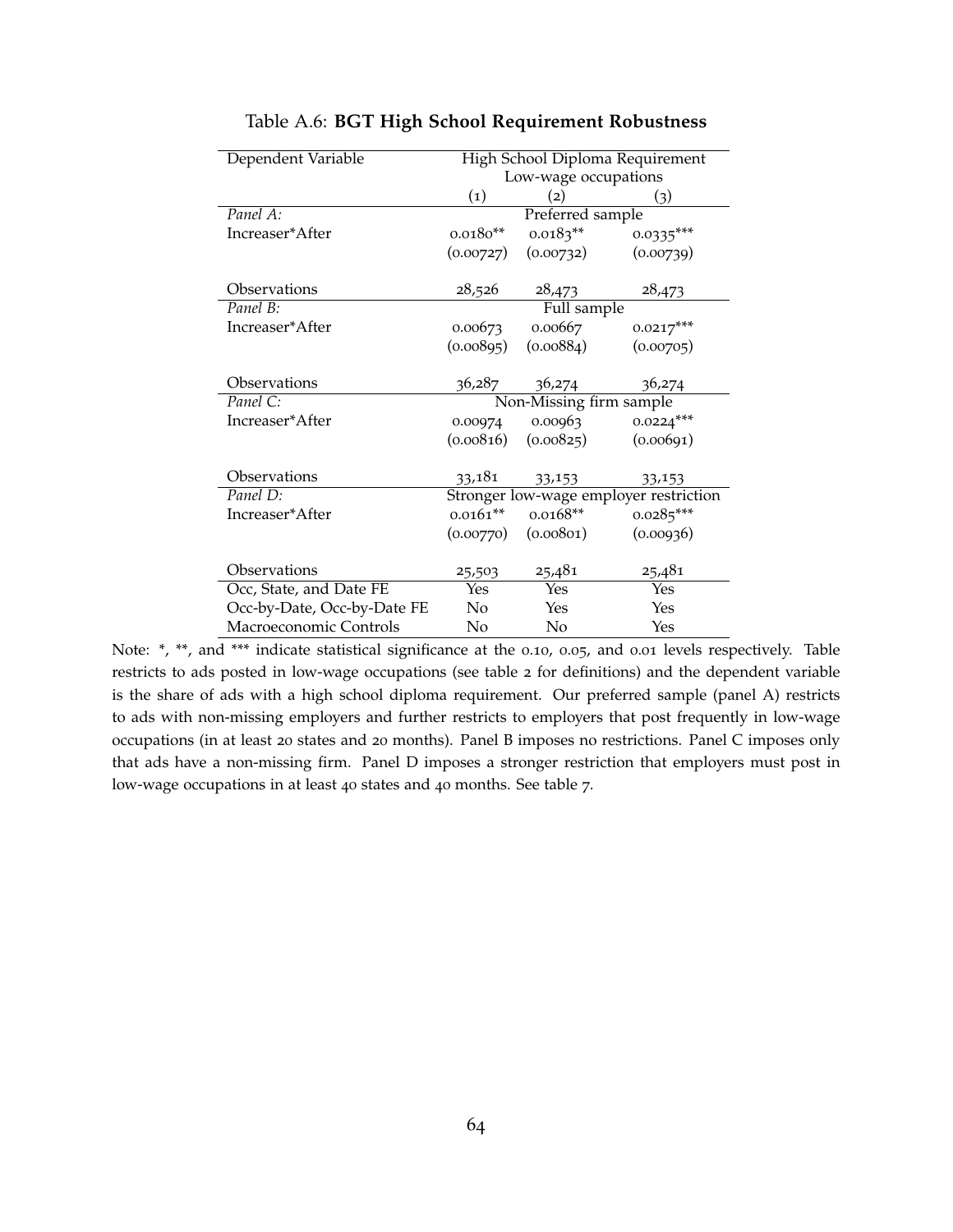<span id="page-64-0"></span>

| Dependent Variable          |                                        | High School Diploma Requirement |             |  |  |
|-----------------------------|----------------------------------------|---------------------------------|-------------|--|--|
|                             |                                        | Low-wage occupations            |             |  |  |
|                             | $\left( 1\right)$                      | (2)                             | (3)         |  |  |
| Panel A:                    | Preferred sample                       |                                 |             |  |  |
| Increaser*After             | $0.0180**$                             | $0.0183**$                      | $0.0335***$ |  |  |
|                             | (0.00727)                              | (0.00732)                       | (0.00739)   |  |  |
|                             |                                        |                                 |             |  |  |
| Observations                | 28,526                                 | 28,473                          | 28,473      |  |  |
| Panel B:                    |                                        | Full sample                     |             |  |  |
| Increaser*After             | 0.00673                                | 0.00667                         | $0.0217***$ |  |  |
|                             | (0.00895)                              | (0.00884)                       | (0.00705)   |  |  |
|                             |                                        |                                 |             |  |  |
| Observations                | 36,287                                 | 36,274                          | 36,274      |  |  |
| Panel C:                    |                                        | Non-Missing firm sample         |             |  |  |
| Increaser*After             | 0.00974                                | 0.00963                         | $0.0224***$ |  |  |
|                             | (0.00816)                              | (0.00825)                       | (0.00691)   |  |  |
|                             |                                        |                                 |             |  |  |
| Observations                | 33,181                                 | 33,153                          | 33,153      |  |  |
| Panel D:                    | Stronger low-wage employer restriction |                                 |             |  |  |
| Increaser*After             | $0.0161***$                            | $0.0168**$                      | $0.0285***$ |  |  |
|                             | (0.00770)                              | (0.00801)                       | (0.00936)   |  |  |
|                             |                                        |                                 |             |  |  |
| Observations                | 25,503                                 | 25,481                          | 25,481      |  |  |
| Occ, State, and Date FE     | Yes                                    | Yes                             | Yes         |  |  |
| Occ-by-Date, Occ-by-Date FE | No                                     | Yes                             | Yes         |  |  |
| Macroeconomic Controls      | No                                     | No                              | Yes         |  |  |

#### Table A.6: **BGT High School Requirement Robustness**

Note: \*, \*\*, and \*\*\* indicate statistical significance at the 0.10, 0.05, and 0.01 levels respectively. Table restricts to ads posted in low-wage occupations (see table [2](#page-51-0) for definitions) and the dependent variable is the share of ads with a high school diploma requirement. Our preferred sample (panel A) restricts to ads with non-missing employers and further restricts to employers that post frequently in low-wage occupations (in at least 20 states and 20 months). Panel B imposes no restrictions. Panel C imposes only that ads have a non-missing firm. Panel D imposes a stronger restriction that employers must post in low-wage occupations in at least 40 states and 40 months. See table [7](#page-56-0).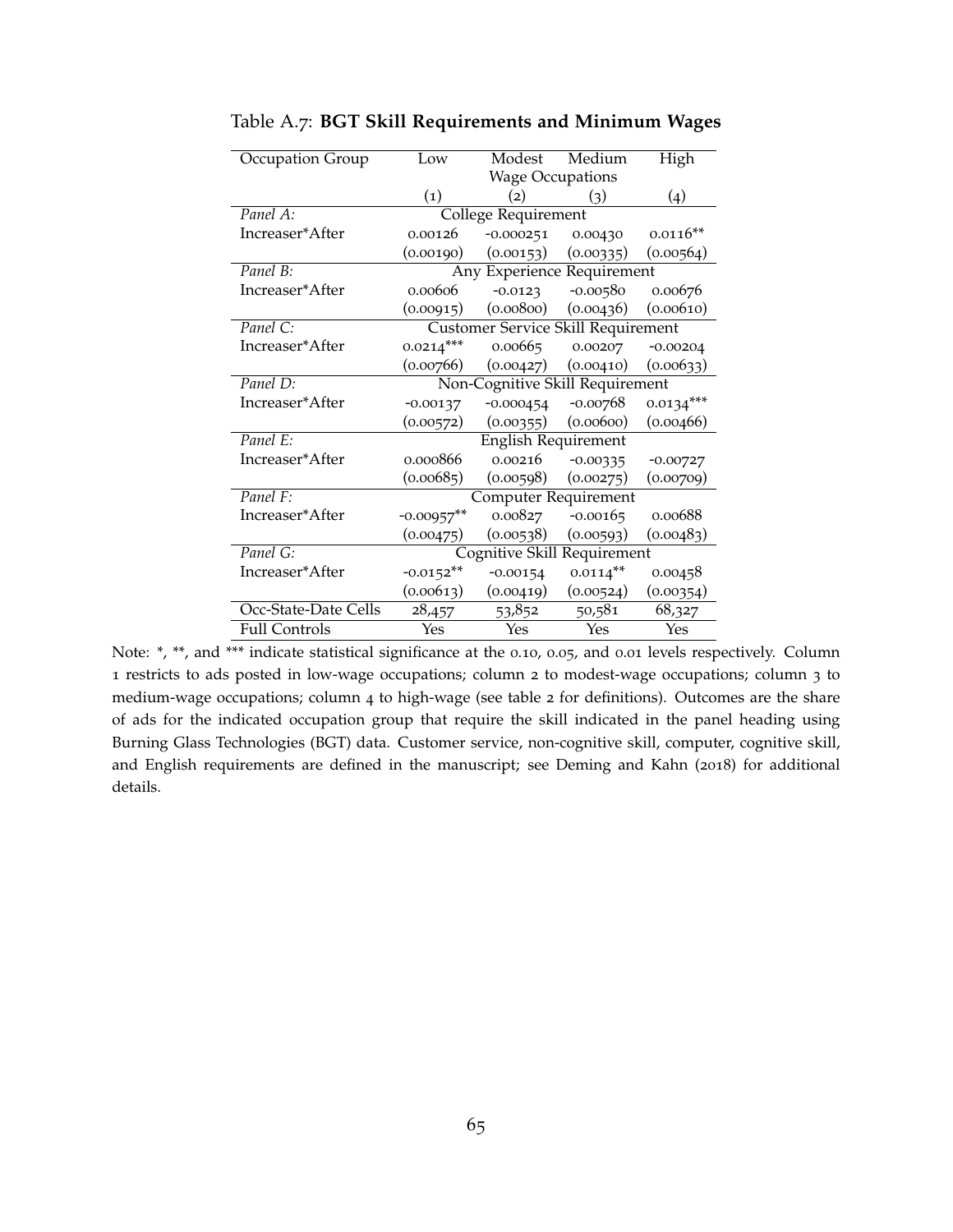| Occupation Group     | Low                                | Modest              | Medium     | High        |
|----------------------|------------------------------------|---------------------|------------|-------------|
|                      | <b>Wage Occupations</b>            |                     |            |             |
|                      | $\left( 1\right)$                  | (2)                 | (3)        | (4)         |
| Panel A:             |                                    | College Requirement |            |             |
| Increaser*After      | 0.00126                            | $-0.000251$         | 0.00430    | $0.0116**$  |
|                      | (0.00190)                          | (0.00153)           | (0.00335)  | (0.00564)   |
| Panel B:             | Any Experience Requirement         |                     |            |             |
| Increaser*After      | 0.00606                            | $-0.0123$           | $-0.00580$ | 0.00676     |
|                      | (0.00915)                          | (0.00800)           | (0.00436)  | (0.00610)   |
| Panel C:             | Customer Service Skill Requirement |                     |            |             |
| Increaser*After      | $0.0214***$                        | 0.00665             | 0.00207    | $-0.00204$  |
|                      | (0.00766)                          | (0.00427)           | (0.00410)  | (0.00633)   |
| Panel D:             | Non-Cognitive Skill Requirement    |                     |            |             |
| Increaser*After      | $-0.00137$                         | $-0.000454$         | -0.00768   | $0.0134***$ |
|                      | (0.00572)                          | (0.00355)           | (0.00600)  | (0.00466)   |
| Panel E:             | <b>English Requirement</b>         |                     |            |             |
| Increaser*After      | 0.000866                           | 0.00216             | $-0.00335$ | $-0.00727$  |
|                      | (0.00685)                          | (0.00598)           | (0.00275)  | (0.00709)   |
| Panel F:             | Computer Requirement               |                     |            |             |
| Increaser*After      | $-0.00957$ **                      | 0.00827             | $-0.00165$ | 0.00688     |
|                      | (0.00475)                          | (0.00538)           | (0.00593)  | (0.00483)   |
| Panel G:             | Cognitive Skill Requirement        |                     |            |             |
| Increaser*After      | $-0.0152**$                        | $-0.00154$          | $0.0114**$ | 0.00458     |
|                      | (0.00613)                          | (0.00419)           | (0.00524)  | (0.00354)   |
| Occ-State-Date Cells | 28,457                             | 53,852              | 50,581     | 68,327      |
| <b>Full Controls</b> | Yes                                | Yes                 | Yes        | Yes         |

<span id="page-65-0"></span>Table A.7: **BGT Skill Requirements and Minimum Wages**

Note: \*, \*\*, and \*\*\* indicate statistical significance at the 0.10, 0.05, and 0.01 levels respectively. Column 1 restricts to ads posted in low-wage occupations; column 2 to modest-wage occupations; column 3 to medium-wage occupations; column 4 to high-wage (see table [2](#page-51-0) for definitions). Outcomes are the share of ads for the indicated occupation group that require the skill indicated in the panel heading using Burning Glass Technologies (BGT) data. Customer service, non-cognitive skill, computer, cognitive skill, and English requirements are defined in the manuscript; see [Deming and Kahn](#page-39-10) ([2018](#page-39-10)) for additional details.